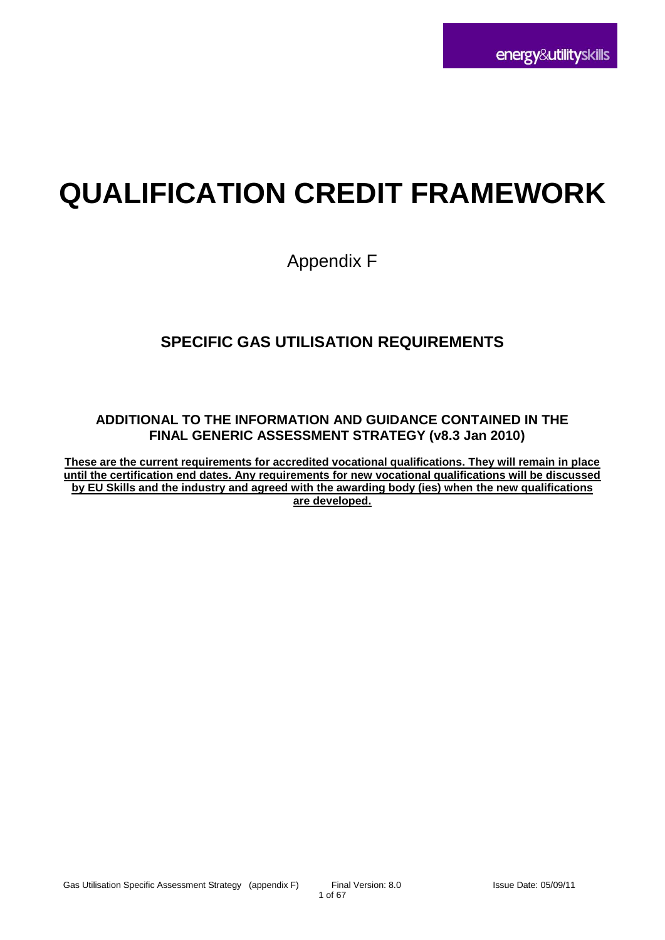# **QUALIFICATION CREDIT FRAMEWORK**

# Appendix F

# **SPECIFIC GAS UTILISATION REQUIREMENTS**

## **ADDITIONAL TO THE INFORMATION AND GUIDANCE CONTAINED IN THE FINAL GENERIC ASSESSMENT STRATEGY (v8.3 Jan 2010)**

**These are the current requirements for accredited vocational qualifications. They will remain in place until the certification end dates. Any requirements for new vocational qualifications will be discussed by EU Skills and the industry and agreed with the awarding body (ies) when the new qualifications are developed.**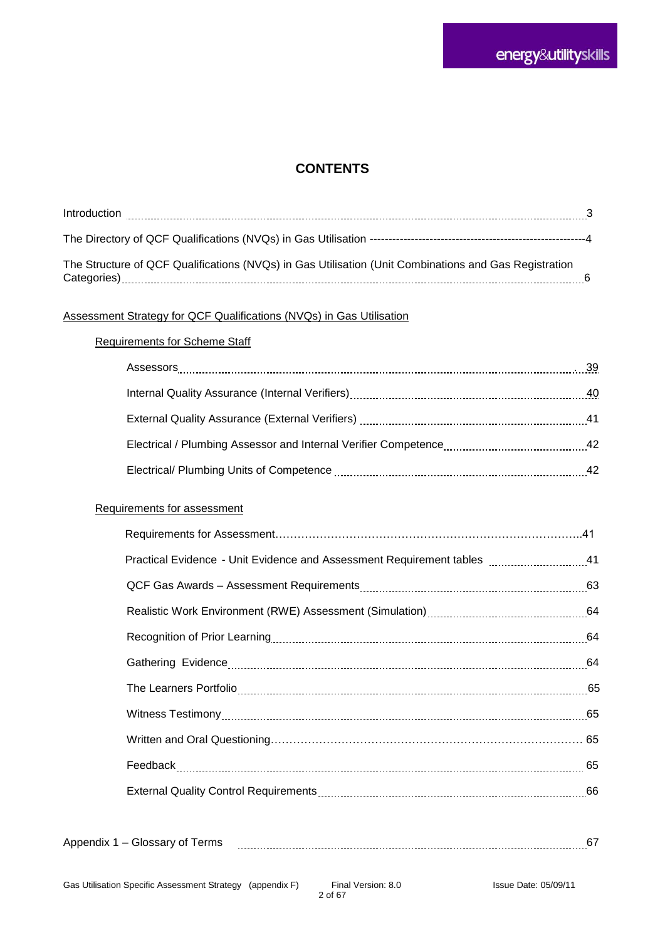# **CONTENTS**

| Introduction                                                                                                         |  |
|----------------------------------------------------------------------------------------------------------------------|--|
|                                                                                                                      |  |
| The Structure of QCF Qualifications (NVQs) in Gas Utilisation (Unit Combinations and Gas Registration<br>Categories) |  |

### Assessment Strategy for QCF Qualifications (NVQs) in Gas Utilisation

#### Requirements for Scheme Staff

|                                                                                                                                                       | . 39 |
|-------------------------------------------------------------------------------------------------------------------------------------------------------|------|
| Internal Quality Assurance (Internal Verifiers) [11] [2012] [2012] [2013] [2013] [2013] [2013] [2013] [2013] [                                        | 40   |
|                                                                                                                                                       |      |
| Electrical / Plumbing Assessor and Internal Verifier Competence [11, 2011] [12, 2012] Electrical / Plumbing Assessor and Internal Verifier Competence | 42   |
|                                                                                                                                                       | 42   |

#### Requirements for assessment

|--|--|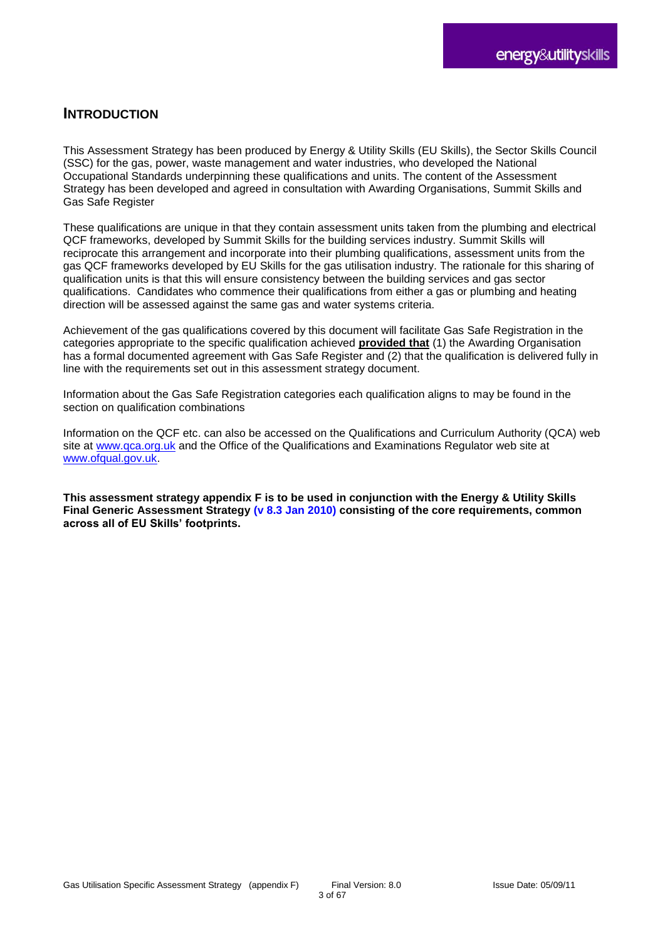# **INTRODUCTION**

This Assessment Strategy has been produced by Energy & Utility Skills (EU Skills), the Sector Skills Council (SSC) for the gas, power, waste management and water industries, who developed the National Occupational Standards underpinning these qualifications and units. The content of the Assessment Strategy has been developed and agreed in consultation with Awarding Organisations, Summit Skills and Gas Safe Register

These qualifications are unique in that they contain assessment units taken from the plumbing and electrical QCF frameworks, developed by Summit Skills for the building services industry. Summit Skills will reciprocate this arrangement and incorporate into their plumbing qualifications, assessment units from the gas QCF frameworks developed by EU Skills for the gas utilisation industry. The rationale for this sharing of qualification units is that this will ensure consistency between the building services and gas sector qualifications. Candidates who commence their qualifications from either a gas or plumbing and heating direction will be assessed against the same gas and water systems criteria.

Achievement of the gas qualifications covered by this document will facilitate Gas Safe Registration in the categories appropriate to the specific qualification achieved **provided that** (1) the Awarding Organisation has a formal documented agreement with Gas Safe Register and (2) that the qualification is delivered fully in line with the requirements set out in this assessment strategy document.

Information about the Gas Safe Registration categories each qualification aligns to may be found in the section on qualification combinations

Information on the QCF etc. can also be accessed on the Qualifications and Curriculum Authority (QCA) web site at [www.qca.org.uk](http://www.qca.org.uk/) and the Office of the Qualifications and Examinations Regulator web site at [www.ofqual.gov.uk.](http://www.ofqual.gov.uk/)

**This assessment strategy appendix F is to be used in conjunction with the Energy & Utility Skills Final Generic Assessment Strategy (v 8.3 Jan 2010) consisting of the core requirements, common across all of EU Skills' footprints.**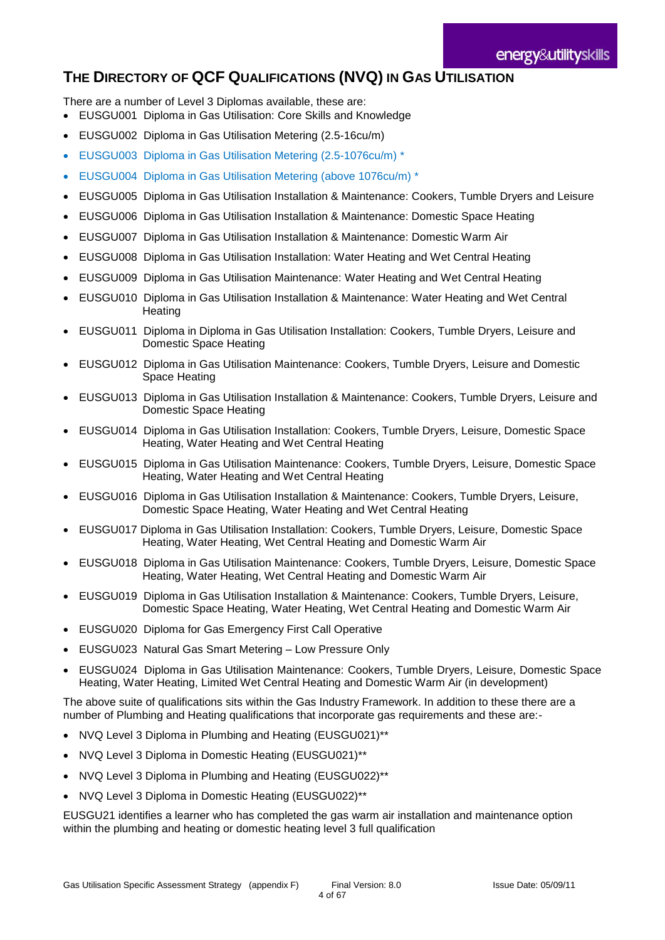# **THE DIRECTORY OF QCF QUALIFICATIONS (NVQ) IN GAS UTILISATION**

There are a number of Level 3 Diplomas available, these are:

- EUSGU001 Diploma in Gas Utilisation: Core Skills and Knowledge
- EUSGU002 Diploma in Gas Utilisation Metering (2.5-16cu/m)
- EUSGU003 Diploma in Gas Utilisation Metering (2.5-1076cu/m) \*
- EUSGU004 Diploma in Gas Utilisation Metering (above 1076cu/m) \*
- EUSGU005 Diploma in Gas Utilisation Installation & Maintenance: Cookers, Tumble Dryers and Leisure
- EUSGU006 Diploma in Gas Utilisation Installation & Maintenance: Domestic Space Heating
- EUSGU007 Diploma in Gas Utilisation Installation & Maintenance: Domestic Warm Air
- EUSGU008 Diploma in Gas Utilisation Installation: Water Heating and Wet Central Heating
- EUSGU009 Diploma in Gas Utilisation Maintenance: Water Heating and Wet Central Heating
- EUSGU010 Diploma in Gas Utilisation Installation & Maintenance: Water Heating and Wet Central **Heating**
- EUSGU011 Diploma in Diploma in Gas Utilisation Installation: Cookers, Tumble Dryers, Leisure and Domestic Space Heating
- EUSGU012 Diploma in Gas Utilisation Maintenance: Cookers, Tumble Dryers, Leisure and Domestic Space Heating
- EUSGU013 Diploma in Gas Utilisation Installation & Maintenance: Cookers, Tumble Dryers, Leisure and Domestic Space Heating
- EUSGU014 Diploma in Gas Utilisation Installation: Cookers, Tumble Dryers, Leisure, Domestic Space Heating, Water Heating and Wet Central Heating
- EUSGU015 Diploma in Gas Utilisation Maintenance: Cookers, Tumble Dryers, Leisure, Domestic Space Heating, Water Heating and Wet Central Heating
- EUSGU016 Diploma in Gas Utilisation Installation & Maintenance: Cookers, Tumble Dryers, Leisure, Domestic Space Heating, Water Heating and Wet Central Heating
- EUSGU017 Diploma in Gas Utilisation Installation: Cookers, Tumble Dryers, Leisure, Domestic Space Heating, Water Heating, Wet Central Heating and Domestic Warm Air
- EUSGU018 Diploma in Gas Utilisation Maintenance: Cookers, Tumble Dryers, Leisure, Domestic Space Heating, Water Heating, Wet Central Heating and Domestic Warm Air
- EUSGU019 Diploma in Gas Utilisation Installation & Maintenance: Cookers, Tumble Dryers, Leisure, Domestic Space Heating, Water Heating, Wet Central Heating and Domestic Warm Air
- EUSGU020 Diploma for Gas Emergency First Call Operative
- EUSGU023 Natural Gas Smart Metering Low Pressure Only
- EUSGU024 Diploma in Gas Utilisation Maintenance: Cookers, Tumble Dryers, Leisure, Domestic Space Heating, Water Heating, Limited Wet Central Heating and Domestic Warm Air (in development)

The above suite of qualifications sits within the Gas Industry Framework. In addition to these there are a number of Plumbing and Heating qualifications that incorporate gas requirements and these are:-

- NVQ Level 3 Diploma in Plumbing and Heating (EUSGU021)\*\*
- NVQ Level 3 Diploma in Domestic Heating (EUSGU021)\*\*
- NVQ Level 3 Diploma in Plumbing and Heating (EUSGU022)\*\*
- NVQ Level 3 Diploma in Domestic Heating (EUSGU022)\*\*

EUSGU21 identifies a learner who has completed the gas warm air installation and maintenance option within the plumbing and heating or domestic heating level 3 full qualification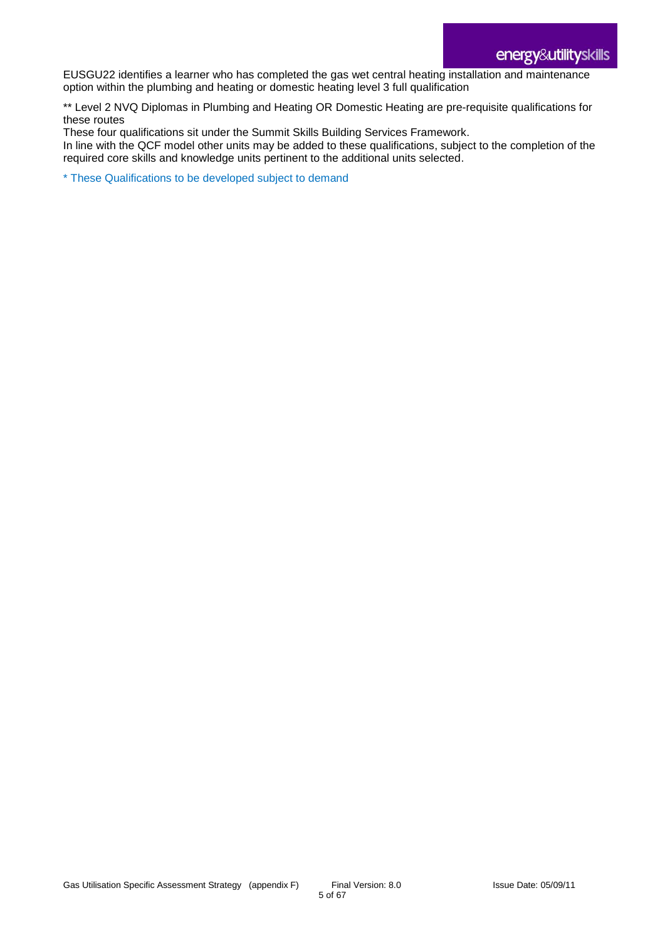EUSGU22 identifies a learner who has completed the gas wet central heating installation and maintenance option within the plumbing and heating or domestic heating level 3 full qualification

\*\* Level 2 NVQ Diplomas in Plumbing and Heating OR Domestic Heating are pre-requisite qualifications for these routes

These four qualifications sit under the Summit Skills Building Services Framework.

In line with the QCF model other units may be added to these qualifications, subject to the completion of the required core skills and knowledge units pertinent to the additional units selected.

\* These Qualifications to be developed subject to demand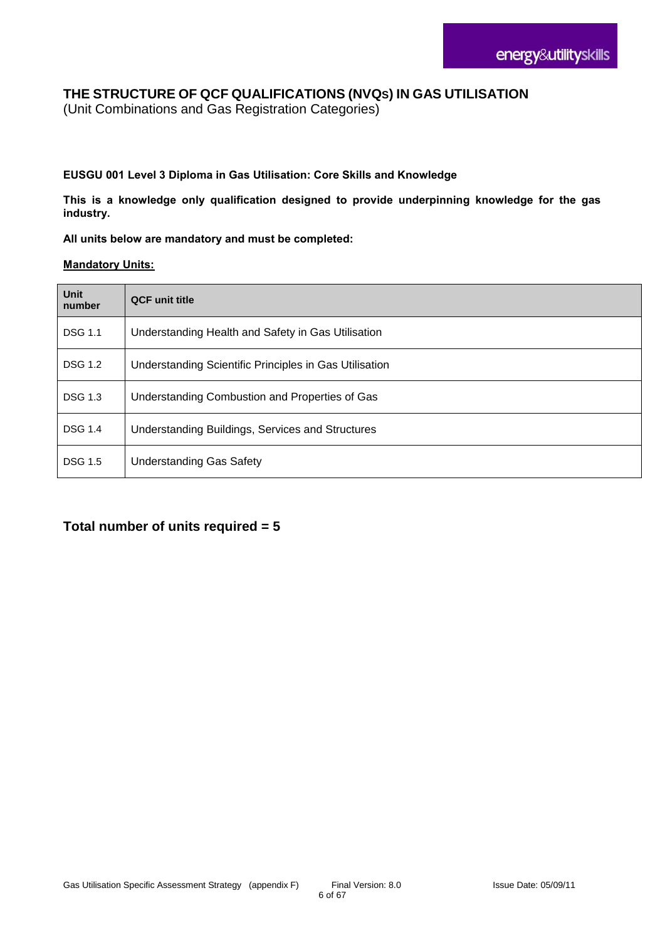# **THE STRUCTURE OF QCF QUALIFICATIONS (NVQS) IN GAS UTILISATION**

(Unit Combinations and Gas Registration Categories)

#### **EUSGU 001 Level 3 Diploma in Gas Utilisation: Core Skills and Knowledge**

**This is a knowledge only qualification designed to provide underpinning knowledge for the gas industry.**

#### **All units below are mandatory and must be completed:**

#### **Mandatory Units:**

| Unit<br>number | <b>QCF</b> unit title                                  |
|----------------|--------------------------------------------------------|
| <b>DSG 1.1</b> | Understanding Health and Safety in Gas Utilisation     |
| <b>DSG 1.2</b> | Understanding Scientific Principles in Gas Utilisation |
| <b>DSG 1.3</b> | Understanding Combustion and Properties of Gas         |
| <b>DSG 1.4</b> | Understanding Buildings, Services and Structures       |
| <b>DSG 1.5</b> | <b>Understanding Gas Safety</b>                        |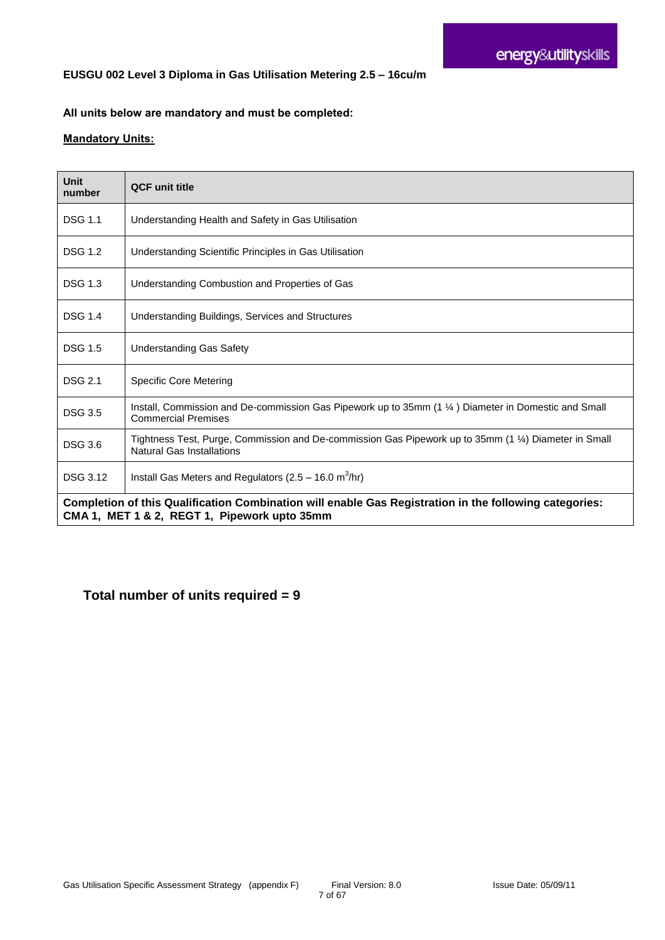#### **EUSGU 002 Level 3 Diploma in Gas Utilisation Metering 2.5 – 16cu/m**

#### **All units below are mandatory and must be completed:**

#### **Mandatory Units:**

| Unit<br>number                                                                                                                                         | <b>QCF</b> unit title                                                                                                                        |
|--------------------------------------------------------------------------------------------------------------------------------------------------------|----------------------------------------------------------------------------------------------------------------------------------------------|
| <b>DSG 1.1</b>                                                                                                                                         | Understanding Health and Safety in Gas Utilisation                                                                                           |
| <b>DSG 1.2</b>                                                                                                                                         | Understanding Scientific Principles in Gas Utilisation                                                                                       |
| <b>DSG 1.3</b>                                                                                                                                         | Understanding Combustion and Properties of Gas                                                                                               |
| <b>DSG 1.4</b>                                                                                                                                         | Understanding Buildings, Services and Structures                                                                                             |
| <b>DSG 1.5</b>                                                                                                                                         | <b>Understanding Gas Safety</b>                                                                                                              |
| <b>DSG 2.1</b>                                                                                                                                         | <b>Specific Core Metering</b>                                                                                                                |
| <b>DSG 3.5</b>                                                                                                                                         | Install, Commission and De-commission Gas Pipework up to 35mm $(1 \frac{1}{4})$ Diameter in Domestic and Small<br><b>Commercial Premises</b> |
| <b>DSG 3.6</b>                                                                                                                                         | Tightness Test, Purge, Commission and De-commission Gas Pipework up to 35mm (1 ¼) Diameter in Small<br><b>Natural Gas Installations</b>      |
| <b>DSG 3.12</b>                                                                                                                                        | Install Gas Meters and Regulators ( $2.5 - 16.0$ m <sup>3</sup> /hr)                                                                         |
| Completion of this Qualification Combination will enable Gas Registration in the following categories:<br>CMA 1, MET 1 & 2, REGT 1, Pipework upto 35mm |                                                                                                                                              |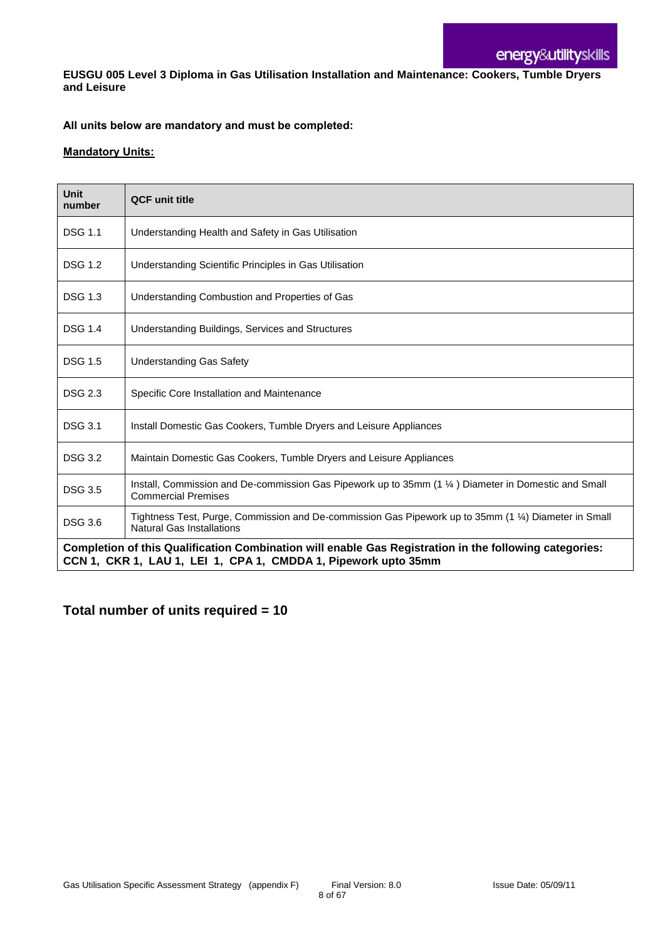**EUSGU 005 Level 3 Diploma in Gas Utilisation Installation and Maintenance: Cookers, Tumble Dryers and Leisure**

#### **All units below are mandatory and must be completed:**

#### **Mandatory Units:**

| <b>Unit</b><br>number                                                                                                                                                    | <b>QCF unit title</b>                                                                                                                     |
|--------------------------------------------------------------------------------------------------------------------------------------------------------------------------|-------------------------------------------------------------------------------------------------------------------------------------------|
| <b>DSG 1.1</b>                                                                                                                                                           | Understanding Health and Safety in Gas Utilisation                                                                                        |
| <b>DSG 1.2</b>                                                                                                                                                           | Understanding Scientific Principles in Gas Utilisation                                                                                    |
| <b>DSG 1.3</b>                                                                                                                                                           | Understanding Combustion and Properties of Gas                                                                                            |
| <b>DSG 1.4</b>                                                                                                                                                           | Understanding Buildings, Services and Structures                                                                                          |
| <b>DSG 1.5</b>                                                                                                                                                           | <b>Understanding Gas Safety</b>                                                                                                           |
| <b>DSG 2.3</b>                                                                                                                                                           | Specific Core Installation and Maintenance                                                                                                |
| <b>DSG 3.1</b>                                                                                                                                                           | Install Domestic Gas Cookers, Tumble Dryers and Leisure Appliances                                                                        |
| <b>DSG 3.2</b>                                                                                                                                                           | Maintain Domestic Gas Cookers, Tumble Dryers and Leisure Appliances                                                                       |
| <b>DSG 3.5</b>                                                                                                                                                           | Install, Commission and De-commission Gas Pipework up to 35mm (1 1/4) Diameter in Domestic and Small<br><b>Commercial Premises</b>        |
| <b>DSG 3.6</b>                                                                                                                                                           | Tightness Test, Purge, Commission and De-commission Gas Pipework up to 35mm (1 1/4) Diameter in Small<br><b>Natural Gas Installations</b> |
| Completion of this Qualification Combination will enable Gas Registration in the following categories:<br>CCN 1, CKR 1, LAU 1, LEI 1, CPA 1, CMDDA 1, Pipework upto 35mm |                                                                                                                                           |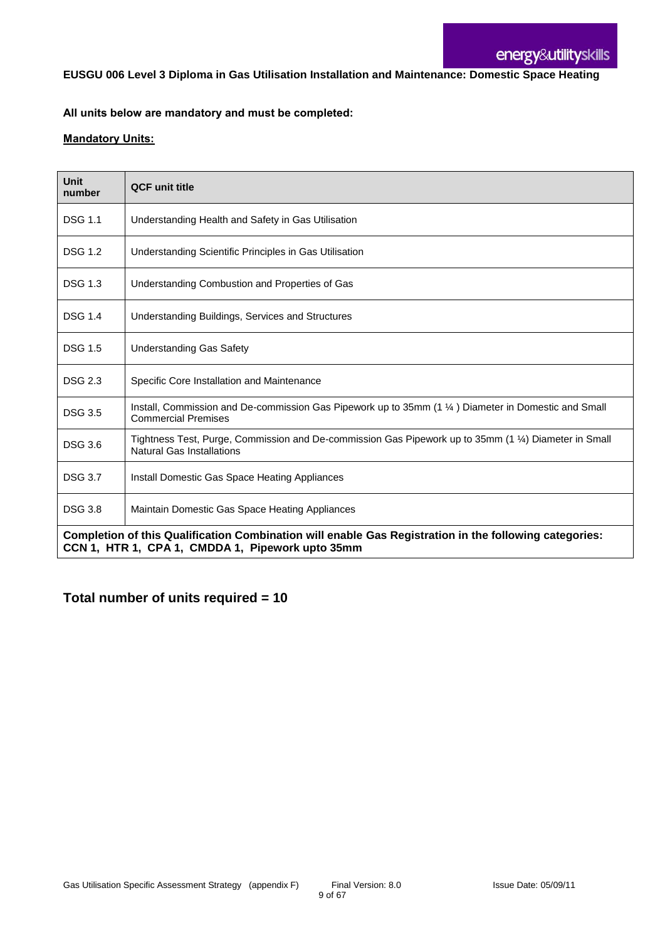**EUSGU 006 Level 3 Diploma in Gas Utilisation Installation and Maintenance: Domestic Space Heating**

#### **All units below are mandatory and must be completed:**

#### **Mandatory Units:**

| <b>Unit</b><br>number | <b>QCF unit title</b>                                                                                                                                      |
|-----------------------|------------------------------------------------------------------------------------------------------------------------------------------------------------|
| <b>DSG 1.1</b>        | Understanding Health and Safety in Gas Utilisation                                                                                                         |
| <b>DSG 1.2</b>        | Understanding Scientific Principles in Gas Utilisation                                                                                                     |
| <b>DSG 1.3</b>        | Understanding Combustion and Properties of Gas                                                                                                             |
| <b>DSG 1.4</b>        | Understanding Buildings, Services and Structures                                                                                                           |
| <b>DSG 1.5</b>        | <b>Understanding Gas Safety</b>                                                                                                                            |
| <b>DSG 2.3</b>        | Specific Core Installation and Maintenance                                                                                                                 |
| <b>DSG 3.5</b>        | Install, Commission and De-commission Gas Pipework up to 35mm (1 1/4) Diameter in Domestic and Small<br><b>Commercial Premises</b>                         |
| <b>DSG 3.6</b>        | Tightness Test, Purge, Commission and De-commission Gas Pipework up to 35mm (1 1/4) Diameter in Small<br><b>Natural Gas Installations</b>                  |
| <b>DSG 3.7</b>        | Install Domestic Gas Space Heating Appliances                                                                                                              |
| <b>DSG 3.8</b>        | Maintain Domestic Gas Space Heating Appliances                                                                                                             |
|                       | Completion of this Qualification Combination will enable Gas Registration in the following categories:<br>CCN 1, HTR 1, CPA 1, CMDDA 1, Pipework upto 35mm |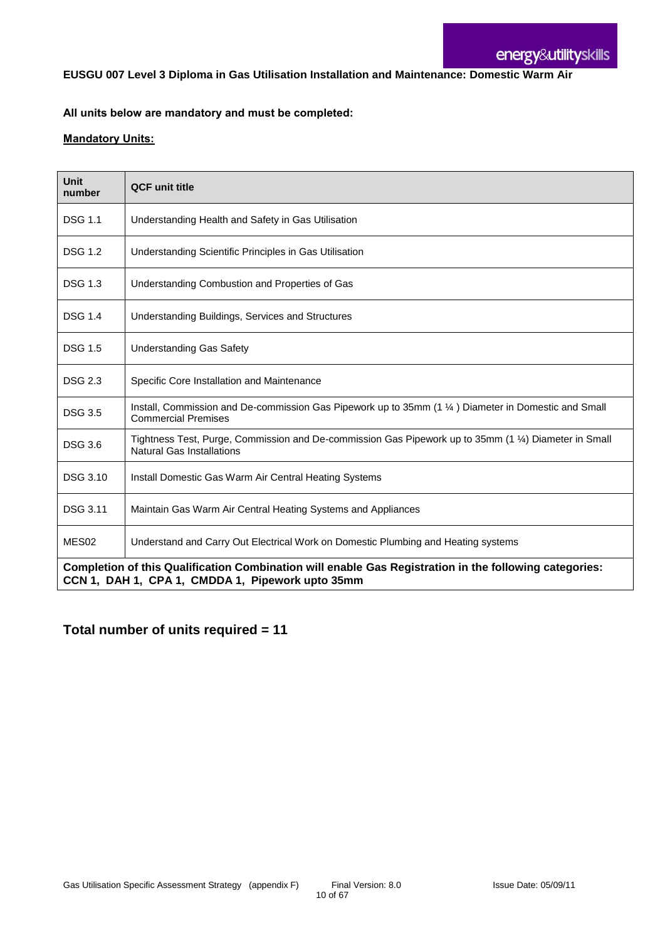**EUSGU 007 Level 3 Diploma in Gas Utilisation Installation and Maintenance: Domestic Warm Air**

#### **All units below are mandatory and must be completed:**

#### **Mandatory Units:**

| Unit<br>number                                                                                                                                             | <b>QCF unit title</b>                                                                                                                     |
|------------------------------------------------------------------------------------------------------------------------------------------------------------|-------------------------------------------------------------------------------------------------------------------------------------------|
| <b>DSG 1.1</b>                                                                                                                                             | Understanding Health and Safety in Gas Utilisation                                                                                        |
| <b>DSG 1.2</b>                                                                                                                                             | Understanding Scientific Principles in Gas Utilisation                                                                                    |
| <b>DSG 1.3</b>                                                                                                                                             | Understanding Combustion and Properties of Gas                                                                                            |
| <b>DSG 1.4</b>                                                                                                                                             | Understanding Buildings, Services and Structures                                                                                          |
| <b>DSG 1.5</b>                                                                                                                                             | <b>Understanding Gas Safety</b>                                                                                                           |
| <b>DSG 2.3</b>                                                                                                                                             | Specific Core Installation and Maintenance                                                                                                |
| <b>DSG 3.5</b>                                                                                                                                             | Install, Commission and De-commission Gas Pipework up to 35mm (1 1/4) Diameter in Domestic and Small<br><b>Commercial Premises</b>        |
| <b>DSG 3.6</b>                                                                                                                                             | Tightness Test, Purge, Commission and De-commission Gas Pipework up to 35mm (1 1/4) Diameter in Small<br><b>Natural Gas Installations</b> |
| <b>DSG 3.10</b>                                                                                                                                            | Install Domestic Gas Warm Air Central Heating Systems                                                                                     |
| DSG 3.11                                                                                                                                                   | Maintain Gas Warm Air Central Heating Systems and Appliances                                                                              |
| MES <sub>02</sub>                                                                                                                                          | Understand and Carry Out Electrical Work on Domestic Plumbing and Heating systems                                                         |
| Completion of this Qualification Combination will enable Gas Registration in the following categories:<br>CCN 1, DAH 1, CPA 1, CMDDA 1, Pipework upto 35mm |                                                                                                                                           |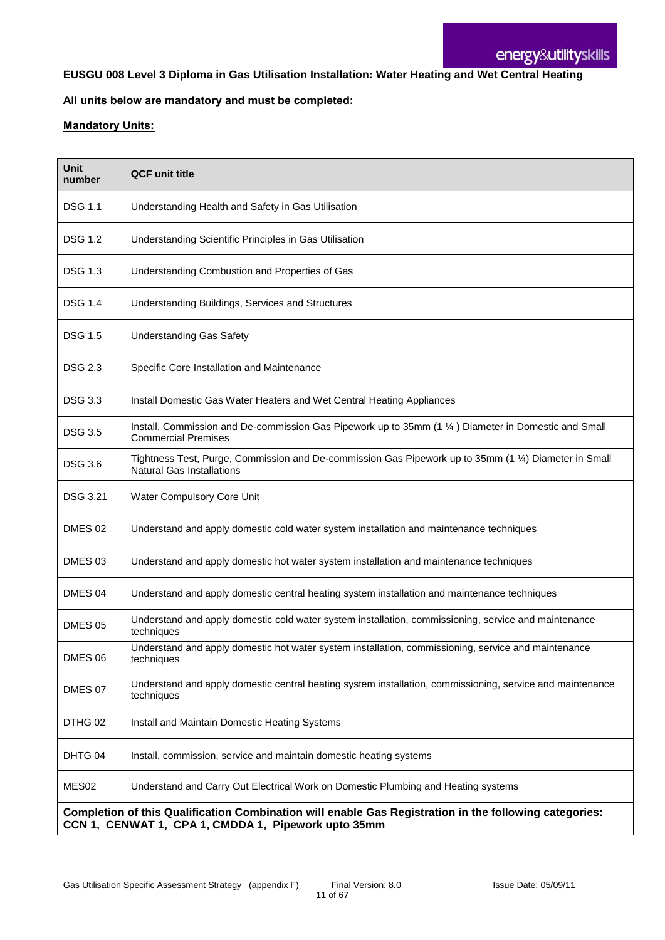### **EUSGU 008 Level 3 Diploma in Gas Utilisation Installation: Water Heating and Wet Central Heating**

#### **All units below are mandatory and must be completed:**

| <b>Unit</b><br>number                                                                                                                                         | <b>QCF unit title</b>                                                                                                                     |
|---------------------------------------------------------------------------------------------------------------------------------------------------------------|-------------------------------------------------------------------------------------------------------------------------------------------|
| <b>DSG 1.1</b>                                                                                                                                                | Understanding Health and Safety in Gas Utilisation                                                                                        |
| <b>DSG 1.2</b>                                                                                                                                                | Understanding Scientific Principles in Gas Utilisation                                                                                    |
| <b>DSG 1.3</b>                                                                                                                                                | Understanding Combustion and Properties of Gas                                                                                            |
| DSG 1.4                                                                                                                                                       | Understanding Buildings, Services and Structures                                                                                          |
| <b>DSG 1.5</b>                                                                                                                                                | <b>Understanding Gas Safety</b>                                                                                                           |
| <b>DSG 2.3</b>                                                                                                                                                | Specific Core Installation and Maintenance                                                                                                |
| <b>DSG 3.3</b>                                                                                                                                                | Install Domestic Gas Water Heaters and Wet Central Heating Appliances                                                                     |
| <b>DSG 3.5</b>                                                                                                                                                | Install, Commission and De-commission Gas Pipework up to 35mm (1 1/4) Diameter in Domestic and Small<br><b>Commercial Premises</b>        |
| <b>DSG 3.6</b>                                                                                                                                                | Tightness Test, Purge, Commission and De-commission Gas Pipework up to 35mm (1 1/4) Diameter in Small<br><b>Natural Gas Installations</b> |
| DSG 3.21                                                                                                                                                      | Water Compulsory Core Unit                                                                                                                |
| DMES <sub>02</sub>                                                                                                                                            | Understand and apply domestic cold water system installation and maintenance techniques                                                   |
| DMES <sub>03</sub>                                                                                                                                            | Understand and apply domestic hot water system installation and maintenance techniques                                                    |
| DMES 04                                                                                                                                                       | Understand and apply domestic central heating system installation and maintenance techniques                                              |
| <b>DMES 05</b>                                                                                                                                                | Understand and apply domestic cold water system installation, commissioning, service and maintenance<br>techniques                        |
| DMES 06                                                                                                                                                       | Understand and apply domestic hot water system installation, commissioning, service and maintenance<br>techniques                         |
| <b>DMES 07</b>                                                                                                                                                | Understand and apply domestic central heating system installation, commissioning, service and maintenance<br>techniques                   |
| DTHG 02                                                                                                                                                       | Install and Maintain Domestic Heating Systems                                                                                             |
| DHTG 04                                                                                                                                                       | Install, commission, service and maintain domestic heating systems                                                                        |
| MES <sub>02</sub>                                                                                                                                             | Understand and Carry Out Electrical Work on Domestic Plumbing and Heating systems                                                         |
| Completion of this Qualification Combination will enable Gas Registration in the following categories:<br>CCN 1, CENWAT 1, CPA 1, CMDDA 1, Pipework upto 35mm |                                                                                                                                           |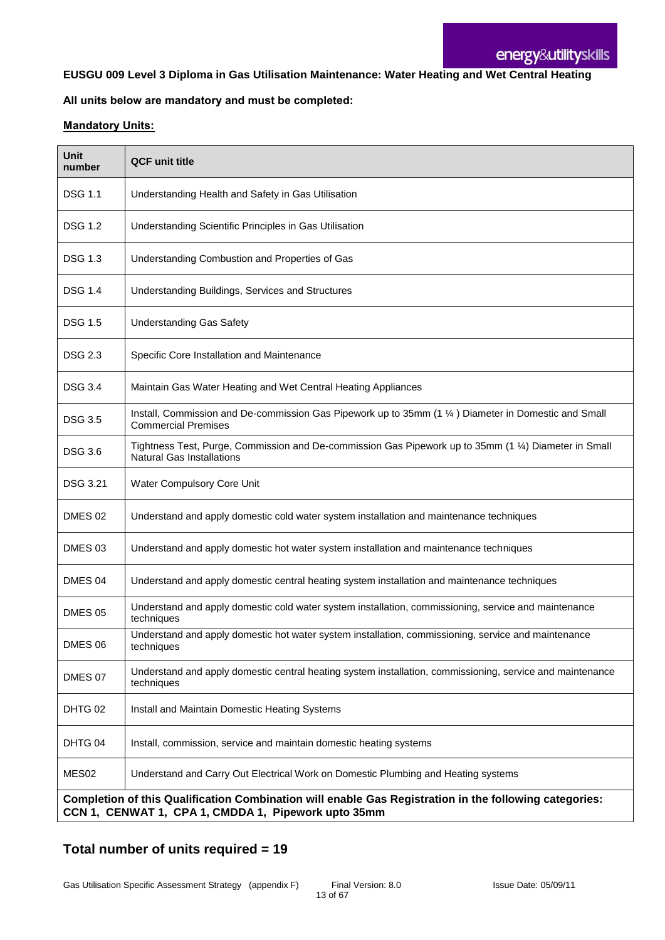#### **EUSGU 009 Level 3 Diploma in Gas Utilisation Maintenance: Water Heating and Wet Central Heating**

### **All units below are mandatory and must be completed:**

#### **Mandatory Units:**

| <b>Unit</b><br>number | <b>QCF unit title</b>                                                                                                                                         |
|-----------------------|---------------------------------------------------------------------------------------------------------------------------------------------------------------|
| <b>DSG 1.1</b>        | Understanding Health and Safety in Gas Utilisation                                                                                                            |
| <b>DSG 1.2</b>        | Understanding Scientific Principles in Gas Utilisation                                                                                                        |
| <b>DSG 1.3</b>        | Understanding Combustion and Properties of Gas                                                                                                                |
| <b>DSG 1.4</b>        | Understanding Buildings, Services and Structures                                                                                                              |
| <b>DSG 1.5</b>        | <b>Understanding Gas Safety</b>                                                                                                                               |
| <b>DSG 2.3</b>        | Specific Core Installation and Maintenance                                                                                                                    |
| <b>DSG 3.4</b>        | Maintain Gas Water Heating and Wet Central Heating Appliances                                                                                                 |
| <b>DSG 3.5</b>        | Install, Commission and De-commission Gas Pipework up to 35mm (1 1/4) Diameter in Domestic and Small<br><b>Commercial Premises</b>                            |
| <b>DSG 3.6</b>        | Tightness Test, Purge, Commission and De-commission Gas Pipework up to 35mm (1 1/4) Diameter in Small<br><b>Natural Gas Installations</b>                     |
| <b>DSG 3.21</b>       | Water Compulsory Core Unit                                                                                                                                    |
| DMES 02               | Understand and apply domestic cold water system installation and maintenance techniques                                                                       |
| DMES <sub>03</sub>    | Understand and apply domestic hot water system installation and maintenance techniques                                                                        |
| DMES 04               | Understand and apply domestic central heating system installation and maintenance techniques                                                                  |
| <b>DMES 05</b>        | Understand and apply domestic cold water system installation, commissioning, service and maintenance<br>techniques                                            |
| DMES 06               | Understand and apply domestic hot water system installation, commissioning, service and maintenance<br>techniques                                             |
| DMES 07               | Understand and apply domestic central heating system installation, commissioning, service and maintenance<br>techniques                                       |
| DHTG 02               | Install and Maintain Domestic Heating Systems                                                                                                                 |
| DHTG 04               | Install, commission, service and maintain domestic heating systems                                                                                            |
| MES <sub>02</sub>     | Understand and Carry Out Electrical Work on Domestic Plumbing and Heating systems                                                                             |
|                       | Completion of this Qualification Combination will enable Gas Registration in the following categories:<br>CCN 1, CENWAT 1, CPA 1, CMDDA 1, Pipework upto 35mm |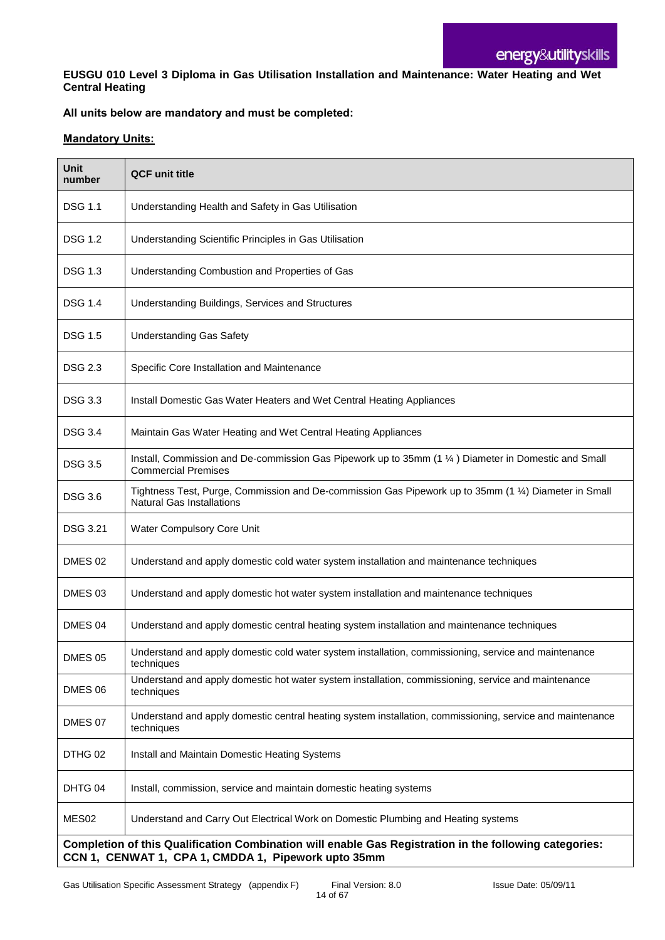**EUSGU 010 Level 3 Diploma in Gas Utilisation Installation and Maintenance: Water Heating and Wet Central Heating**

#### **All units below are mandatory and must be completed:**

| <b>Unit</b><br>number | <b>QCF unit title</b>                                                                                                                                         |
|-----------------------|---------------------------------------------------------------------------------------------------------------------------------------------------------------|
| DSG 1.1               | Understanding Health and Safety in Gas Utilisation                                                                                                            |
| <b>DSG 1.2</b>        | Understanding Scientific Principles in Gas Utilisation                                                                                                        |
| <b>DSG 1.3</b>        | Understanding Combustion and Properties of Gas                                                                                                                |
| <b>DSG 1.4</b>        | Understanding Buildings, Services and Structures                                                                                                              |
| <b>DSG 1.5</b>        | <b>Understanding Gas Safety</b>                                                                                                                               |
| DSG 2.3               | Specific Core Installation and Maintenance                                                                                                                    |
| <b>DSG 3.3</b>        | Install Domestic Gas Water Heaters and Wet Central Heating Appliances                                                                                         |
| <b>DSG 3.4</b>        | Maintain Gas Water Heating and Wet Central Heating Appliances                                                                                                 |
| <b>DSG 3.5</b>        | Install, Commission and De-commission Gas Pipework up to 35mm (1 1/4) Diameter in Domestic and Small<br><b>Commercial Premises</b>                            |
| <b>DSG 3.6</b>        | Tightness Test, Purge, Commission and De-commission Gas Pipework up to 35mm (1 1/4) Diameter in Small<br><b>Natural Gas Installations</b>                     |
| DSG 3.21              | Water Compulsory Core Unit                                                                                                                                    |
| DMES 02               | Understand and apply domestic cold water system installation and maintenance techniques                                                                       |
| DMES <sub>03</sub>    | Understand and apply domestic hot water system installation and maintenance techniques                                                                        |
| DMES 04               | Understand and apply domestic central heating system installation and maintenance techniques                                                                  |
| <b>DMES 05</b>        | Understand and apply domestic cold water system installation, commissioning, service and maintenance<br>techniques                                            |
| DMES 06               | Understand and apply domestic hot water system installation, commissioning, service and maintenance<br>techniques                                             |
| DMES 07               | Understand and apply domestic central heating system installation, commissioning, service and maintenance<br>techniques                                       |
| DTHG 02               | Install and Maintain Domestic Heating Systems                                                                                                                 |
| DHTG 04               | Install, commission, service and maintain domestic heating systems                                                                                            |
| MES <sub>02</sub>     | Understand and Carry Out Electrical Work on Domestic Plumbing and Heating systems                                                                             |
|                       | Completion of this Qualification Combination will enable Gas Registration in the following categories:<br>CCN 1, CENWAT 1, CPA 1, CMDDA 1, Pipework upto 35mm |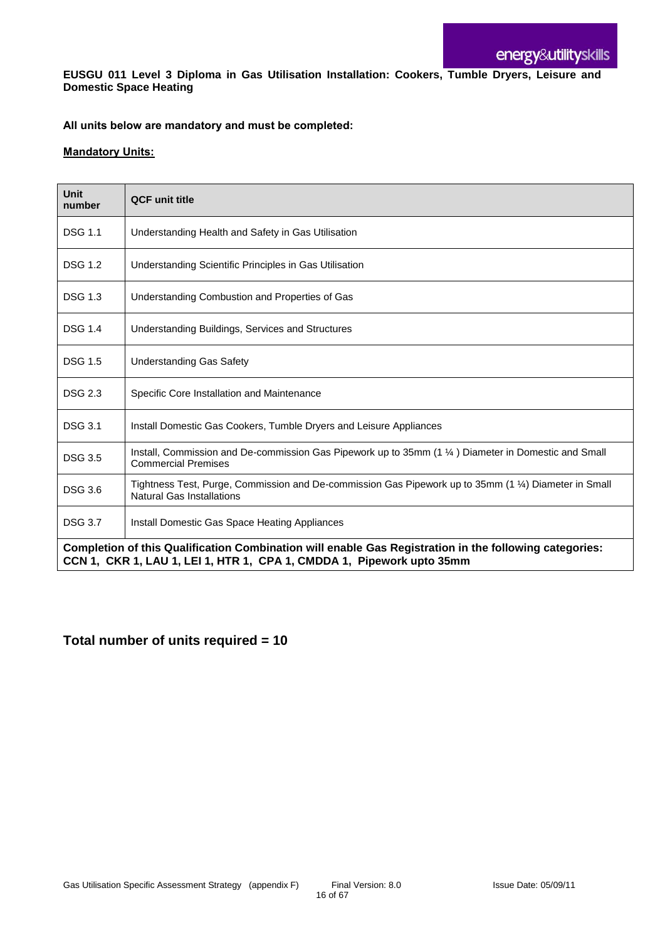**EUSGU 011 Level 3 Diploma in Gas Utilisation Installation: Cookers, Tumble Dryers, Leisure and Domestic Space Heating**

#### **All units below are mandatory and must be completed:**

#### **Mandatory Units:**

| Unit<br>number                                                                                                                                                                  | <b>QCF unit title</b>                                                                                                                     |
|---------------------------------------------------------------------------------------------------------------------------------------------------------------------------------|-------------------------------------------------------------------------------------------------------------------------------------------|
| <b>DSG 1.1</b>                                                                                                                                                                  | Understanding Health and Safety in Gas Utilisation                                                                                        |
| <b>DSG 1.2</b>                                                                                                                                                                  | Understanding Scientific Principles in Gas Utilisation                                                                                    |
| <b>DSG 1.3</b>                                                                                                                                                                  | Understanding Combustion and Properties of Gas                                                                                            |
| <b>DSG 1.4</b>                                                                                                                                                                  | Understanding Buildings, Services and Structures                                                                                          |
| <b>DSG 1.5</b>                                                                                                                                                                  | <b>Understanding Gas Safety</b>                                                                                                           |
| <b>DSG 2.3</b>                                                                                                                                                                  | Specific Core Installation and Maintenance                                                                                                |
| <b>DSG 3.1</b>                                                                                                                                                                  | Install Domestic Gas Cookers, Tumble Dryers and Leisure Appliances                                                                        |
| <b>DSG 3.5</b>                                                                                                                                                                  | Install, Commission and De-commission Gas Pipework up to 35mm (1 1/4) Diameter in Domestic and Small<br><b>Commercial Premises</b>        |
| <b>DSG 3.6</b>                                                                                                                                                                  | Tightness Test, Purge, Commission and De-commission Gas Pipework up to 35mm (1 1/4) Diameter in Small<br><b>Natural Gas Installations</b> |
| <b>DSG 3.7</b>                                                                                                                                                                  | Install Domestic Gas Space Heating Appliances                                                                                             |
| Completion of this Qualification Combination will enable Gas Registration in the following categories:<br>CCN 1, CKR 1, LAU 1, LEI 1, HTR 1, CPA 1, CMDDA 1, Pipework upto 35mm |                                                                                                                                           |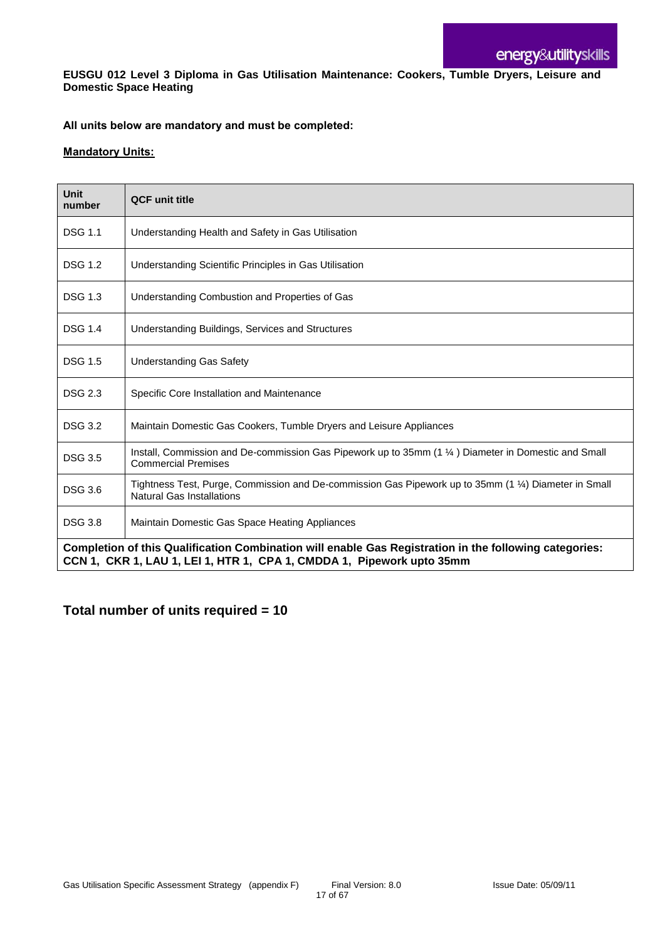**EUSGU 012 Level 3 Diploma in Gas Utilisation Maintenance: Cookers, Tumble Dryers, Leisure and Domestic Space Heating**

#### **All units below are mandatory and must be completed:**

#### **Mandatory Units:**

| Unit<br>number                                                                                                                                                                  | <b>QCF unit title</b>                                                                                                                     |
|---------------------------------------------------------------------------------------------------------------------------------------------------------------------------------|-------------------------------------------------------------------------------------------------------------------------------------------|
| <b>DSG 1.1</b>                                                                                                                                                                  | Understanding Health and Safety in Gas Utilisation                                                                                        |
| <b>DSG 1.2</b>                                                                                                                                                                  | Understanding Scientific Principles in Gas Utilisation                                                                                    |
| <b>DSG 1.3</b>                                                                                                                                                                  | Understanding Combustion and Properties of Gas                                                                                            |
| <b>DSG 1.4</b>                                                                                                                                                                  | Understanding Buildings, Services and Structures                                                                                          |
| <b>DSG 1.5</b>                                                                                                                                                                  | <b>Understanding Gas Safety</b>                                                                                                           |
| <b>DSG 2.3</b>                                                                                                                                                                  | Specific Core Installation and Maintenance                                                                                                |
| <b>DSG 3.2</b>                                                                                                                                                                  | Maintain Domestic Gas Cookers, Tumble Dryers and Leisure Appliances                                                                       |
| <b>DSG 3.5</b>                                                                                                                                                                  | Install, Commission and De-commission Gas Pipework up to 35mm (1 1/4) Diameter in Domestic and Small<br><b>Commercial Premises</b>        |
| <b>DSG 3.6</b>                                                                                                                                                                  | Tightness Test, Purge, Commission and De-commission Gas Pipework up to 35mm (1 1/4) Diameter in Small<br><b>Natural Gas Installations</b> |
| <b>DSG 3.8</b>                                                                                                                                                                  | Maintain Domestic Gas Space Heating Appliances                                                                                            |
| Completion of this Qualification Combination will enable Gas Registration in the following categories:<br>CCN 1, CKR 1, LAU 1, LEI 1, HTR 1, CPA 1, CMDDA 1, Pipework upto 35mm |                                                                                                                                           |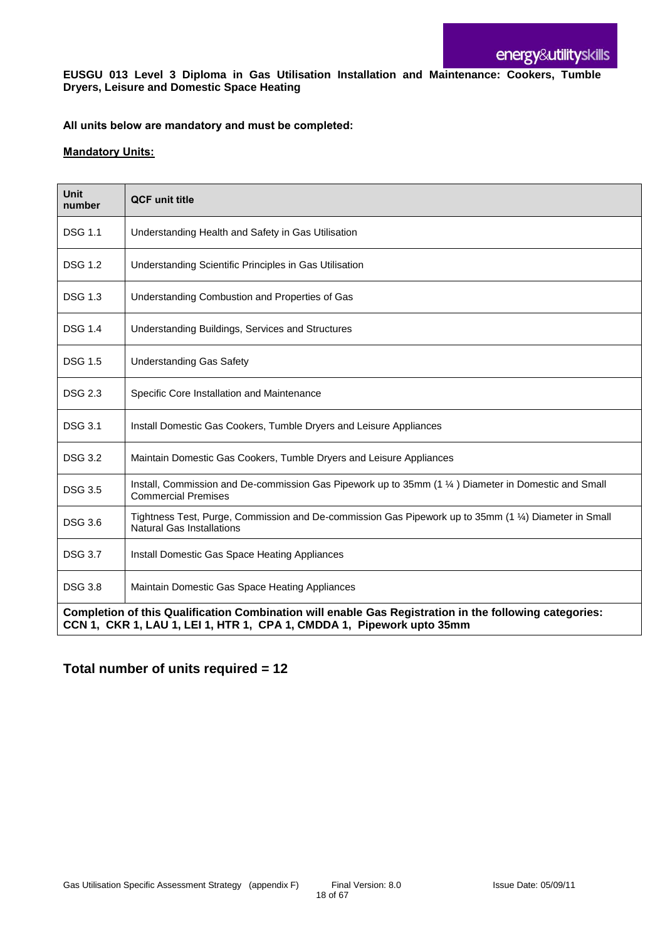#### **EUSGU 013 Level 3 Diploma in Gas Utilisation Installation and Maintenance: Cookers, Tumble Dryers, Leisure and Domestic Space Heating**

#### **All units below are mandatory and must be completed:**

#### **Mandatory Units:**

| <b>Unit</b><br>number                                                                                                                                                           | <b>QCF</b> unit title                                                                                                                     |
|---------------------------------------------------------------------------------------------------------------------------------------------------------------------------------|-------------------------------------------------------------------------------------------------------------------------------------------|
| <b>DSG 1.1</b>                                                                                                                                                                  | Understanding Health and Safety in Gas Utilisation                                                                                        |
| <b>DSG 1.2</b>                                                                                                                                                                  | Understanding Scientific Principles in Gas Utilisation                                                                                    |
| <b>DSG 1.3</b>                                                                                                                                                                  | Understanding Combustion and Properties of Gas                                                                                            |
| <b>DSG 1.4</b>                                                                                                                                                                  | Understanding Buildings, Services and Structures                                                                                          |
| <b>DSG 1.5</b>                                                                                                                                                                  | <b>Understanding Gas Safety</b>                                                                                                           |
| <b>DSG 2.3</b>                                                                                                                                                                  | Specific Core Installation and Maintenance                                                                                                |
| <b>DSG 3.1</b>                                                                                                                                                                  | Install Domestic Gas Cookers, Tumble Dryers and Leisure Appliances                                                                        |
| <b>DSG 3.2</b>                                                                                                                                                                  | Maintain Domestic Gas Cookers, Tumble Dryers and Leisure Appliances                                                                       |
| <b>DSG 3.5</b>                                                                                                                                                                  | Install, Commission and De-commission Gas Pipework up to 35mm (1 1/4) Diameter in Domestic and Small<br><b>Commercial Premises</b>        |
| <b>DSG 3.6</b>                                                                                                                                                                  | Tightness Test, Purge, Commission and De-commission Gas Pipework up to 35mm (1 1/4) Diameter in Small<br><b>Natural Gas Installations</b> |
| <b>DSG 3.7</b>                                                                                                                                                                  | Install Domestic Gas Space Heating Appliances                                                                                             |
| <b>DSG 3.8</b>                                                                                                                                                                  | Maintain Domestic Gas Space Heating Appliances                                                                                            |
| Completion of this Qualification Combination will enable Gas Registration in the following categories:<br>CCN 1, CKR 1, LAU 1, LEI 1, HTR 1, CPA 1, CMDDA 1, Pipework upto 35mm |                                                                                                                                           |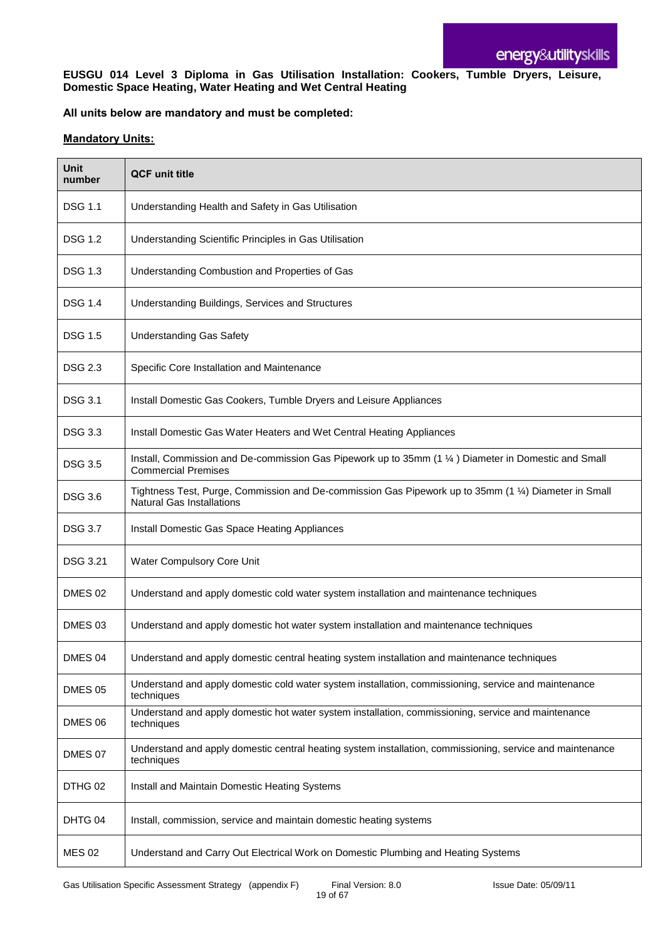#### **EUSGU 014 Level 3 Diploma in Gas Utilisation Installation: Cookers, Tumble Dryers, Leisure, Domestic Space Heating, Water Heating and Wet Central Heating**

#### **All units below are mandatory and must be completed:**

| Unit<br>number     | <b>QCF</b> unit title                                                                                                                     |
|--------------------|-------------------------------------------------------------------------------------------------------------------------------------------|
| <b>DSG 1.1</b>     | Understanding Health and Safety in Gas Utilisation                                                                                        |
| <b>DSG 1.2</b>     | Understanding Scientific Principles in Gas Utilisation                                                                                    |
| <b>DSG 1.3</b>     | Understanding Combustion and Properties of Gas                                                                                            |
| <b>DSG 1.4</b>     | Understanding Buildings, Services and Structures                                                                                          |
| <b>DSG 1.5</b>     | <b>Understanding Gas Safety</b>                                                                                                           |
| <b>DSG 2.3</b>     | Specific Core Installation and Maintenance                                                                                                |
| <b>DSG 3.1</b>     | Install Domestic Gas Cookers, Tumble Dryers and Leisure Appliances                                                                        |
| <b>DSG 3.3</b>     | Install Domestic Gas Water Heaters and Wet Central Heating Appliances                                                                     |
| <b>DSG 3.5</b>     | Install, Commission and De-commission Gas Pipework up to 35mm (1 1/4) Diameter in Domestic and Small<br><b>Commercial Premises</b>        |
| <b>DSG 3.6</b>     | Tightness Test, Purge, Commission and De-commission Gas Pipework up to 35mm (1 1/4) Diameter in Small<br><b>Natural Gas Installations</b> |
| <b>DSG 3.7</b>     | Install Domestic Gas Space Heating Appliances                                                                                             |
| <b>DSG 3.21</b>    | Water Compulsory Core Unit                                                                                                                |
| DMES 02            | Understand and apply domestic cold water system installation and maintenance techniques                                                   |
| DMES <sub>03</sub> | Understand and apply domestic hot water system installation and maintenance techniques                                                    |
| DMES 04            | Understand and apply domestic central heating system installation and maintenance techniques                                              |
| <b>DMES 05</b>     | Understand and apply domestic cold water system installation, commissioning, service and maintenance<br>techniques                        |
| DMES 06            | Understand and apply domestic hot water system installation, commissioning, service and maintenance<br>techniques                         |
| DMES 07            | Understand and apply domestic central heating system installation, commissioning, service and maintenance<br>techniques                   |
| DTHG 02            | Install and Maintain Domestic Heating Systems                                                                                             |
| DHTG 04            | Install, commission, service and maintain domestic heating systems                                                                        |
| <b>MES 02</b>      | Understand and Carry Out Electrical Work on Domestic Plumbing and Heating Systems                                                         |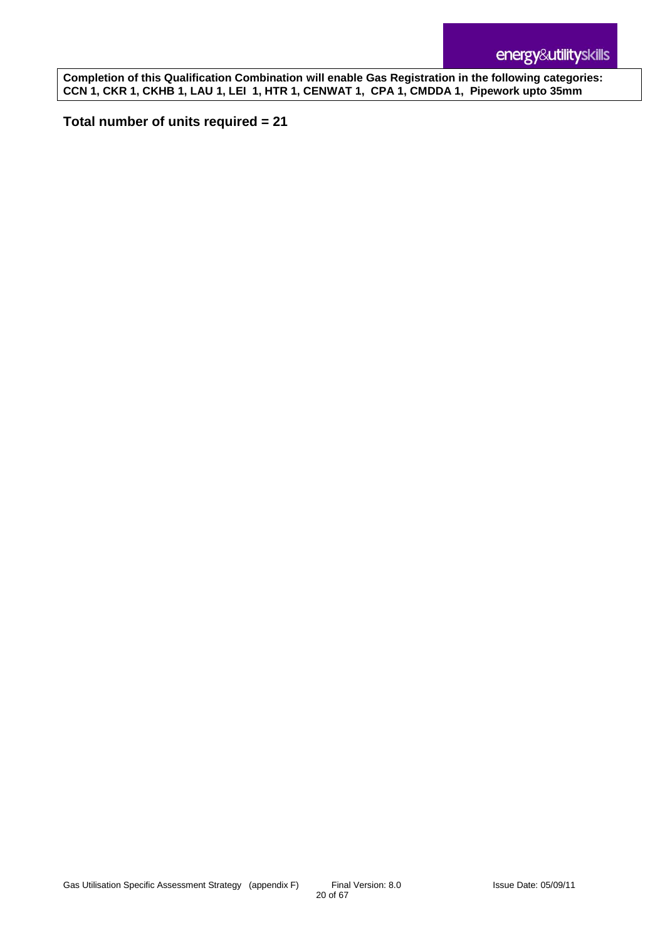**Completion of this Qualification Combination will enable Gas Registration in the following categories: CCN 1, CKR 1, CKHB 1, LAU 1, LEI 1, HTR 1, CENWAT 1, CPA 1, CMDDA 1, Pipework upto 35mm**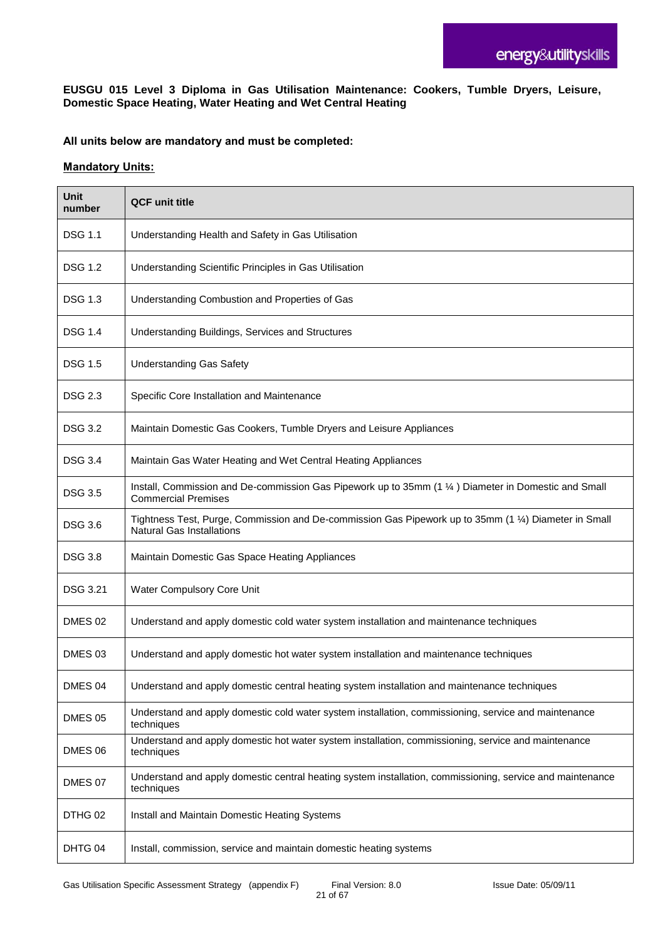#### **EUSGU 015 Level 3 Diploma in Gas Utilisation Maintenance: Cookers, Tumble Dryers, Leisure, Domestic Space Heating, Water Heating and Wet Central Heating**

#### **All units below are mandatory and must be completed:**

| <b>Unit</b><br>number | <b>QCF unit title</b>                                                                                                                     |
|-----------------------|-------------------------------------------------------------------------------------------------------------------------------------------|
| <b>DSG 1.1</b>        | Understanding Health and Safety in Gas Utilisation                                                                                        |
| <b>DSG 1.2</b>        | Understanding Scientific Principles in Gas Utilisation                                                                                    |
| <b>DSG 1.3</b>        | Understanding Combustion and Properties of Gas                                                                                            |
| <b>DSG 1.4</b>        | Understanding Buildings, Services and Structures                                                                                          |
| <b>DSG 1.5</b>        | <b>Understanding Gas Safety</b>                                                                                                           |
| <b>DSG 2.3</b>        | Specific Core Installation and Maintenance                                                                                                |
| <b>DSG 3.2</b>        | Maintain Domestic Gas Cookers, Tumble Dryers and Leisure Appliances                                                                       |
| <b>DSG 3.4</b>        | Maintain Gas Water Heating and Wet Central Heating Appliances                                                                             |
| <b>DSG 3.5</b>        | Install, Commission and De-commission Gas Pipework up to 35mm (1 1/4) Diameter in Domestic and Small<br><b>Commercial Premises</b>        |
| <b>DSG 3.6</b>        | Tightness Test, Purge, Commission and De-commission Gas Pipework up to 35mm (1 1/4) Diameter in Small<br><b>Natural Gas Installations</b> |
| <b>DSG 3.8</b>        | Maintain Domestic Gas Space Heating Appliances                                                                                            |
| <b>DSG 3.21</b>       | Water Compulsory Core Unit                                                                                                                |
| DMES 02               | Understand and apply domestic cold water system installation and maintenance techniques                                                   |
| DMES <sub>03</sub>    | Understand and apply domestic hot water system installation and maintenance techniques                                                    |
| DMES 04               | Understand and apply domestic central heating system installation and maintenance techniques                                              |
| DMES 05               | Understand and apply domestic cold water system installation, commissioning, service and maintenance<br>techniques                        |
| DMES 06               | Understand and apply domestic hot water system installation, commissioning, service and maintenance<br>techniques                         |
| DMES 07               | Understand and apply domestic central heating system installation, commissioning, service and maintenance<br>techniques                   |
| DTHG 02               | Install and Maintain Domestic Heating Systems                                                                                             |
| DHTG 04               | Install, commission, service and maintain domestic heating systems                                                                        |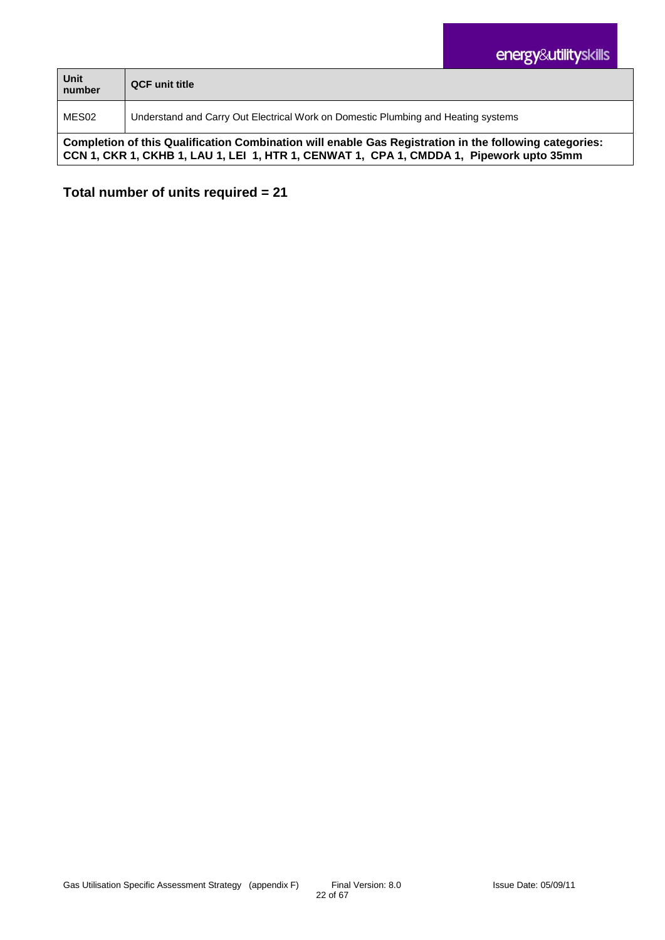| Unit<br>number                                                                                         | <b>QCF</b> unit title                                                             |
|--------------------------------------------------------------------------------------------------------|-----------------------------------------------------------------------------------|
| MES02                                                                                                  | Understand and Carry Out Electrical Work on Domestic Plumbing and Heating systems |
| Completion of this Qualification Combination will enable Gas Registration in the following categories: |                                                                                   |

**CCN 1, CKR 1, CKHB 1, LAU 1, LEI 1, HTR 1, CENWAT 1, CPA 1, CMDDA 1, Pipework upto 35mm**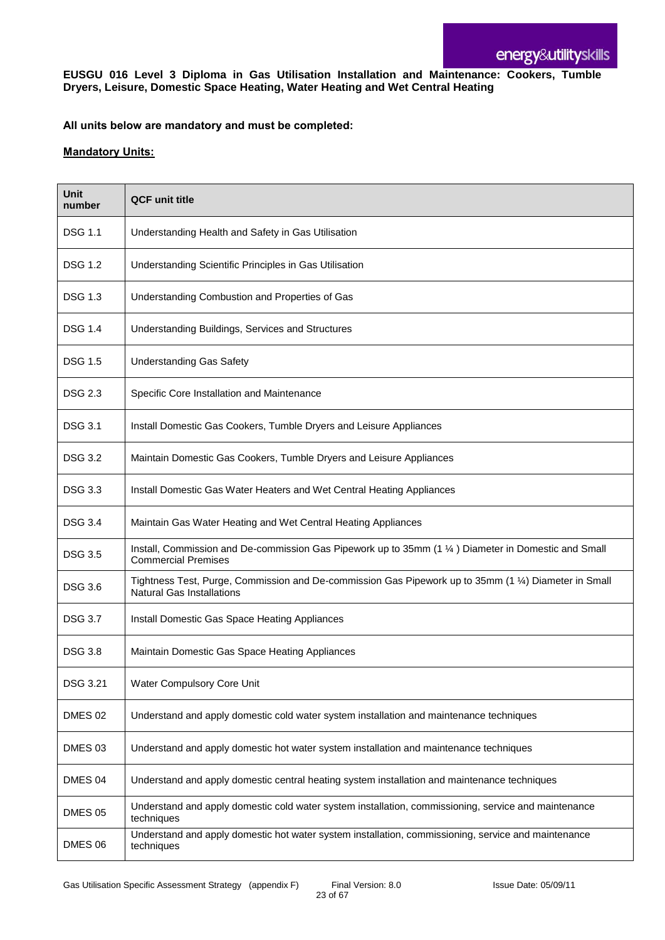**EUSGU 016 Level 3 Diploma in Gas Utilisation Installation and Maintenance: Cookers, Tumble Dryers, Leisure, Domestic Space Heating, Water Heating and Wet Central Heating**

#### **All units below are mandatory and must be completed:**

| Unit<br>number | <b>QCF unit title</b>                                                                                                                     |
|----------------|-------------------------------------------------------------------------------------------------------------------------------------------|
| <b>DSG 1.1</b> | Understanding Health and Safety in Gas Utilisation                                                                                        |
| <b>DSG 1.2</b> | Understanding Scientific Principles in Gas Utilisation                                                                                    |
| <b>DSG 1.3</b> | Understanding Combustion and Properties of Gas                                                                                            |
| <b>DSG 1.4</b> | Understanding Buildings, Services and Structures                                                                                          |
| <b>DSG 1.5</b> | <b>Understanding Gas Safety</b>                                                                                                           |
| <b>DSG 2.3</b> | Specific Core Installation and Maintenance                                                                                                |
| <b>DSG 3.1</b> | Install Domestic Gas Cookers, Tumble Dryers and Leisure Appliances                                                                        |
| <b>DSG 3.2</b> | Maintain Domestic Gas Cookers, Tumble Dryers and Leisure Appliances                                                                       |
| <b>DSG 3.3</b> | Install Domestic Gas Water Heaters and Wet Central Heating Appliances                                                                     |
| <b>DSG 3.4</b> | Maintain Gas Water Heating and Wet Central Heating Appliances                                                                             |
| <b>DSG 3.5</b> | Install, Commission and De-commission Gas Pipework up to 35mm (1 1/4) Diameter in Domestic and Small<br><b>Commercial Premises</b>        |
| <b>DSG 3.6</b> | Tightness Test, Purge, Commission and De-commission Gas Pipework up to 35mm (1 1/4) Diameter in Small<br><b>Natural Gas Installations</b> |
| <b>DSG 3.7</b> | Install Domestic Gas Space Heating Appliances                                                                                             |
| <b>DSG 3.8</b> | Maintain Domestic Gas Space Heating Appliances                                                                                            |
| DSG 3.21       | Water Compulsory Core Unit                                                                                                                |
| <b>DMES 02</b> | Understand and apply domestic cold water system installation and maintenance techniques                                                   |
| DMES 03        | Understand and apply domestic hot water system installation and maintenance techniques                                                    |
| DMES 04        | Understand and apply domestic central heating system installation and maintenance techniques                                              |
| <b>DMES 05</b> | Understand and apply domestic cold water system installation, commissioning, service and maintenance<br>techniques                        |
| DMES 06        | Understand and apply domestic hot water system installation, commissioning, service and maintenance<br>techniques                         |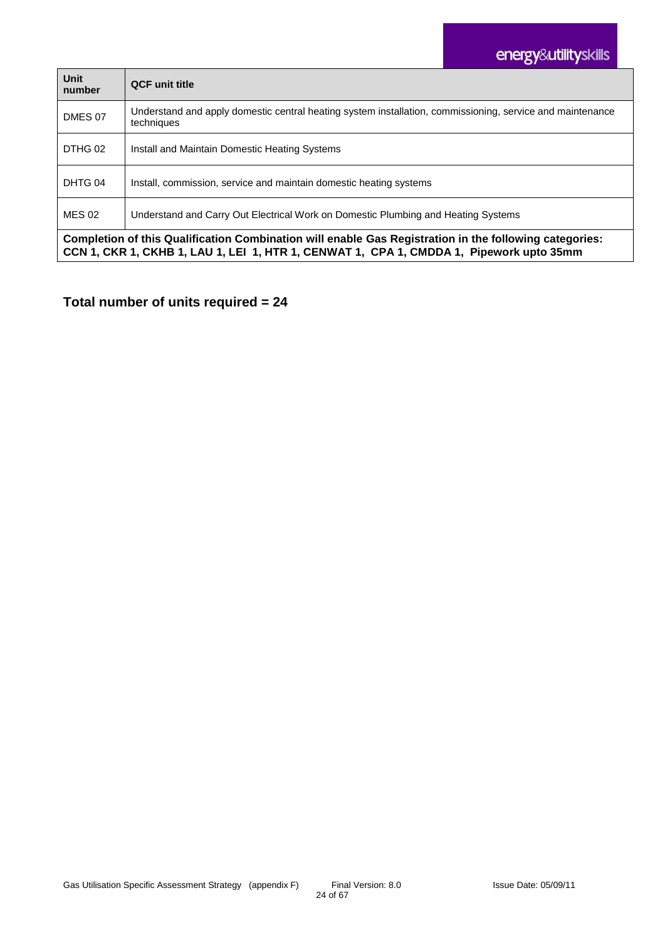| Unit<br>number                                                                                                                                                                                    | <b>QCF unit title</b>                                                                                                   |
|---------------------------------------------------------------------------------------------------------------------------------------------------------------------------------------------------|-------------------------------------------------------------------------------------------------------------------------|
| DMES 07                                                                                                                                                                                           | Understand and apply domestic central heating system installation, commissioning, service and maintenance<br>techniques |
| DTHG 02                                                                                                                                                                                           | Install and Maintain Domestic Heating Systems                                                                           |
| DHTG 04                                                                                                                                                                                           | Install, commission, service and maintain domestic heating systems                                                      |
| <b>MES 02</b>                                                                                                                                                                                     | Understand and Carry Out Electrical Work on Domestic Plumbing and Heating Systems                                       |
| Completion of this Qualification Combination will enable Gas Registration in the following categories:<br>CCN 1, CKR 1, CKHB 1, LAU 1, LEI 1, HTR 1, CENWAT 1, CPA 1, CMDDA 1, Pipework upto 35mm |                                                                                                                         |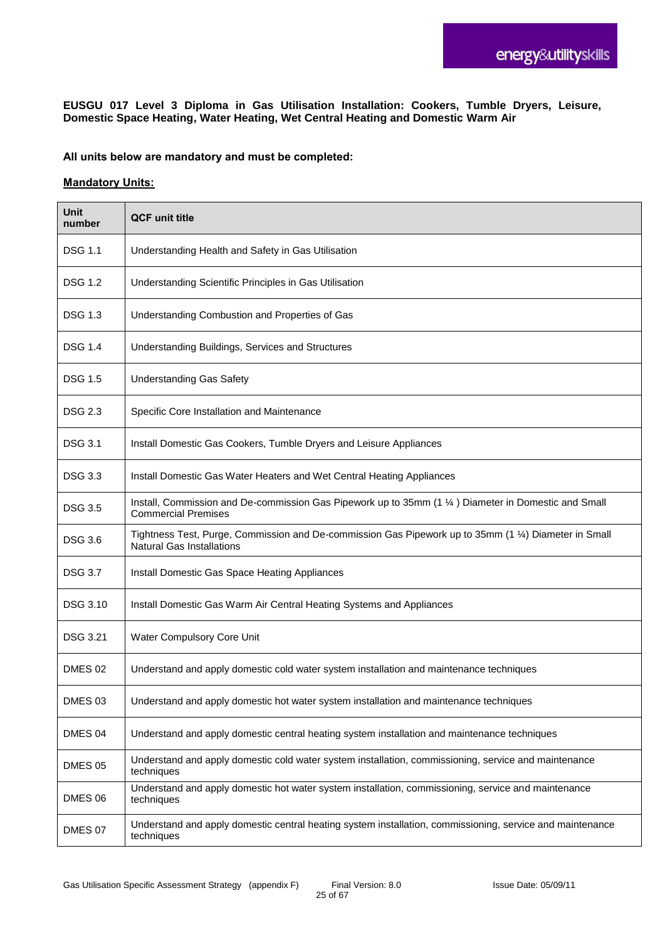**EUSGU 017 Level 3 Diploma in Gas Utilisation Installation: Cookers, Tumble Dryers, Leisure, Domestic Space Heating, Water Heating, Wet Central Heating and Domestic Warm Air**

**All units below are mandatory and must be completed:**

| <b>Unit</b><br>number | <b>QCF unit title</b>                                                                                                                     |
|-----------------------|-------------------------------------------------------------------------------------------------------------------------------------------|
| <b>DSG 1.1</b>        | Understanding Health and Safety in Gas Utilisation                                                                                        |
| <b>DSG 1.2</b>        | Understanding Scientific Principles in Gas Utilisation                                                                                    |
| <b>DSG 1.3</b>        | Understanding Combustion and Properties of Gas                                                                                            |
| <b>DSG 1.4</b>        | Understanding Buildings, Services and Structures                                                                                          |
| <b>DSG 1.5</b>        | <b>Understanding Gas Safety</b>                                                                                                           |
| <b>DSG 2.3</b>        | Specific Core Installation and Maintenance                                                                                                |
| <b>DSG 3.1</b>        | Install Domestic Gas Cookers, Tumble Dryers and Leisure Appliances                                                                        |
| <b>DSG 3.3</b>        | Install Domestic Gas Water Heaters and Wet Central Heating Appliances                                                                     |
| <b>DSG 3.5</b>        | Install, Commission and De-commission Gas Pipework up to 35mm (1 1/4) Diameter in Domestic and Small<br><b>Commercial Premises</b>        |
| <b>DSG 3.6</b>        | Tightness Test, Purge, Commission and De-commission Gas Pipework up to 35mm (1 1/4) Diameter in Small<br><b>Natural Gas Installations</b> |
| <b>DSG 3.7</b>        | Install Domestic Gas Space Heating Appliances                                                                                             |
| DSG 3.10              | Install Domestic Gas Warm Air Central Heating Systems and Appliances                                                                      |
| <b>DSG 3.21</b>       | Water Compulsory Core Unit                                                                                                                |
| DMES <sub>02</sub>    | Understand and apply domestic cold water system installation and maintenance techniques                                                   |
| DMES <sub>03</sub>    | Understand and apply domestic hot water system installation and maintenance techniques                                                    |
| DMES 04               | Understand and apply domestic central heating system installation and maintenance techniques                                              |
| <b>DMES 05</b>        | Understand and apply domestic cold water system installation, commissioning, service and maintenance<br>techniques                        |
| DMES 06               | Understand and apply domestic hot water system installation, commissioning, service and maintenance<br>techniques                         |
| DMES 07               | Understand and apply domestic central heating system installation, commissioning, service and maintenance<br>techniques                   |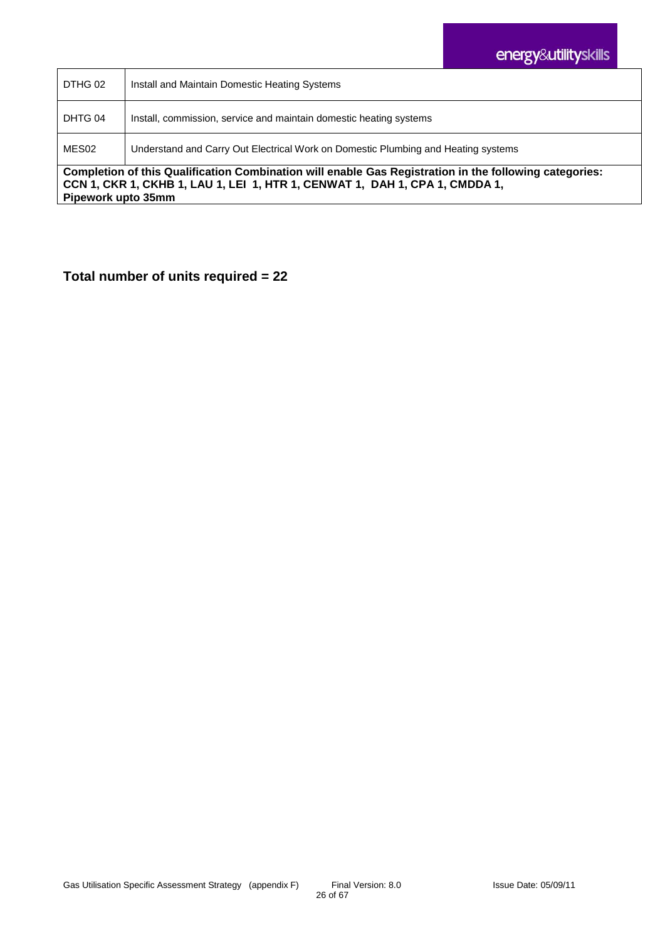| DTHG 02                                                                                                                                                                                                     | Install and Maintain Domestic Heating Systems                                     |
|-------------------------------------------------------------------------------------------------------------------------------------------------------------------------------------------------------------|-----------------------------------------------------------------------------------|
| DHTG 04                                                                                                                                                                                                     | Install, commission, service and maintain domestic heating systems                |
| MES02                                                                                                                                                                                                       | Understand and Carry Out Electrical Work on Domestic Plumbing and Heating systems |
| Completion of this Qualification Combination will enable Gas Registration in the following categories:<br>CCN 1, CKR 1, CKHB 1, LAU 1, LEI 1, HTR 1, CENWAT 1, DAH 1, CPA 1, CMDDA 1,<br>Pipework upto 35mm |                                                                                   |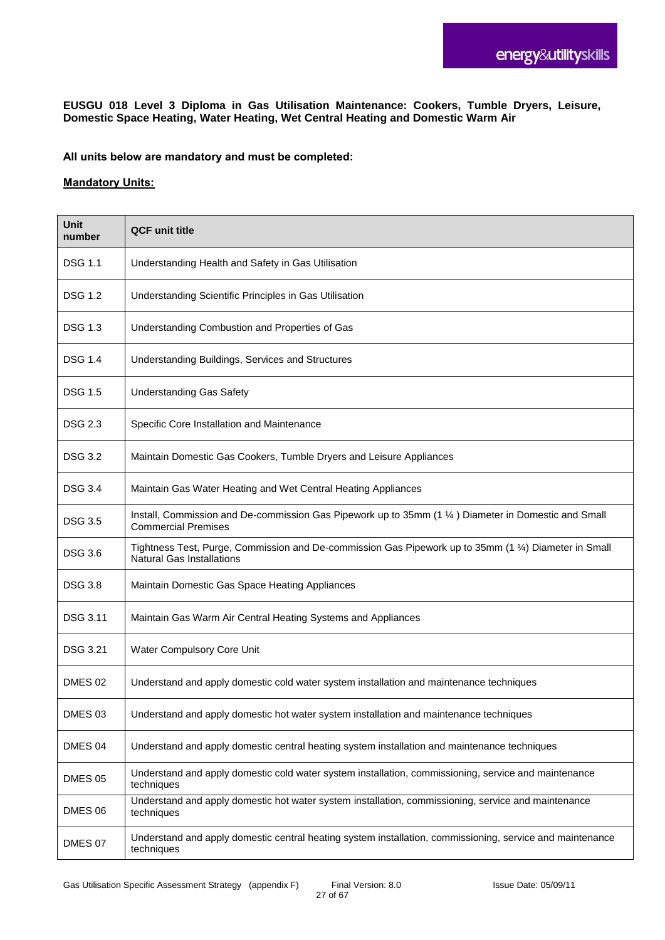**EUSGU 018 Level 3 Diploma in Gas Utilisation Maintenance: Cookers, Tumble Dryers, Leisure, Domestic Space Heating, Water Heating, Wet Central Heating and Domestic Warm Air**

**All units below are mandatory and must be completed:**

| Unit<br>number  | <b>QCF unit title</b>                                                                                                                     |
|-----------------|-------------------------------------------------------------------------------------------------------------------------------------------|
| <b>DSG 1.1</b>  | Understanding Health and Safety in Gas Utilisation                                                                                        |
| <b>DSG 1.2</b>  | Understanding Scientific Principles in Gas Utilisation                                                                                    |
| <b>DSG 1.3</b>  | Understanding Combustion and Properties of Gas                                                                                            |
| <b>DSG 1.4</b>  | Understanding Buildings, Services and Structures                                                                                          |
| <b>DSG 1.5</b>  | <b>Understanding Gas Safety</b>                                                                                                           |
| <b>DSG 2.3</b>  | Specific Core Installation and Maintenance                                                                                                |
| <b>DSG 3.2</b>  | Maintain Domestic Gas Cookers, Tumble Dryers and Leisure Appliances                                                                       |
| <b>DSG 3.4</b>  | Maintain Gas Water Heating and Wet Central Heating Appliances                                                                             |
| <b>DSG 3.5</b>  | Install, Commission and De-commission Gas Pipework up to 35mm (1 1/4) Diameter in Domestic and Small<br><b>Commercial Premises</b>        |
| <b>DSG 3.6</b>  | Tightness Test, Purge, Commission and De-commission Gas Pipework up to 35mm (1 1/4) Diameter in Small<br><b>Natural Gas Installations</b> |
| <b>DSG 3.8</b>  | Maintain Domestic Gas Space Heating Appliances                                                                                            |
| <b>DSG 3.11</b> | Maintain Gas Warm Air Central Heating Systems and Appliances                                                                              |
| <b>DSG 3.21</b> | Water Compulsory Core Unit                                                                                                                |
| DMES 02         | Understand and apply domestic cold water system installation and maintenance techniques                                                   |
| DMES 03         | Understand and apply domestic hot water system installation and maintenance techniques                                                    |
| DMES 04         | Understand and apply domestic central heating system installation and maintenance techniques                                              |
| DMES 05         | Understand and apply domestic cold water system installation, commissioning, service and maintenance<br>techniques                        |
| DMES 06         | Understand and apply domestic hot water system installation, commissioning, service and maintenance<br>techniques                         |
| DMES 07         | Understand and apply domestic central heating system installation, commissioning, service and maintenance<br>techniques                   |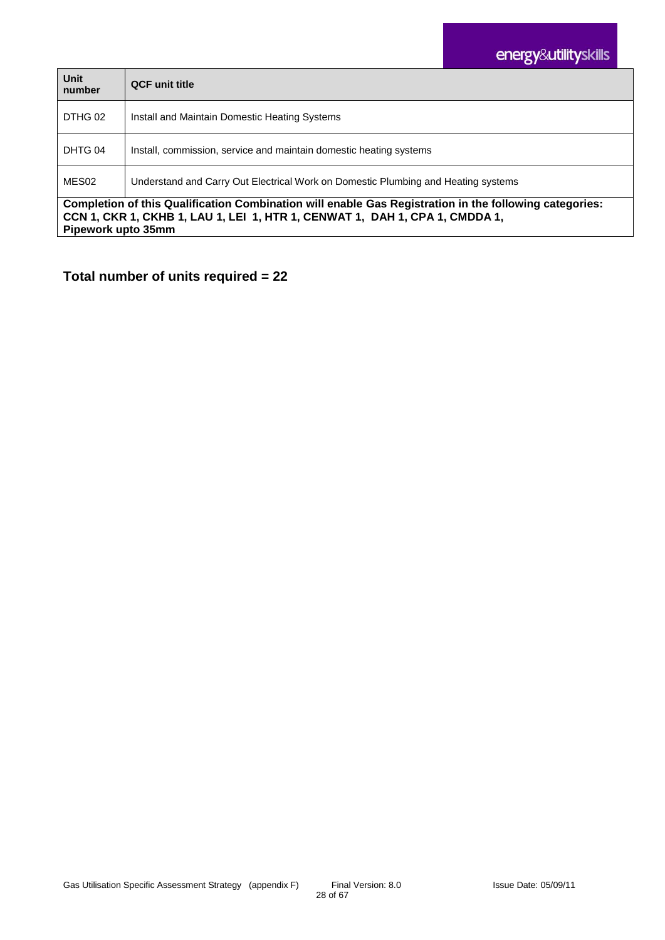| Unit<br>number                                                                                                                                                                                              | <b>QCF</b> unit title                                                             |
|-------------------------------------------------------------------------------------------------------------------------------------------------------------------------------------------------------------|-----------------------------------------------------------------------------------|
| DTHG 02                                                                                                                                                                                                     | Install and Maintain Domestic Heating Systems                                     |
| DHTG 04                                                                                                                                                                                                     | Install, commission, service and maintain domestic heating systems                |
| MES02                                                                                                                                                                                                       | Understand and Carry Out Electrical Work on Domestic Plumbing and Heating systems |
| Completion of this Qualification Combination will enable Gas Registration in the following categories:<br>CCN 1, CKR 1, CKHB 1, LAU 1, LEI 1, HTR 1, CENWAT 1, DAH 1, CPA 1, CMDDA 1,<br>Pipework upto 35mm |                                                                                   |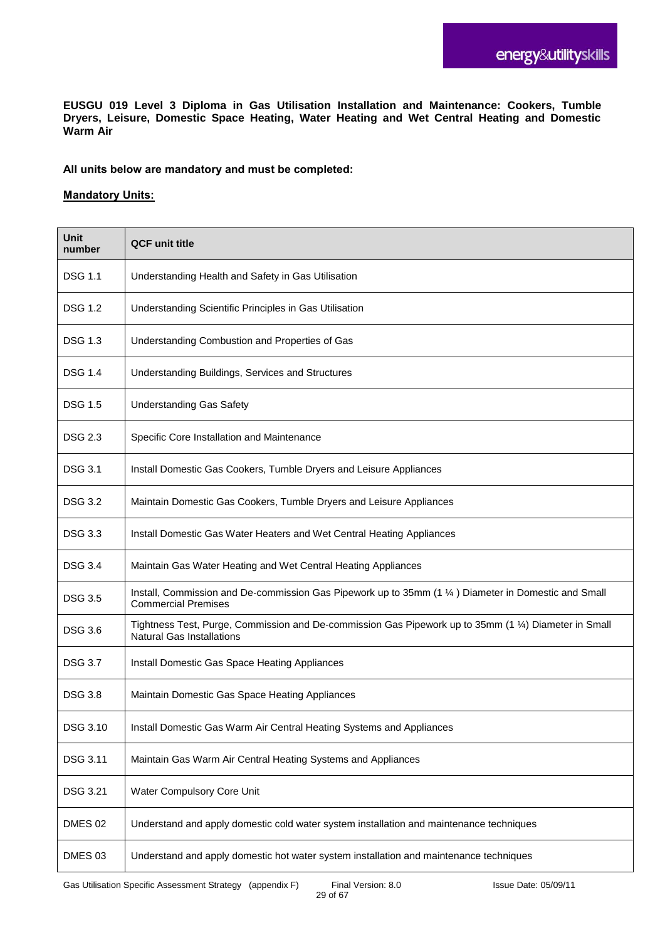**EUSGU 019 Level 3 Diploma in Gas Utilisation Installation and Maintenance: Cookers, Tumble Dryers, Leisure, Domestic Space Heating, Water Heating and Wet Central Heating and Domestic Warm Air** 

**All units below are mandatory and must be completed:**

| <b>Unit</b><br>number | <b>QCF unit title</b>                                                                                                                     |
|-----------------------|-------------------------------------------------------------------------------------------------------------------------------------------|
| <b>DSG 1.1</b>        | Understanding Health and Safety in Gas Utilisation                                                                                        |
| <b>DSG 1.2</b>        | Understanding Scientific Principles in Gas Utilisation                                                                                    |
| <b>DSG 1.3</b>        | Understanding Combustion and Properties of Gas                                                                                            |
| <b>DSG 1.4</b>        | Understanding Buildings, Services and Structures                                                                                          |
| <b>DSG 1.5</b>        | <b>Understanding Gas Safety</b>                                                                                                           |
| <b>DSG 2.3</b>        | Specific Core Installation and Maintenance                                                                                                |
| <b>DSG 3.1</b>        | Install Domestic Gas Cookers, Tumble Dryers and Leisure Appliances                                                                        |
| <b>DSG 3.2</b>        | Maintain Domestic Gas Cookers, Tumble Dryers and Leisure Appliances                                                                       |
| <b>DSG 3.3</b>        | Install Domestic Gas Water Heaters and Wet Central Heating Appliances                                                                     |
| <b>DSG 3.4</b>        | Maintain Gas Water Heating and Wet Central Heating Appliances                                                                             |
| <b>DSG 3.5</b>        | Install, Commission and De-commission Gas Pipework up to 35mm (1 1/4) Diameter in Domestic and Small<br><b>Commercial Premises</b>        |
| <b>DSG 3.6</b>        | Tightness Test, Purge, Commission and De-commission Gas Pipework up to 35mm (1 1/4) Diameter in Small<br><b>Natural Gas Installations</b> |
| <b>DSG 3.7</b>        | Install Domestic Gas Space Heating Appliances                                                                                             |
| <b>DSG 3.8</b>        | Maintain Domestic Gas Space Heating Appliances                                                                                            |
| DSG 3.10              | Install Domestic Gas Warm Air Central Heating Systems and Appliances                                                                      |
| DSG 3.11              | Maintain Gas Warm Air Central Heating Systems and Appliances                                                                              |
| DSG 3.21              | Water Compulsory Core Unit                                                                                                                |
| DMES 02               | Understand and apply domestic cold water system installation and maintenance techniques                                                   |
| DMES 03               | Understand and apply domestic hot water system installation and maintenance techniques                                                    |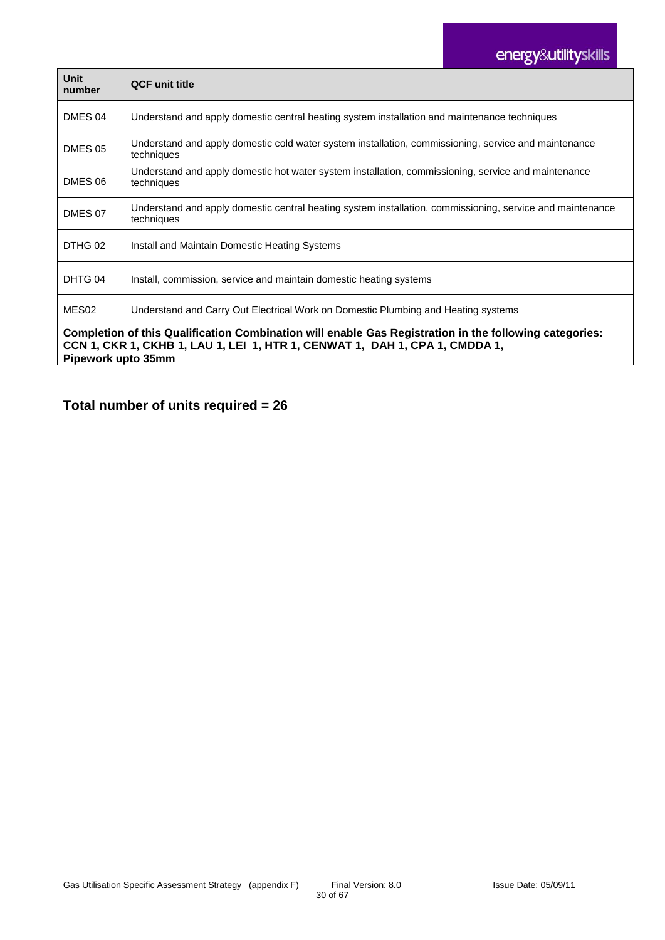# energy&utilityskills

| Unit<br>number                                                                                                                                                                                              | <b>QCF</b> unit title                                                                                                   |  |
|-------------------------------------------------------------------------------------------------------------------------------------------------------------------------------------------------------------|-------------------------------------------------------------------------------------------------------------------------|--|
| DMES 04                                                                                                                                                                                                     | Understand and apply domestic central heating system installation and maintenance techniques                            |  |
| <b>DMES 05</b>                                                                                                                                                                                              | Understand and apply domestic cold water system installation, commissioning, service and maintenance<br>techniques      |  |
| DMES 06                                                                                                                                                                                                     | Understand and apply domestic hot water system installation, commissioning, service and maintenance<br>techniques       |  |
| DMES 07                                                                                                                                                                                                     | Understand and apply domestic central heating system installation, commissioning, service and maintenance<br>techniques |  |
| DTHG 02                                                                                                                                                                                                     | Install and Maintain Domestic Heating Systems                                                                           |  |
| DHTG 04                                                                                                                                                                                                     | Install, commission, service and maintain domestic heating systems                                                      |  |
| MES <sub>02</sub>                                                                                                                                                                                           | Understand and Carry Out Electrical Work on Domestic Plumbing and Heating systems                                       |  |
| Completion of this Qualification Combination will enable Gas Registration in the following categories:<br>CCN 1, CKR 1, CKHB 1, LAU 1, LEI 1, HTR 1, CENWAT 1, DAH 1, CPA 1, CMDDA 1,<br>Pipework upto 35mm |                                                                                                                         |  |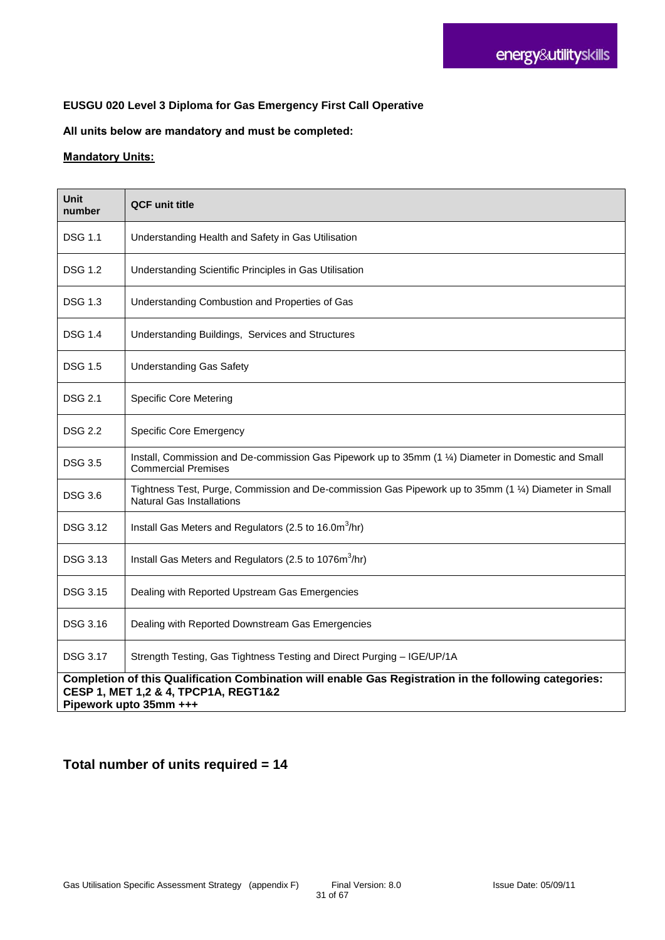#### **EUSGU 020 Level 3 Diploma for Gas Emergency First Call Operative**

#### **All units below are mandatory and must be completed:**

#### **Mandatory Units:**

| Unit<br>number                                                                                                                                                           | <b>QCF unit title</b>                                                                                                                     |  |
|--------------------------------------------------------------------------------------------------------------------------------------------------------------------------|-------------------------------------------------------------------------------------------------------------------------------------------|--|
| <b>DSG 1.1</b>                                                                                                                                                           | Understanding Health and Safety in Gas Utilisation                                                                                        |  |
| DSG 1.2                                                                                                                                                                  | Understanding Scientific Principles in Gas Utilisation                                                                                    |  |
| <b>DSG 1.3</b>                                                                                                                                                           | Understanding Combustion and Properties of Gas                                                                                            |  |
| DSG 1.4                                                                                                                                                                  | Understanding Buildings, Services and Structures                                                                                          |  |
| DSG 1.5                                                                                                                                                                  | <b>Understanding Gas Safety</b>                                                                                                           |  |
| <b>DSG 2.1</b>                                                                                                                                                           | <b>Specific Core Metering</b>                                                                                                             |  |
| <b>DSG 2.2</b>                                                                                                                                                           | <b>Specific Core Emergency</b>                                                                                                            |  |
| DSG 3.5                                                                                                                                                                  | Install, Commission and De-commission Gas Pipework up to 35mm (1 1/4) Diameter in Domestic and Small<br><b>Commercial Premises</b>        |  |
| <b>DSG 3.6</b>                                                                                                                                                           | Tightness Test, Purge, Commission and De-commission Gas Pipework up to 35mm (1 1/4) Diameter in Small<br><b>Natural Gas Installations</b> |  |
| DSG 3.12                                                                                                                                                                 | Install Gas Meters and Regulators (2.5 to 16.0m <sup>3</sup> /hr)                                                                         |  |
| DSG 3.13                                                                                                                                                                 | Install Gas Meters and Regulators (2.5 to 1076m <sup>3</sup> /hr)                                                                         |  |
| <b>DSG 3.15</b>                                                                                                                                                          | Dealing with Reported Upstream Gas Emergencies                                                                                            |  |
| DSG 3.16                                                                                                                                                                 | Dealing with Reported Downstream Gas Emergencies                                                                                          |  |
| DSG 3.17                                                                                                                                                                 | Strength Testing, Gas Tightness Testing and Direct Purging - IGE/UP/1A                                                                    |  |
| Completion of this Qualification Combination will enable Gas Registration in the following categories:<br>CESP 1, MET 1,2 & 4, TPCP1A, REGT1&2<br>Pipework upto 35mm +++ |                                                                                                                                           |  |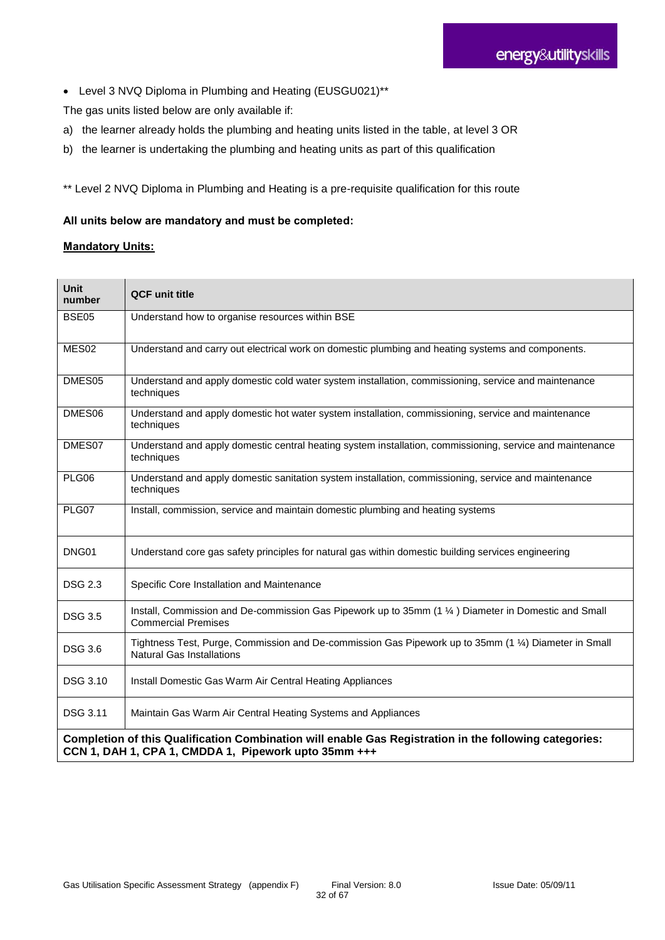Level 3 NVQ Diploma in Plumbing and Heating (EUSGU021)\*\*

The gas units listed below are only available if:

- a) the learner already holds the plumbing and heating units listed in the table, at level 3 OR
- b) the learner is undertaking the plumbing and heating units as part of this qualification

\*\* Level 2 NVQ Diploma in Plumbing and Heating is a pre-requisite qualification for this route

#### **All units below are mandatory and must be completed:**

| <b>Unit</b><br>number                                                                                                                                          | <b>QCF unit title</b>                                                                                                                     |  |
|----------------------------------------------------------------------------------------------------------------------------------------------------------------|-------------------------------------------------------------------------------------------------------------------------------------------|--|
| <b>BSE05</b>                                                                                                                                                   | Understand how to organise resources within BSE                                                                                           |  |
| MES02                                                                                                                                                          | Understand and carry out electrical work on domestic plumbing and heating systems and components.                                         |  |
| DMES <sub>05</sub>                                                                                                                                             | Understand and apply domestic cold water system installation, commissioning, service and maintenance<br>techniques                        |  |
| DMES06                                                                                                                                                         | Understand and apply domestic hot water system installation, commissioning, service and maintenance<br>techniques                         |  |
| DMES07                                                                                                                                                         | Understand and apply domestic central heating system installation, commissioning, service and maintenance<br>techniques                   |  |
| PLG06                                                                                                                                                          | Understand and apply domestic sanitation system installation, commissioning, service and maintenance<br>techniques                        |  |
| PLG07                                                                                                                                                          | Install, commission, service and maintain domestic plumbing and heating systems                                                           |  |
| DNG01                                                                                                                                                          | Understand core gas safety principles for natural gas within domestic building services engineering                                       |  |
| <b>DSG 2.3</b>                                                                                                                                                 | Specific Core Installation and Maintenance                                                                                                |  |
| <b>DSG 3.5</b>                                                                                                                                                 | Install, Commission and De-commission Gas Pipework up to 35mm (1 1/4) Diameter in Domestic and Small<br><b>Commercial Premises</b>        |  |
| <b>DSG 3.6</b>                                                                                                                                                 | Tightness Test, Purge, Commission and De-commission Gas Pipework up to 35mm (1 1/4) Diameter in Small<br><b>Natural Gas Installations</b> |  |
| <b>DSG 3.10</b>                                                                                                                                                | Install Domestic Gas Warm Air Central Heating Appliances                                                                                  |  |
| DSG 3.11                                                                                                                                                       | Maintain Gas Warm Air Central Heating Systems and Appliances                                                                              |  |
| Completion of this Qualification Combination will enable Gas Registration in the following categories:<br>CCN 1, DAH 1, CPA 1, CMDDA 1, Pipework upto 35mm +++ |                                                                                                                                           |  |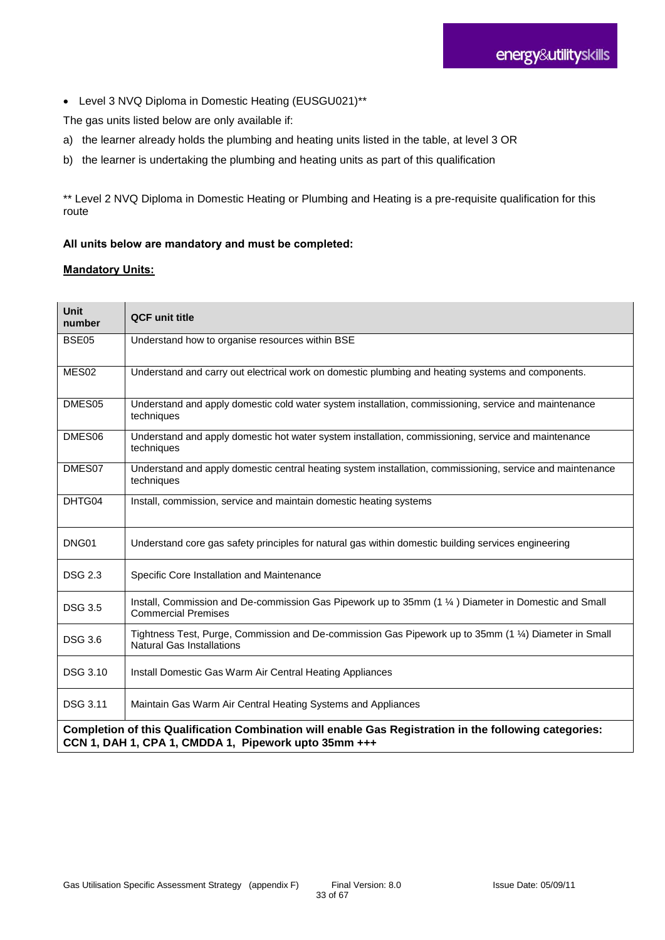Level 3 NVQ Diploma in Domestic Heating (EUSGU021)\*\*

The gas units listed below are only available if:

- a) the learner already holds the plumbing and heating units listed in the table, at level 3 OR
- b) the learner is undertaking the plumbing and heating units as part of this qualification

\*\* Level 2 NVQ Diploma in Domestic Heating or Plumbing and Heating is a pre-requisite qualification for this route

#### **All units below are mandatory and must be completed:**

| Unit<br>number                                                                                                                                                 | <b>QCF unit title</b>                                                                                                              |  |
|----------------------------------------------------------------------------------------------------------------------------------------------------------------|------------------------------------------------------------------------------------------------------------------------------------|--|
| BSE05                                                                                                                                                          | Understand how to organise resources within BSE                                                                                    |  |
| MES <sub>02</sub>                                                                                                                                              | Understand and carry out electrical work on domestic plumbing and heating systems and components.                                  |  |
| DMES <sub>05</sub>                                                                                                                                             | Understand and apply domestic cold water system installation, commissioning, service and maintenance<br>techniques                 |  |
| DMES06                                                                                                                                                         | Understand and apply domestic hot water system installation, commissioning, service and maintenance<br>techniques                  |  |
| DMES07                                                                                                                                                         | Understand and apply domestic central heating system installation, commissioning, service and maintenance<br>techniques            |  |
| DHTG04                                                                                                                                                         | Install, commission, service and maintain domestic heating systems                                                                 |  |
| DNG01                                                                                                                                                          | Understand core gas safety principles for natural gas within domestic building services engineering                                |  |
| <b>DSG 2.3</b>                                                                                                                                                 | Specific Core Installation and Maintenance                                                                                         |  |
| <b>DSG 3.5</b>                                                                                                                                                 | Install, Commission and De-commission Gas Pipework up to 35mm (1 1/4) Diameter in Domestic and Small<br><b>Commercial Premises</b> |  |
| <b>DSG 3.6</b>                                                                                                                                                 | Tightness Test, Purge, Commission and De-commission Gas Pipework up to 35mm (1 1/4) Diameter in Small<br>Natural Gas Installations |  |
| <b>DSG 3.10</b>                                                                                                                                                | Install Domestic Gas Warm Air Central Heating Appliances                                                                           |  |
| <b>DSG 3.11</b>                                                                                                                                                | Maintain Gas Warm Air Central Heating Systems and Appliances                                                                       |  |
| Completion of this Qualification Combination will enable Gas Registration in the following categories:<br>CCN 1, DAH 1, CPA 1, CMDDA 1, Pipework upto 35mm +++ |                                                                                                                                    |  |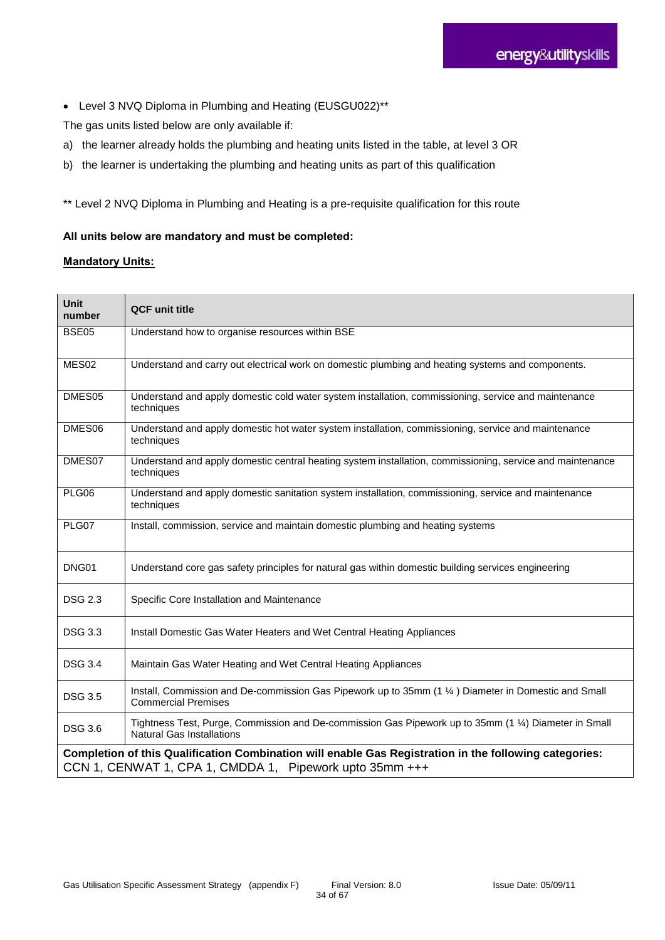Level 3 NVQ Diploma in Plumbing and Heating (EUSGU022)\*\*

The gas units listed below are only available if:

- a) the learner already holds the plumbing and heating units listed in the table, at level 3 OR
- b) the learner is undertaking the plumbing and heating units as part of this qualification

\*\* Level 2 NVQ Diploma in Plumbing and Heating is a pre-requisite qualification for this route

#### **All units below are mandatory and must be completed:**

| <b>Unit</b><br>number | <b>QCF unit title</b>                                                                                                                                             |
|-----------------------|-------------------------------------------------------------------------------------------------------------------------------------------------------------------|
| <b>BSE05</b>          | Understand how to organise resources within BSE                                                                                                                   |
| MES <sub>02</sub>     | Understand and carry out electrical work on domestic plumbing and heating systems and components.                                                                 |
| DMES05                | Understand and apply domestic cold water system installation, commissioning, service and maintenance<br>techniques                                                |
| DMES06                | Understand and apply domestic hot water system installation, commissioning, service and maintenance<br>techniques                                                 |
| DMES07                | Understand and apply domestic central heating system installation, commissioning, service and maintenance<br>techniques                                           |
| PLG06                 | Understand and apply domestic sanitation system installation, commissioning, service and maintenance<br>techniques                                                |
| PLG07                 | Install, commission, service and maintain domestic plumbing and heating systems                                                                                   |
| DNG01                 | Understand core gas safety principles for natural gas within domestic building services engineering                                                               |
| <b>DSG 2.3</b>        | Specific Core Installation and Maintenance                                                                                                                        |
| <b>DSG 3.3</b>        | Install Domestic Gas Water Heaters and Wet Central Heating Appliances                                                                                             |
| <b>DSG 3.4</b>        | Maintain Gas Water Heating and Wet Central Heating Appliances                                                                                                     |
| <b>DSG 3.5</b>        | Install, Commission and De-commission Gas Pipework up to 35mm (1 1/4) Diameter in Domestic and Small<br><b>Commercial Premises</b>                                |
| <b>DSG 3.6</b>        | Tightness Test, Purge, Commission and De-commission Gas Pipework up to 35mm (1 1/4) Diameter in Small<br><b>Natural Gas Installations</b>                         |
|                       | Completion of this Qualification Combination will enable Gas Registration in the following categories:<br>CCN 1, CENWAT 1, CPA 1, CMDDA 1, Pipework upto 35mm +++ |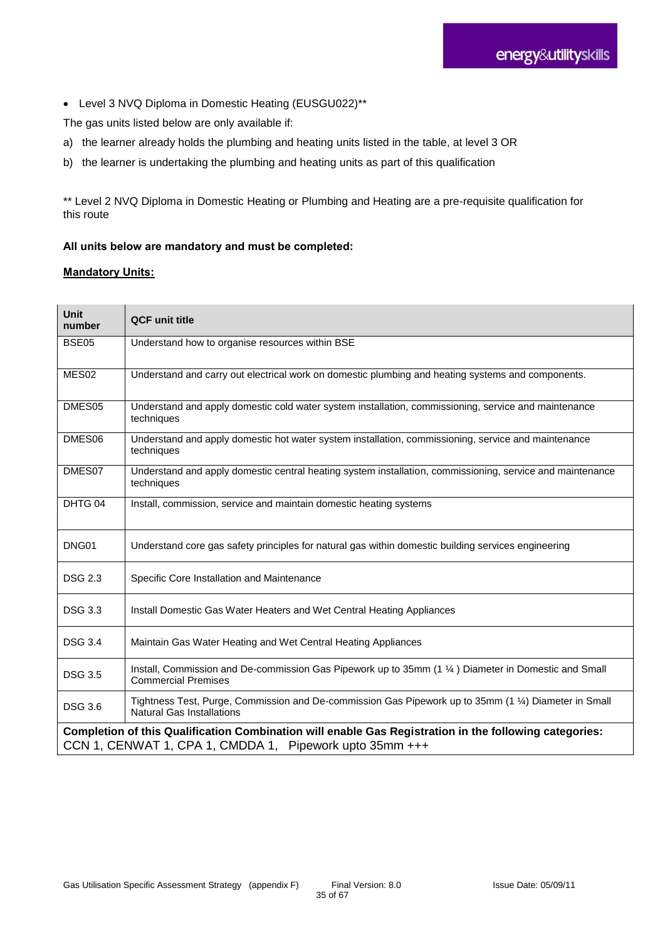Level 3 NVQ Diploma in Domestic Heating (EUSGU022)\*\*

The gas units listed below are only available if:

- a) the learner already holds the plumbing and heating units listed in the table, at level 3 OR
- b) the learner is undertaking the plumbing and heating units as part of this qualification

\*\* Level 2 NVQ Diploma in Domestic Heating or Plumbing and Heating are a pre-requisite qualification for this route

#### **All units below are mandatory and must be completed:**

| <b>Unit</b><br>number                                                                                                                                             | <b>QCF unit title</b>                                                                                                                     |  |
|-------------------------------------------------------------------------------------------------------------------------------------------------------------------|-------------------------------------------------------------------------------------------------------------------------------------------|--|
| <b>BSE05</b>                                                                                                                                                      | Understand how to organise resources within BSE                                                                                           |  |
| MES02                                                                                                                                                             | Understand and carry out electrical work on domestic plumbing and heating systems and components.                                         |  |
| DMES <sub>05</sub>                                                                                                                                                | Understand and apply domestic cold water system installation, commissioning, service and maintenance<br>techniques                        |  |
| DMES06                                                                                                                                                            | Understand and apply domestic hot water system installation, commissioning, service and maintenance<br>techniques                         |  |
| DMES07                                                                                                                                                            | Understand and apply domestic central heating system installation, commissioning, service and maintenance<br>techniques                   |  |
| DHTG 04                                                                                                                                                           | Install, commission, service and maintain domestic heating systems                                                                        |  |
| DNG01                                                                                                                                                             | Understand core gas safety principles for natural gas within domestic building services engineering                                       |  |
| <b>DSG 2.3</b>                                                                                                                                                    | Specific Core Installation and Maintenance                                                                                                |  |
| <b>DSG 3.3</b>                                                                                                                                                    | Install Domestic Gas Water Heaters and Wet Central Heating Appliances                                                                     |  |
| <b>DSG 3.4</b>                                                                                                                                                    | Maintain Gas Water Heating and Wet Central Heating Appliances                                                                             |  |
| <b>DSG 3.5</b>                                                                                                                                                    | Install, Commission and De-commission Gas Pipework up to 35mm (1 1/4) Diameter in Domestic and Small<br><b>Commercial Premises</b>        |  |
| <b>DSG 3.6</b>                                                                                                                                                    | Tightness Test, Purge, Commission and De-commission Gas Pipework up to 35mm (1 1/4) Diameter in Small<br><b>Natural Gas Installations</b> |  |
| Completion of this Qualification Combination will enable Gas Registration in the following categories:<br>CCN 1, CENWAT 1, CPA 1, CMDDA 1, Pipework upto 35mm +++ |                                                                                                                                           |  |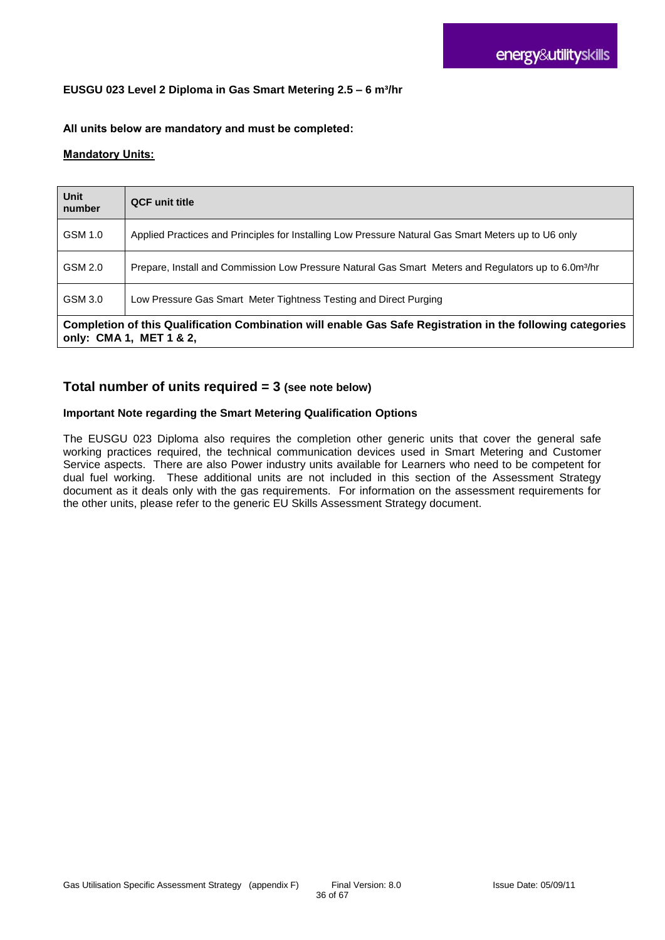#### **EUSGU 023 Level 2 Diploma in Gas Smart Metering 2.5 – 6 m³/hr**

#### **All units below are mandatory and must be completed:**

#### **Mandatory Units:**

| Unit<br>number                                                                                                                        | <b>QCF</b> unit title                                                                                            |  |
|---------------------------------------------------------------------------------------------------------------------------------------|------------------------------------------------------------------------------------------------------------------|--|
| GSM 1.0                                                                                                                               | Applied Practices and Principles for Installing Low Pressure Natural Gas Smart Meters up to U6 only              |  |
| GSM 2.0                                                                                                                               | Prepare, Install and Commission Low Pressure Natural Gas Smart Meters and Regulators up to 6.0m <sup>3</sup> /hr |  |
| GSM 3.0                                                                                                                               | Low Pressure Gas Smart Meter Tightness Testing and Direct Purging                                                |  |
| Completion of this Qualification Combination will enable Gas Safe Registration in the following categories<br>only: CMA 1, MET 1 & 2, |                                                                                                                  |  |

#### **Total number of units required = 3 (see note below)**

#### **Important Note regarding the Smart Metering Qualification Options**

The EUSGU 023 Diploma also requires the completion other generic units that cover the general safe working practices required, the technical communication devices used in Smart Metering and Customer Service aspects. There are also Power industry units available for Learners who need to be competent for dual fuel working. These additional units are not included in this section of the Assessment Strategy document as it deals only with the gas requirements. For information on the assessment requirements for the other units, please refer to the generic EU Skills Assessment Strategy document.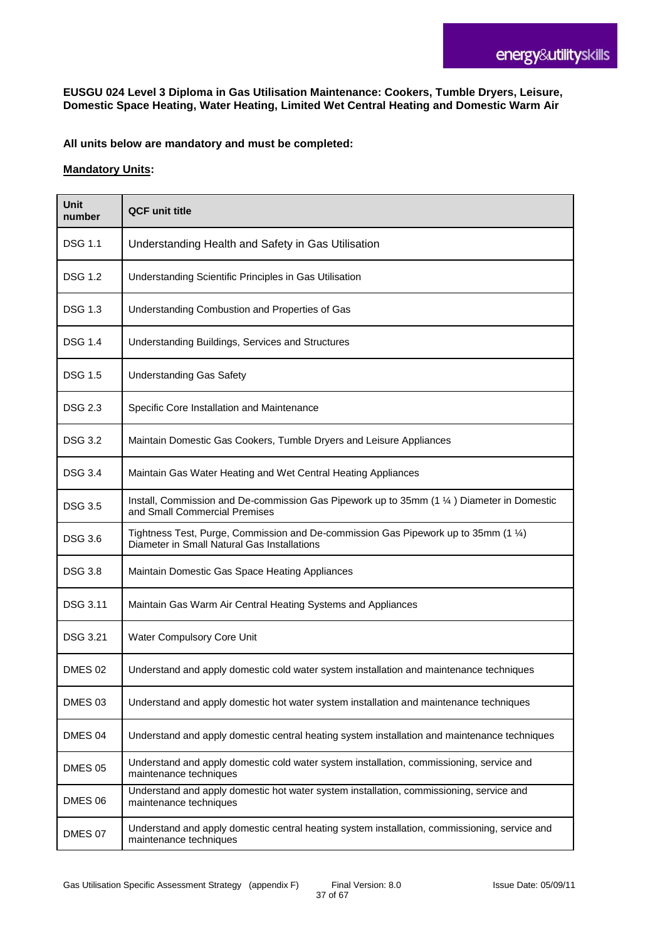**EUSGU 024 Level 3 Diploma in Gas Utilisation Maintenance: Cookers, Tumble Dryers, Leisure, Domestic Space Heating, Water Heating, Limited Wet Central Heating and Domestic Warm Air**

**All units below are mandatory and must be completed:**

| Unit<br>number  | <b>QCF unit title</b>                                                                                                              |
|-----------------|------------------------------------------------------------------------------------------------------------------------------------|
| <b>DSG 1.1</b>  | Understanding Health and Safety in Gas Utilisation                                                                                 |
| <b>DSG 1.2</b>  | Understanding Scientific Principles in Gas Utilisation                                                                             |
| <b>DSG 1.3</b>  | Understanding Combustion and Properties of Gas                                                                                     |
| <b>DSG 1.4</b>  | Understanding Buildings, Services and Structures                                                                                   |
| <b>DSG 1.5</b>  | <b>Understanding Gas Safety</b>                                                                                                    |
| DSG 2.3         | Specific Core Installation and Maintenance                                                                                         |
| <b>DSG 3.2</b>  | Maintain Domestic Gas Cookers, Tumble Dryers and Leisure Appliances                                                                |
| <b>DSG 3.4</b>  | Maintain Gas Water Heating and Wet Central Heating Appliances                                                                      |
| <b>DSG 3.5</b>  | Install, Commission and De-commission Gas Pipework up to 35mm (1 1/4) Diameter in Domestic<br>and Small Commercial Premises        |
| <b>DSG 3.6</b>  | Tightness Test, Purge, Commission and De-commission Gas Pipework up to 35mm (1 1/4)<br>Diameter in Small Natural Gas Installations |
| <b>DSG 3.8</b>  | Maintain Domestic Gas Space Heating Appliances                                                                                     |
| <b>DSG 3.11</b> | Maintain Gas Warm Air Central Heating Systems and Appliances                                                                       |
| <b>DSG 3.21</b> | Water Compulsory Core Unit                                                                                                         |
| <b>DMES 02</b>  | Understand and apply domestic cold water system installation and maintenance techniques                                            |
| DMES 03         | Understand and apply domestic hot water system installation and maintenance techniques                                             |
| DMES 04         | Understand and apply domestic central heating system installation and maintenance techniques                                       |
| DMES 05         | Understand and apply domestic cold water system installation, commissioning, service and<br>maintenance techniques                 |
| DMES 06         | Understand and apply domestic hot water system installation, commissioning, service and<br>maintenance techniques                  |
| DMES 07         | Understand and apply domestic central heating system installation, commissioning, service and<br>maintenance techniques            |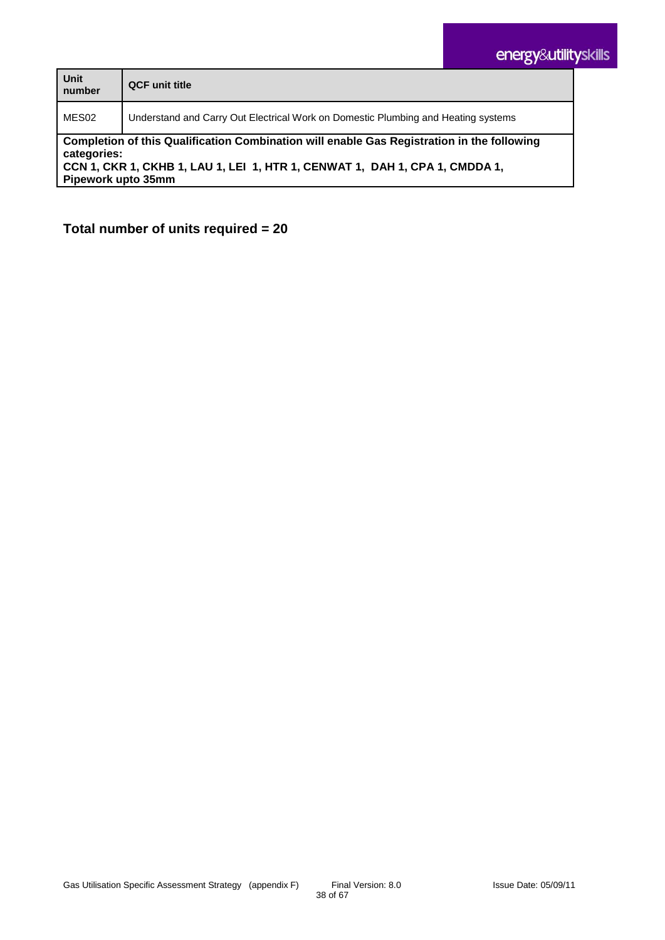| Unit<br>number                                                                                                                                                                                                 | <b>QCF</b> unit title                                                             |  |
|----------------------------------------------------------------------------------------------------------------------------------------------------------------------------------------------------------------|-----------------------------------------------------------------------------------|--|
| MES02                                                                                                                                                                                                          | Understand and Carry Out Electrical Work on Domestic Plumbing and Heating systems |  |
| Completion of this Qualification Combination will enable Gas Registration in the following<br>categories:<br>CCN 1, CKR 1, CKHB 1, LAU 1, LEI 1, HTR 1, CENWAT 1, DAH 1, CPA 1, CMDDA 1,<br>Pipework upto 35mm |                                                                                   |  |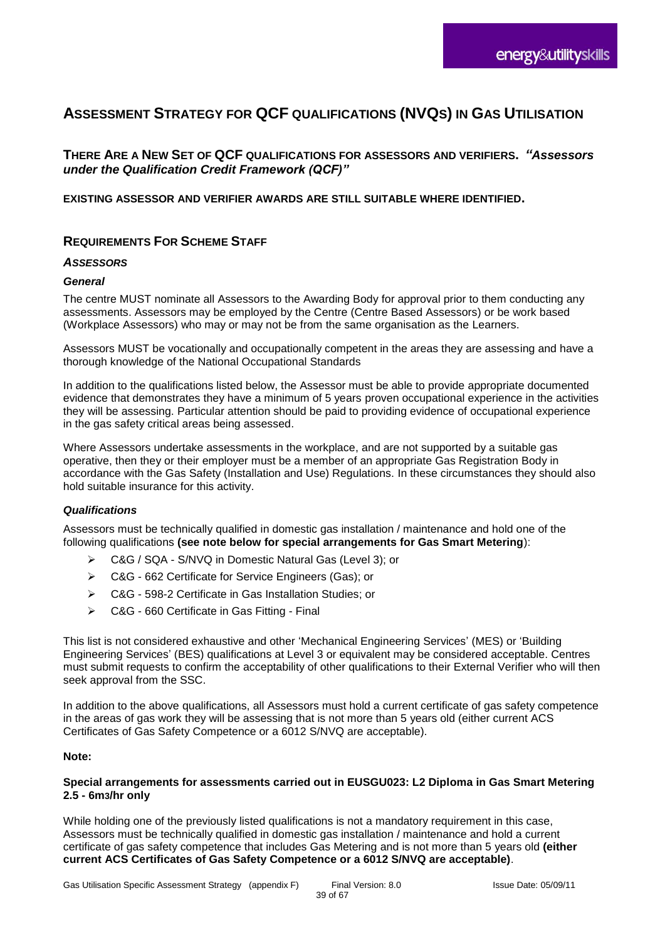# **ASSESSMENT STRATEGY FOR QCF QUALIFICATIONS (NVQS) IN GAS UTILISATION**

**THERE ARE A NEW SET OF QCF QUALIFICATIONS FOR ASSESSORS AND VERIFIERS.** *"Assessors under the Qualification Credit Framework (QCF)"*

**EXISTING ASSESSOR AND VERIFIER AWARDS ARE STILL SUITABLE WHERE IDENTIFIED.**

#### **REQUIREMENTS FOR SCHEME STAFF**

#### *ASSESSORS*

#### *General*

The centre MUST nominate all Assessors to the Awarding Body for approval prior to them conducting any assessments. Assessors may be employed by the Centre (Centre Based Assessors) or be work based (Workplace Assessors) who may or may not be from the same organisation as the Learners.

Assessors MUST be vocationally and occupationally competent in the areas they are assessing and have a thorough knowledge of the National Occupational Standards

In addition to the qualifications listed below, the Assessor must be able to provide appropriate documented evidence that demonstrates they have a minimum of 5 years proven occupational experience in the activities they will be assessing. Particular attention should be paid to providing evidence of occupational experience in the gas safety critical areas being assessed.

Where Assessors undertake assessments in the workplace, and are not supported by a suitable gas operative, then they or their employer must be a member of an appropriate Gas Registration Body in accordance with the Gas Safety (Installation and Use) Regulations. In these circumstances they should also hold suitable insurance for this activity.

#### *Qualifications*

Assessors must be technically qualified in domestic gas installation / maintenance and hold one of the following qualifications **(see note below for special arrangements for Gas Smart Metering**):

- C&G / SQA S/NVQ in Domestic Natural Gas (Level 3); or
- C&G 662 Certificate for Service Engineers (Gas); or
- C&G 598-2 Certificate in Gas Installation Studies; or
- ▶ C&G 660 Certificate in Gas Fitting Final

This list is not considered exhaustive and other 'Mechanical Engineering Services' (MES) or 'Building Engineering Services' (BES) qualifications at Level 3 or equivalent may be considered acceptable. Centres must submit requests to confirm the acceptability of other qualifications to their External Verifier who will then seek approval from the SSC.

In addition to the above qualifications, all Assessors must hold a current certificate of gas safety competence in the areas of gas work they will be assessing that is not more than 5 years old (either current ACS Certificates of Gas Safety Competence or a 6012 S/NVQ are acceptable).

#### **Note:**

#### **Special arrangements for assessments carried out in EUSGU023: L2 Diploma in Gas Smart Metering 2.5 - 6m3/hr only**

While holding one of the previously listed qualifications is not a mandatory requirement in this case, Assessors must be technically qualified in domestic gas installation / maintenance and hold a current certificate of gas safety competence that includes Gas Metering and is not more than 5 years old **(either current ACS Certificates of Gas Safety Competence or a 6012 S/NVQ are acceptable)**.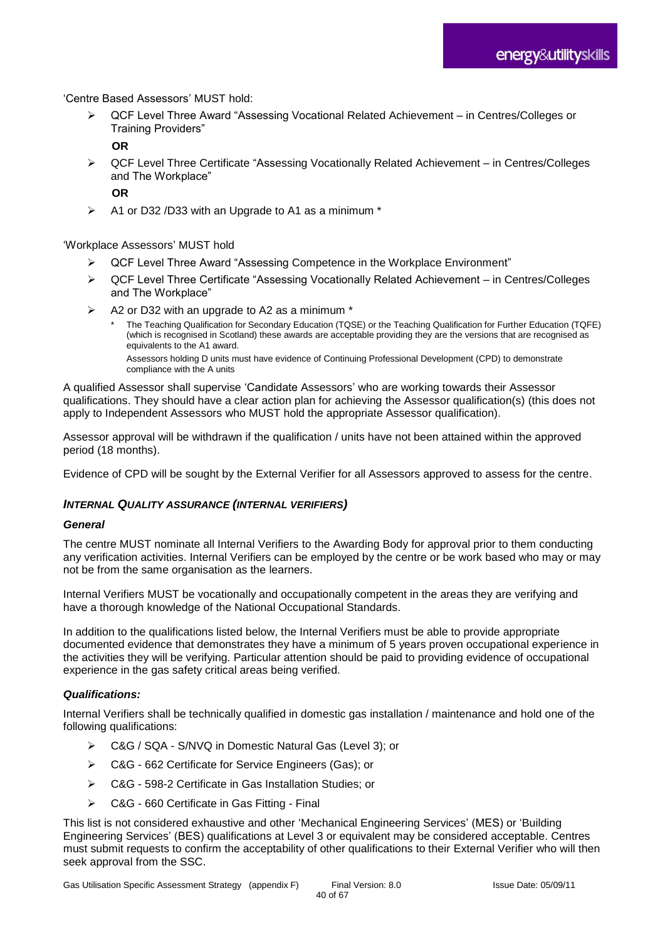'Centre Based Assessors' MUST hold:

 QCF Level Three Award "Assessing Vocational Related Achievement – in Centres/Colleges or Training Providers"

**OR**

▶ QCF Level Three Certificate "Assessing Vocationally Related Achievement – in Centres/Colleges and The Workplace"

**OR**

 $\triangleright$  A1 or D32 /D33 with an Upgrade to A1 as a minimum \*

'Workplace Assessors' MUST hold

- QCF Level Three Award "Assessing Competence in the Workplace Environment"
- QCF Level Three Certificate "Assessing Vocationally Related Achievement in Centres/Colleges and The Workplace"
- A2 or D32 with an upgrade to A2 as a minimum \*
	- The Teaching Qualification for Secondary Education (TQSE) or the Teaching Qualification for Further Education (TQFE) (which is recognised in Scotland) these awards are acceptable providing they are the versions that are recognised as equivalents to the A1 award. Assessors holding D units must have evidence of Continuing Professional Development (CPD) to demonstrate compliance with the A units

A qualified Assessor shall supervise 'Candidate Assessors' who are working towards their Assessor qualifications. They should have a clear action plan for achieving the Assessor qualification(s) (this does not apply to Independent Assessors who MUST hold the appropriate Assessor qualification).

Assessor approval will be withdrawn if the qualification / units have not been attained within the approved period (18 months).

Evidence of CPD will be sought by the External Verifier for all Assessors approved to assess for the centre.

#### *INTERNAL QUALITY ASSURANCE (INTERNAL VERIFIERS)*

#### *General*

The centre MUST nominate all Internal Verifiers to the Awarding Body for approval prior to them conducting any verification activities. Internal Verifiers can be employed by the centre or be work based who may or may not be from the same organisation as the learners.

Internal Verifiers MUST be vocationally and occupationally competent in the areas they are verifying and have a thorough knowledge of the National Occupational Standards.

In addition to the qualifications listed below, the Internal Verifiers must be able to provide appropriate documented evidence that demonstrates they have a minimum of 5 years proven occupational experience in the activities they will be verifying. Particular attention should be paid to providing evidence of occupational experience in the gas safety critical areas being verified.

#### *Qualifications:*

Internal Verifiers shall be technically qualified in domestic gas installation / maintenance and hold one of the following qualifications:

- ▶ C&G / SQA S/NVQ in Domestic Natural Gas (Level 3); or
- C&G 662 Certificate for Service Engineers (Gas); or
- C&G 598-2 Certificate in Gas Installation Studies; or
- C&G 660 Certificate in Gas Fitting Final

This list is not considered exhaustive and other 'Mechanical Engineering Services' (MES) or 'Building Engineering Services' (BES) qualifications at Level 3 or equivalent may be considered acceptable. Centres must submit requests to confirm the acceptability of other qualifications to their External Verifier who will then seek approval from the SSC.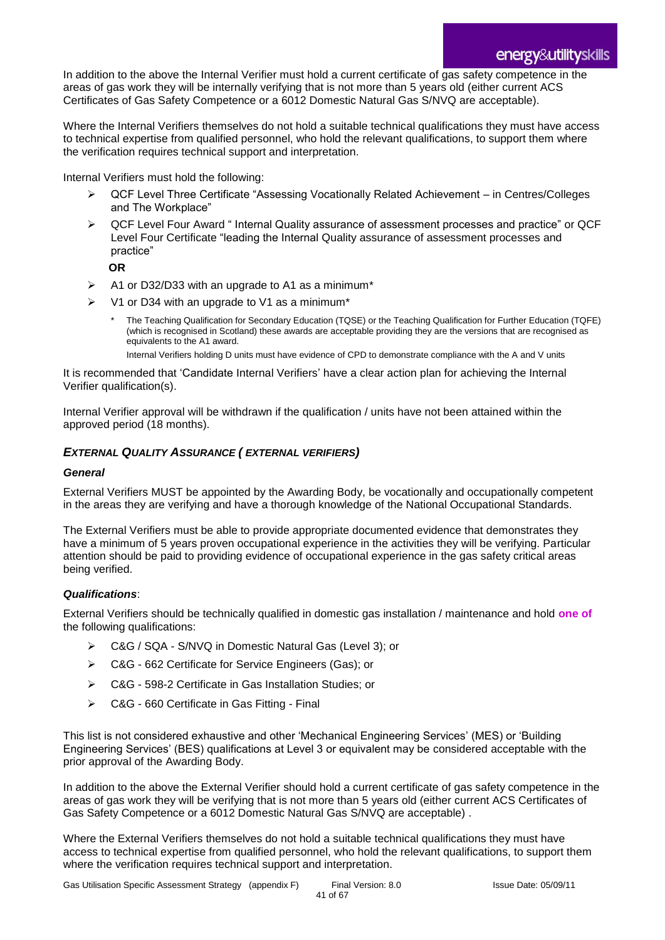In addition to the above the Internal Verifier must hold a current certificate of gas safety competence in the areas of gas work they will be internally verifying that is not more than 5 years old (either current ACS Certificates of Gas Safety Competence or a 6012 Domestic Natural Gas S/NVQ are acceptable).

Where the Internal Verifiers themselves do not hold a suitable technical qualifications they must have access to technical expertise from qualified personnel, who hold the relevant qualifications, to support them where the verification requires technical support and interpretation.

Internal Verifiers must hold the following:

- QCF Level Three Certificate "Assessing Vocationally Related Achievement in Centres/Colleges and The Workplace"
- ▶ QCF Level Four Award " Internal Quality assurance of assessment processes and practice" or QCF Level Four Certificate "leading the Internal Quality assurance of assessment processes and practice"

**OR** 

- $\triangleright$  A1 or D32/D33 with an upgrade to A1 as a minimum\*
- V1 or D34 with an upgrade to V1 as a minimum\*
	- The Teaching Qualification for Secondary Education (TQSE) or the Teaching Qualification for Further Education (TQFE) (which is recognised in Scotland) these awards are acceptable providing they are the versions that are recognised as equivalents to the A1 award.

Internal Verifiers holding D units must have evidence of CPD to demonstrate compliance with the A and V units

It is recommended that 'Candidate Internal Verifiers' have a clear action plan for achieving the Internal Verifier qualification(s).

Internal Verifier approval will be withdrawn if the qualification / units have not been attained within the approved period (18 months).

#### *EXTERNAL QUALITY ASSURANCE ( EXTERNAL VERIFIERS)*

#### *General*

External Verifiers MUST be appointed by the Awarding Body, be vocationally and occupationally competent in the areas they are verifying and have a thorough knowledge of the National Occupational Standards.

The External Verifiers must be able to provide appropriate documented evidence that demonstrates they have a minimum of 5 years proven occupational experience in the activities they will be verifying. Particular attention should be paid to providing evidence of occupational experience in the gas safety critical areas being verified.

#### *Qualifications*:

External Verifiers should be technically qualified in domestic gas installation / maintenance and hold **one of** the following qualifications:

- C&G / SQA S/NVQ in Domestic Natural Gas (Level 3); or
- C&G 662 Certificate for Service Engineers (Gas); or
- C&G 598-2 Certificate in Gas Installation Studies; or
- C&G 660 Certificate in Gas Fitting Final

This list is not considered exhaustive and other 'Mechanical Engineering Services' (MES) or 'Building Engineering Services' (BES) qualifications at Level 3 or equivalent may be considered acceptable with the prior approval of the Awarding Body.

In addition to the above the External Verifier should hold a current certificate of gas safety competence in the areas of gas work they will be verifying that is not more than 5 years old (either current ACS Certificates of Gas Safety Competence or a 6012 Domestic Natural Gas S/NVQ are acceptable) .

Where the External Verifiers themselves do not hold a suitable technical qualifications they must have access to technical expertise from qualified personnel, who hold the relevant qualifications, to support them where the verification requires technical support and interpretation.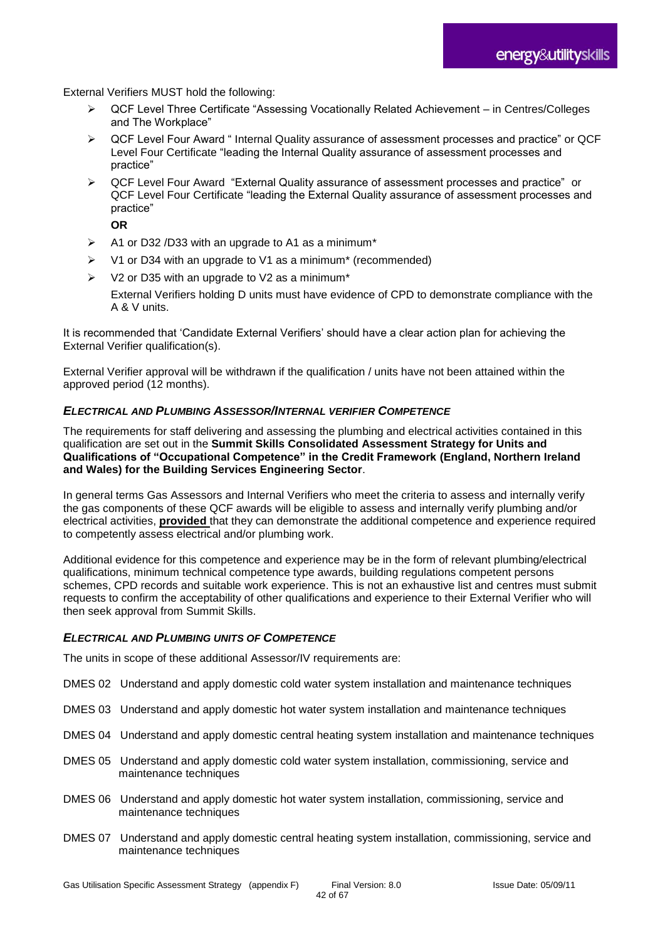External Verifiers MUST hold the following:

- QCF Level Three Certificate "Assessing Vocationally Related Achievement in Centres/Colleges and The Workplace"
- QCF Level Four Award " Internal Quality assurance of assessment processes and practice" or QCF Level Four Certificate "leading the Internal Quality assurance of assessment processes and practice"
- QCF Level Four Award "External Quality assurance of assessment processes and practice" or QCF Level Four Certificate "leading the External Quality assurance of assessment processes and practice"

**OR**

- $\triangleright$  A1 or D32 /D33 with an upgrade to A1 as a minimum\*
- V1 or D34 with an upgrade to V1 as a minimum\* (recommended)
- $\triangleright$  V2 or D35 with an upgrade to V2 as a minimum\*

External Verifiers holding D units must have evidence of CPD to demonstrate compliance with the A & V units.

It is recommended that 'Candidate External Verifiers' should have a clear action plan for achieving the External Verifier qualification(s).

External Verifier approval will be withdrawn if the qualification / units have not been attained within the approved period (12 months).

#### *ELECTRICAL AND PLUMBING ASSESSOR/INTERNAL VERIFIER COMPETENCE*

The requirements for staff delivering and assessing the plumbing and electrical activities contained in this qualification are set out in the **Summit Skills Consolidated Assessment Strategy for Units and Qualifications of "Occupational Competence" in the Credit Framework (England, Northern Ireland and Wales) for the Building Services Engineering Sector**.

In general terms Gas Assessors and Internal Verifiers who meet the criteria to assess and internally verify the gas components of these QCF awards will be eligible to assess and internally verify plumbing and/or electrical activities, **provided** that they can demonstrate the additional competence and experience required to competently assess electrical and/or plumbing work.

Additional evidence for this competence and experience may be in the form of relevant plumbing/electrical qualifications, minimum technical competence type awards, building regulations competent persons schemes, CPD records and suitable work experience. This is not an exhaustive list and centres must submit requests to confirm the acceptability of other qualifications and experience to their External Verifier who will then seek approval from Summit Skills.

#### *ELECTRICAL AND PLUMBING UNITS OF COMPETENCE*

The units in scope of these additional Assessor/IV requirements are:

- DMES 02 Understand and apply domestic cold water system installation and maintenance techniques
- DMES 03 Understand and apply domestic hot water system installation and maintenance techniques
- DMES 04 Understand and apply domestic central heating system installation and maintenance techniques
- DMES 05 Understand and apply domestic cold water system installation, commissioning, service and maintenance techniques
- DMES 06 Understand and apply domestic hot water system installation, commissioning, service and maintenance techniques
- DMES 07 Understand and apply domestic central heating system installation, commissioning, service and maintenance techniques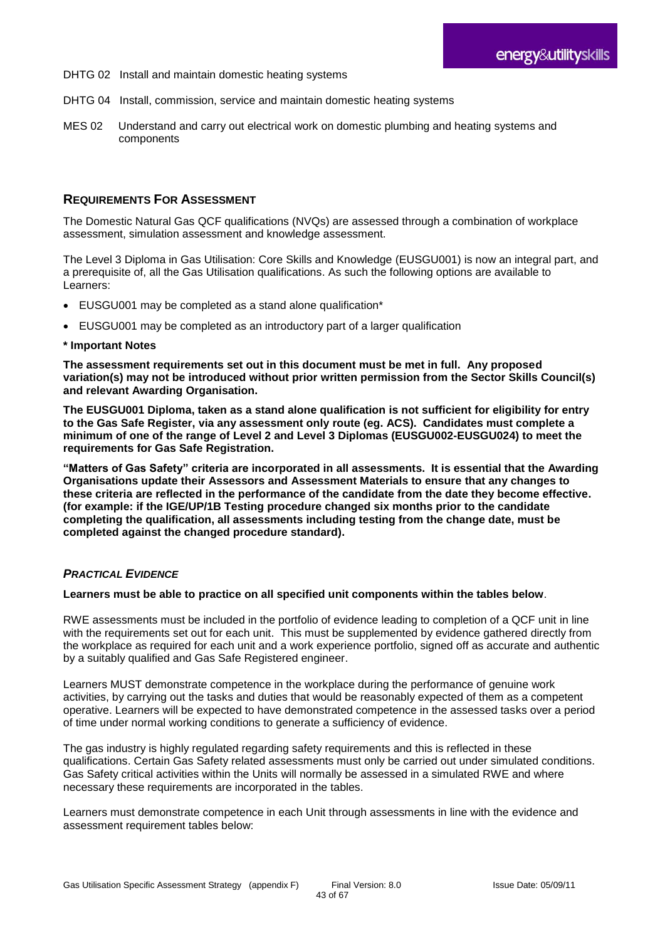- DHTG 02 Install and maintain domestic heating systems
- DHTG 04 Install, commission, service and maintain domestic heating systems
- MES 02 Understand and carry out electrical work on domestic plumbing and heating systems and components

#### **REQUIREMENTS FOR ASSESSMENT**

The Domestic Natural Gas QCF qualifications (NVQs) are assessed through a combination of workplace assessment, simulation assessment and knowledge assessment.

The Level 3 Diploma in Gas Utilisation: Core Skills and Knowledge (EUSGU001) is now an integral part, and a prerequisite of, all the Gas Utilisation qualifications. As such the following options are available to Learners:

- EUSGU001 may be completed as a stand alone qualification\*
- EUSGU001 may be completed as an introductory part of a larger qualification

#### **\* Important Notes**

**The assessment requirements set out in this document must be met in full. Any proposed variation(s) may not be introduced without prior written permission from the Sector Skills Council(s) and relevant Awarding Organisation.**

**The EUSGU001 Diploma, taken as a stand alone qualification is not sufficient for eligibility for entry to the Gas Safe Register, via any assessment only route (eg. ACS). Candidates must complete a minimum of one of the range of Level 2 and Level 3 Diplomas (EUSGU002-EUSGU024) to meet the requirements for Gas Safe Registration.**

**"Matters of Gas Safety" criteria are incorporated in all assessments. It is essential that the Awarding Organisations update their Assessors and Assessment Materials to ensure that any changes to these criteria are reflected in the performance of the candidate from the date they become effective. (for example: if the IGE/UP/1B Testing procedure changed six months prior to the candidate completing the qualification, all assessments including testing from the change date, must be completed against the changed procedure standard).**

#### *PRACTICAL EVIDENCE*

#### **Learners must be able to practice on all specified unit components within the tables below**.

RWE assessments must be included in the portfolio of evidence leading to completion of a QCF unit in line with the requirements set out for each unit. This must be supplemented by evidence gathered directly from the workplace as required for each unit and a work experience portfolio, signed off as accurate and authentic by a suitably qualified and Gas Safe Registered engineer.

Learners MUST demonstrate competence in the workplace during the performance of genuine work activities, by carrying out the tasks and duties that would be reasonably expected of them as a competent operative. Learners will be expected to have demonstrated competence in the assessed tasks over a period of time under normal working conditions to generate a sufficiency of evidence.

The gas industry is highly regulated regarding safety requirements and this is reflected in these qualifications. Certain Gas Safety related assessments must only be carried out under simulated conditions. Gas Safety critical activities within the Units will normally be assessed in a simulated RWE and where necessary these requirements are incorporated in the tables.

Learners must demonstrate competence in each Unit through assessments in line with the evidence and assessment requirement tables below: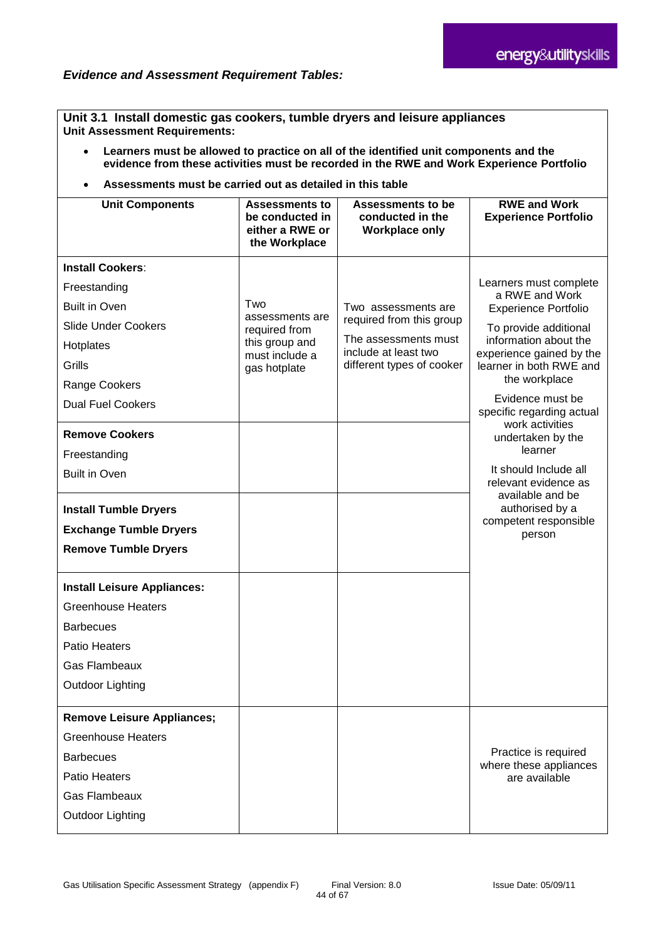**Unit 3.1 Install domestic gas cookers, tumble dryers and leisure appliances Unit Assessment Requirements:**

- **Learners must be allowed to practice on all of the identified unit components and the evidence from these activities must be recorded in the RWE and Work Experience Portfolio**
- **Assessments must be carried out as detailed in this table**

| <b>Unit Components</b>                                                                                                                                                                                                                                                                                                                                                                                                                                                                        | <b>Assessments to</b><br>be conducted in<br>either a RWE or<br>the Workplace                | <b>Assessments to be</b><br>conducted in the<br><b>Workplace only</b>                                                        | <b>RWE and Work</b><br><b>Experience Portfolio</b>                                                                                                                                                                                                                                                                                                                                                                               |
|-----------------------------------------------------------------------------------------------------------------------------------------------------------------------------------------------------------------------------------------------------------------------------------------------------------------------------------------------------------------------------------------------------------------------------------------------------------------------------------------------|---------------------------------------------------------------------------------------------|------------------------------------------------------------------------------------------------------------------------------|----------------------------------------------------------------------------------------------------------------------------------------------------------------------------------------------------------------------------------------------------------------------------------------------------------------------------------------------------------------------------------------------------------------------------------|
| <b>Install Cookers:</b><br>Freestanding<br><b>Built in Oven</b><br><b>Slide Under Cookers</b><br>Hotplates<br>Grills<br>Range Cookers<br><b>Dual Fuel Cookers</b><br><b>Remove Cookers</b><br>Freestanding<br><b>Built in Oven</b><br><b>Install Tumble Dryers</b><br><b>Exchange Tumble Dryers</b><br><b>Remove Tumble Dryers</b><br><b>Install Leisure Appliances:</b><br><b>Greenhouse Heaters</b><br><b>Barbecues</b><br><b>Patio Heaters</b><br><b>Gas Flambeaux</b><br>Outdoor Lighting | Two<br>assessments are<br>required from<br>this group and<br>must include a<br>gas hotplate | Two assessments are<br>required from this group<br>The assessments must<br>include at least two<br>different types of cooker | Learners must complete<br>a RWE and Work<br><b>Experience Portfolio</b><br>To provide additional<br>information about the<br>experience gained by the<br>learner in both RWE and<br>the workplace<br>Evidence must be<br>specific regarding actual<br>work activities<br>undertaken by the<br>learner<br>It should Include all<br>relevant evidence as<br>available and be<br>authorised by a<br>competent responsible<br>person |
| <b>Remove Leisure Appliances;</b><br><b>Greenhouse Heaters</b><br><b>Barbecues</b><br><b>Patio Heaters</b><br><b>Gas Flambeaux</b>                                                                                                                                                                                                                                                                                                                                                            |                                                                                             |                                                                                                                              | Practice is required<br>where these appliances<br>are available                                                                                                                                                                                                                                                                                                                                                                  |
| Outdoor Lighting                                                                                                                                                                                                                                                                                                                                                                                                                                                                              |                                                                                             |                                                                                                                              |                                                                                                                                                                                                                                                                                                                                                                                                                                  |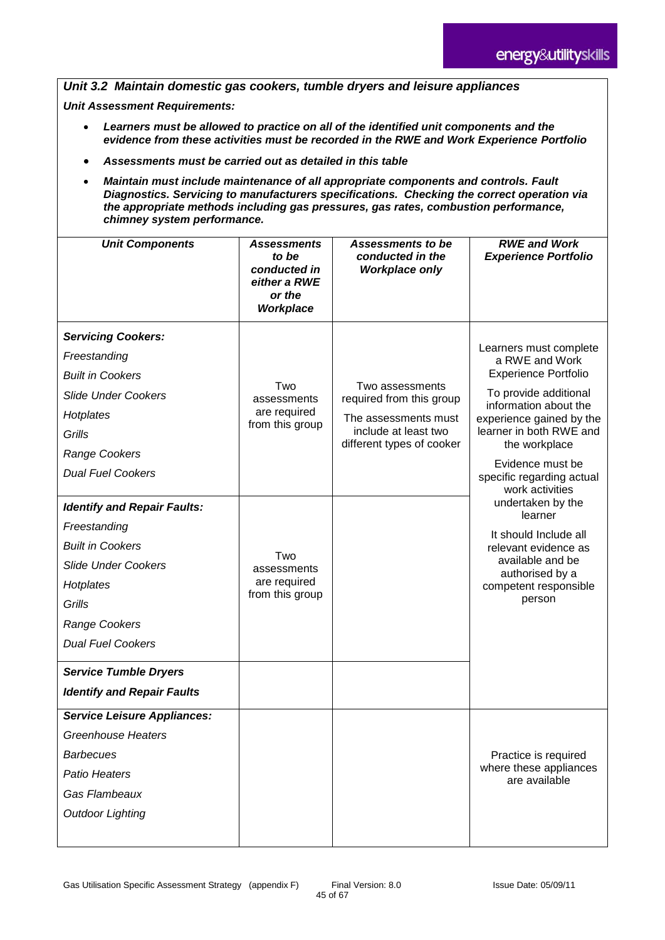*Unit 3.2 Maintain domestic gas cookers, tumble dryers and leisure appliances*

*Unit Assessment Requirements:*

- *Learners must be allowed to practice on all of the identified unit components and the evidence from these activities must be recorded in the RWE and Work Experience Portfolio*
- *Assessments must be carried out as detailed in this table*
- *Maintain must include maintenance of all appropriate components and controls. Fault Diagnostics. Servicing to manufacturers specifications. Checking the correct operation via the appropriate methods including gas pressures, gas rates, combustion performance, chimney system performance.*

| <b>Unit Components</b>                                                                                                                                                                 | <b>Assessments</b><br>to be<br>conducted in<br>either a RWE<br>or the<br>Workplace | Assessments to be<br>conducted in the<br><b>Workplace only</b>                              | <b>RWE and Work</b><br><b>Experience Portfolio</b>                                                                                                                               |
|----------------------------------------------------------------------------------------------------------------------------------------------------------------------------------------|------------------------------------------------------------------------------------|---------------------------------------------------------------------------------------------|----------------------------------------------------------------------------------------------------------------------------------------------------------------------------------|
| <b>Servicing Cookers:</b><br>Freestanding<br><b>Built in Cookers</b><br><b>Slide Under Cookers</b><br>Hotplates                                                                        | Two<br>assessments<br>are required<br>from this group                              | Two assessments<br>required from this group<br>The assessments must<br>include at least two | Learners must complete<br>a RWE and Work<br><b>Experience Portfolio</b><br>To provide additional<br>information about the<br>experience gained by the<br>learner in both RWE and |
| Grills<br><b>Range Cookers</b><br><b>Dual Fuel Cookers</b>                                                                                                                             |                                                                                    | different types of cooker                                                                   | the workplace<br>Evidence must be<br>specific regarding actual<br>work activities                                                                                                |
| <b>Identify and Repair Faults:</b><br>Freestanding<br><b>Built in Cookers</b><br><b>Slide Under Cookers</b><br>Hotplates<br>Grills<br><b>Range Cookers</b><br><b>Dual Fuel Cookers</b> | Two<br>assessments<br>are required<br>from this group                              |                                                                                             | undertaken by the<br>learner<br>It should Include all<br>relevant evidence as<br>available and be<br>authorised by a<br>competent responsible<br>person                          |
| <b>Service Tumble Dryers</b><br><b>Identify and Repair Faults</b>                                                                                                                      |                                                                                    |                                                                                             |                                                                                                                                                                                  |
| <b>Service Leisure Appliances:</b><br><b>Greenhouse Heaters</b><br><b>Barbecues</b><br><b>Patio Heaters</b><br>Gas Flambeaux<br><b>Outdoor Lighting</b>                                |                                                                                    |                                                                                             | Practice is required<br>where these appliances<br>are available                                                                                                                  |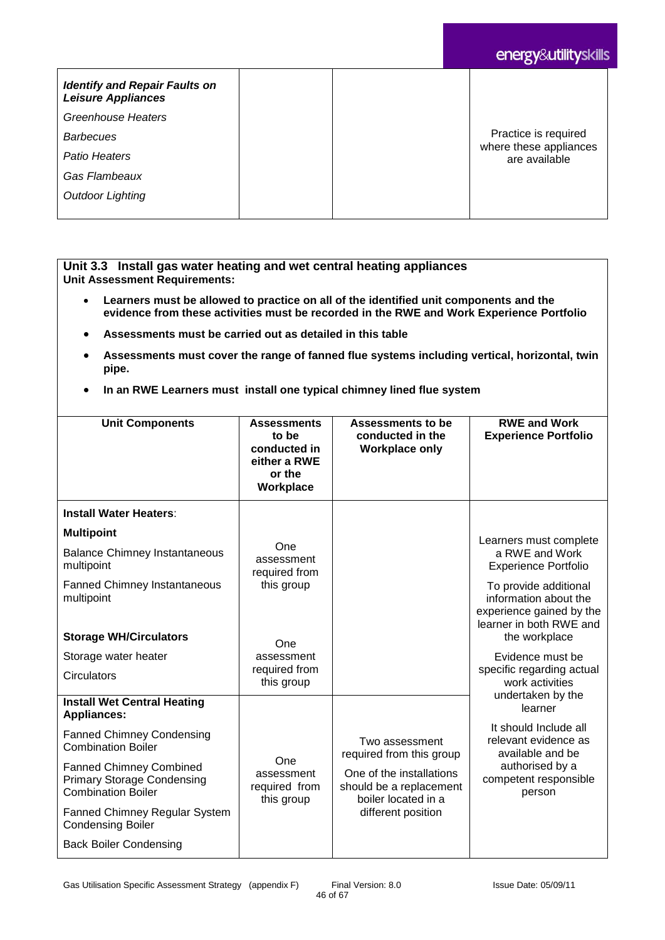# energy&utilityskills

| <b>Identify and Repair Faults on</b><br><b>Leisure Appliances</b> |                                         |
|-------------------------------------------------------------------|-----------------------------------------|
| Greenhouse Heaters                                                |                                         |
| <b>Barbecues</b>                                                  | Practice is required                    |
| Patio Heaters                                                     | where these appliances<br>are available |
| Gas Flambeaux                                                     |                                         |
| <b>Outdoor Lighting</b>                                           |                                         |
|                                                                   |                                         |

#### **Unit 3.3 Install gas water heating and wet central heating appliances Unit Assessment Requirements:**

- **Learners must be allowed to practice on all of the identified unit components and the evidence from these activities must be recorded in the RWE and Work Experience Portfolio**
- **Assessments must be carried out as detailed in this table**
- **Assessments must cover the range of fanned flue systems including vertical, horizontal, twin pipe.**
- **In an RWE Learners must install one typical chimney lined flue system**

| <b>Unit Components</b>                                                                           | <b>Assessments</b><br>to be<br>conducted in<br>either a RWE<br>or the<br>Workplace | Assessments to be<br>conducted in the<br><b>Workplace only</b>             | <b>RWE and Work</b><br><b>Experience Portfolio</b>                                                    |  |
|--------------------------------------------------------------------------------------------------|------------------------------------------------------------------------------------|----------------------------------------------------------------------------|-------------------------------------------------------------------------------------------------------|--|
| <b>Install Water Heaters:</b>                                                                    |                                                                                    |                                                                            |                                                                                                       |  |
| <b>Multipoint</b>                                                                                |                                                                                    |                                                                            | Learners must complete                                                                                |  |
| <b>Balance Chimney Instantaneous</b><br>multipoint                                               | One<br>assessment<br>required from                                                 |                                                                            | a RWE and Work<br><b>Experience Portfolio</b>                                                         |  |
| <b>Fanned Chimney Instantaneous</b><br>multipoint                                                | this group                                                                         |                                                                            | To provide additional<br>information about the<br>experience gained by the<br>learner in both RWE and |  |
| <b>Storage WH/Circulators</b>                                                                    | One                                                                                |                                                                            | the workplace                                                                                         |  |
| Storage water heater                                                                             | assessment                                                                         |                                                                            | Evidence must be                                                                                      |  |
| Circulators                                                                                      | required from<br>this group                                                        |                                                                            | specific regarding actual<br>work activities<br>undertaken by the                                     |  |
| <b>Install Wet Central Heating</b><br><b>Appliances:</b>                                         |                                                                                    |                                                                            | learner                                                                                               |  |
| <b>Fanned Chimney Condensing</b><br><b>Combination Boiler</b>                                    |                                                                                    | Two assessment<br>required from this group                                 | It should Include all<br>relevant evidence as<br>available and be                                     |  |
| <b>Fanned Chimney Combined</b><br><b>Primary Storage Condensing</b><br><b>Combination Boiler</b> | One<br>assessment<br>required from<br>this group                                   | One of the installations<br>should be a replacement<br>boiler located in a | authorised by a<br>competent responsible<br>person                                                    |  |
| <b>Fanned Chimney Regular System</b><br><b>Condensing Boiler</b>                                 |                                                                                    | different position                                                         |                                                                                                       |  |
| <b>Back Boiler Condensing</b>                                                                    |                                                                                    |                                                                            |                                                                                                       |  |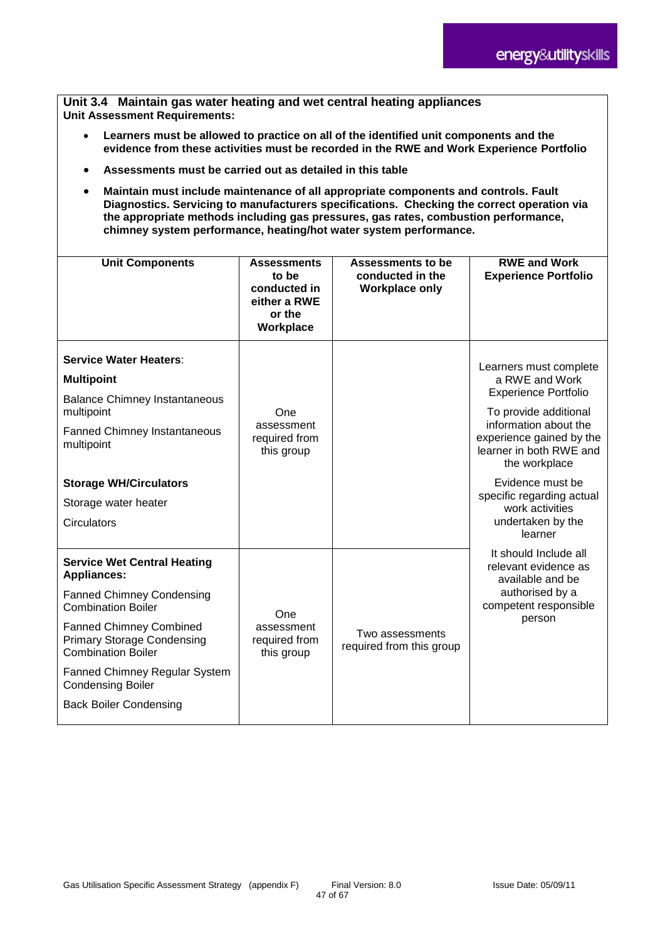#### **Unit 3.4 Maintain gas water heating and wet central heating appliances Unit Assessment Requirements:**

- **Learners must be allowed to practice on all of the identified unit components and the evidence from these activities must be recorded in the RWE and Work Experience Portfolio**
- **Assessments must be carried out as detailed in this table**
- **Maintain must include maintenance of all appropriate components and controls. Fault Diagnostics. Servicing to manufacturers specifications. Checking the correct operation via the appropriate methods including gas pressures, gas rates, combustion performance, chimney system performance, heating/hot water system performance.**

| <b>Unit Components</b>                                                                                                                                                                                                                                                                                                      | <b>Assessments</b><br>to be<br>conducted in<br>either a RWE<br>or the<br>Workplace | Assessments to be<br>conducted in the<br><b>Workplace only</b> | <b>RWE and Work</b><br><b>Experience Portfolio</b>                                                                                                                                                                                                                                                    |
|-----------------------------------------------------------------------------------------------------------------------------------------------------------------------------------------------------------------------------------------------------------------------------------------------------------------------------|------------------------------------------------------------------------------------|----------------------------------------------------------------|-------------------------------------------------------------------------------------------------------------------------------------------------------------------------------------------------------------------------------------------------------------------------------------------------------|
| <b>Service Water Heaters:</b><br><b>Multipoint</b><br><b>Balance Chimney Instantaneous</b><br>multipoint<br><b>Fanned Chimney Instantaneous</b><br>multipoint<br><b>Storage WH/Circulators</b><br>Storage water heater<br>Circulators                                                                                       | One<br>assessment<br>required from<br>this group                                   |                                                                | Learners must complete<br>a RWE and Work<br><b>Experience Portfolio</b><br>To provide additional<br>information about the<br>experience gained by the<br>learner in both RWE and<br>the workplace<br>Evidence must be<br>specific regarding actual<br>work activities<br>undertaken by the<br>learner |
| <b>Service Wet Central Heating</b><br><b>Appliances:</b><br><b>Fanned Chimney Condensing</b><br><b>Combination Boiler</b><br><b>Fanned Chimney Combined</b><br><b>Primary Storage Condensing</b><br><b>Combination Boiler</b><br>Fanned Chimney Regular System<br><b>Condensing Boiler</b><br><b>Back Boiler Condensing</b> | One<br>assessment<br>required from<br>this group                                   | Two assessments<br>required from this group                    | It should Include all<br>relevant evidence as<br>available and be<br>authorised by a<br>competent responsible<br>person                                                                                                                                                                               |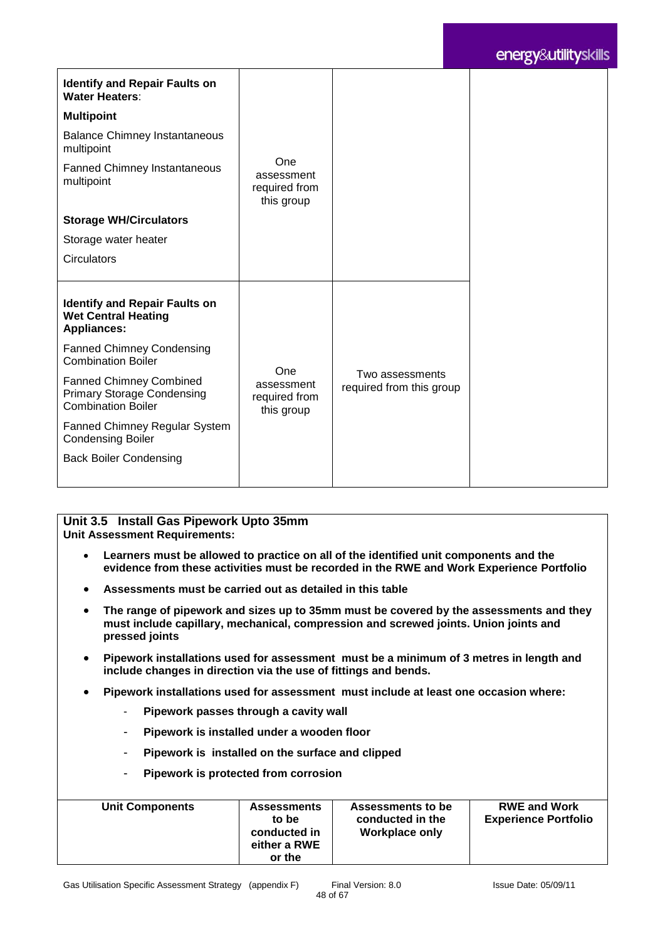# energy&utilityskills

| <b>Identify and Repair Faults on</b><br><b>Water Heaters:</b>                                    |                                                  |                                             |
|--------------------------------------------------------------------------------------------------|--------------------------------------------------|---------------------------------------------|
| <b>Multipoint</b>                                                                                |                                                  |                                             |
| <b>Balance Chimney Instantaneous</b><br>multipoint                                               |                                                  |                                             |
| <b>Fanned Chimney Instantaneous</b><br>multipoint                                                | One<br>assessment<br>required from<br>this group |                                             |
| <b>Storage WH/Circulators</b>                                                                    |                                                  |                                             |
| Storage water heater                                                                             |                                                  |                                             |
| <b>Circulators</b>                                                                               |                                                  |                                             |
|                                                                                                  |                                                  |                                             |
| <b>Identify and Repair Faults on</b><br><b>Wet Central Heating</b><br><b>Appliances:</b>         |                                                  |                                             |
| <b>Fanned Chimney Condensing</b><br><b>Combination Boiler</b>                                    |                                                  |                                             |
| <b>Fanned Chimney Combined</b><br><b>Primary Storage Condensing</b><br><b>Combination Boiler</b> | One<br>assessment<br>required from<br>this group | Two assessments<br>required from this group |
| <b>Fanned Chimney Regular System</b><br><b>Condensing Boiler</b>                                 |                                                  |                                             |
| <b>Back Boiler Condensing</b>                                                                    |                                                  |                                             |
|                                                                                                  |                                                  |                                             |

#### **Unit 3.5 Install Gas Pipework Upto 35mm Unit Assessment Requirements:**

- **Learners must be allowed to practice on all of the identified unit components and the evidence from these activities must be recorded in the RWE and Work Experience Portfolio**
- **Assessments must be carried out as detailed in this table**
- **The range of pipework and sizes up to 35mm must be covered by the assessments and they must include capillary, mechanical, compression and screwed joints. Union joints and pressed joints**
- **Pipework installations used for assessment must be a minimum of 3 metres in length and include changes in direction via the use of fittings and bends.**
- **Pipework installations used for assessment must include at least one occasion where:** 
	- **Pipework passes through a cavity wall**
	- **Pipework is installed under a wooden floor**
	- **Pipework is installed on the surface and clipped**
	- **Pipework is protected from corrosion**

| <b>Unit Components</b> | <b>Assessments</b><br>to be<br>conducted in<br>either a RWE<br>or the | Assessments to be<br>conducted in the<br><b>Workplace only</b> | <b>RWE and Work</b><br><b>Experience Portfolio</b> |
|------------------------|-----------------------------------------------------------------------|----------------------------------------------------------------|----------------------------------------------------|
|------------------------|-----------------------------------------------------------------------|----------------------------------------------------------------|----------------------------------------------------|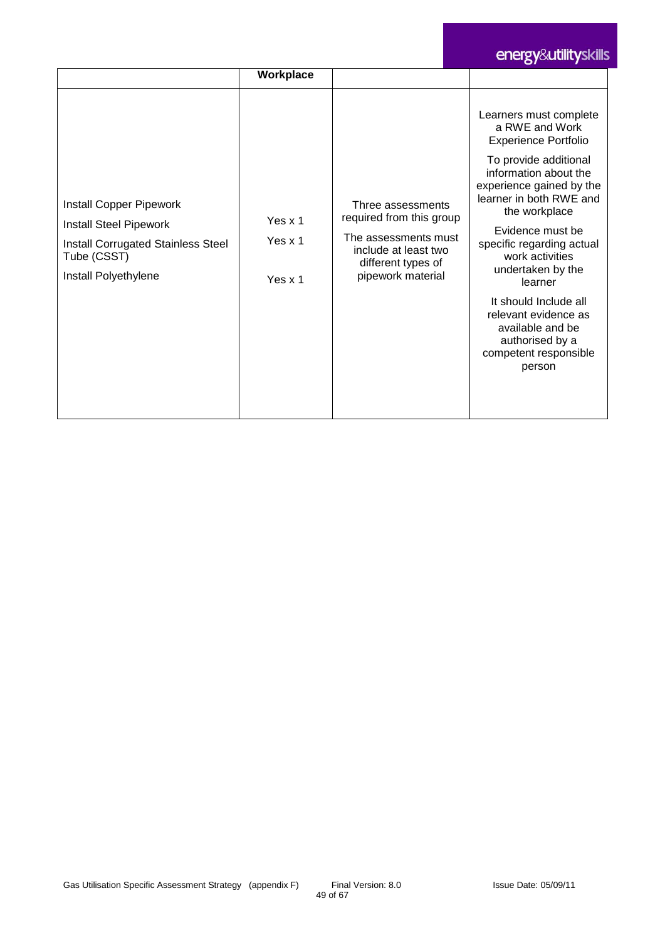# energy&utilityskills

|                                                                                                                                                     | Workplace                         |                                                                                                                                          |                                                                                                                                                                                                                                                                                                                                                                                                                                  |
|-----------------------------------------------------------------------------------------------------------------------------------------------------|-----------------------------------|------------------------------------------------------------------------------------------------------------------------------------------|----------------------------------------------------------------------------------------------------------------------------------------------------------------------------------------------------------------------------------------------------------------------------------------------------------------------------------------------------------------------------------------------------------------------------------|
| <b>Install Copper Pipework</b><br><b>Install Steel Pipework</b><br><b>Install Corrugated Stainless Steel</b><br>Tube (CSST)<br>Install Polyethylene | Yes x 1<br>Yes $x$ 1<br>Yes $x$ 1 | Three assessments<br>required from this group<br>The assessments must<br>include at least two<br>different types of<br>pipework material | Learners must complete<br>a RWE and Work<br><b>Experience Portfolio</b><br>To provide additional<br>information about the<br>experience gained by the<br>learner in both RWE and<br>the workplace<br>Evidence must be<br>specific regarding actual<br>work activities<br>undertaken by the<br>learner<br>It should Include all<br>relevant evidence as<br>available and be<br>authorised by a<br>competent responsible<br>person |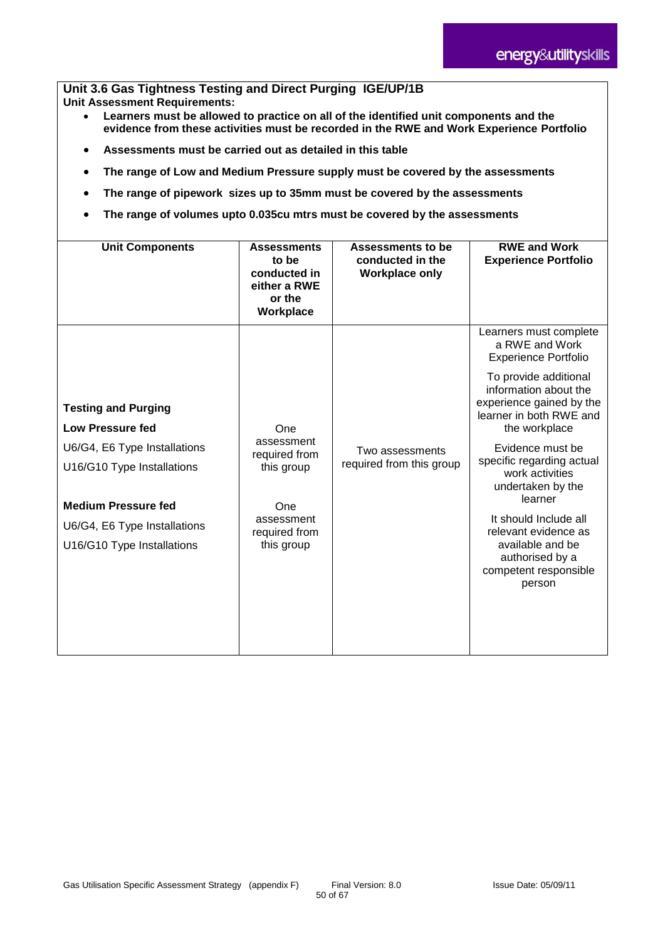#### **Unit 3.6 Gas Tightness Testing and Direct Purging IGE/UP/1B Unit Assessment Requirements:**

- **Learners must be allowed to practice on all of the identified unit components and the evidence from these activities must be recorded in the RWE and Work Experience Portfolio**
- **Assessments must be carried out as detailed in this table**
- **The range of Low and Medium Pressure supply must be covered by the assessments**
- **The range of pipework sizes up to 35mm must be covered by the assessments**
- **The range of volumes upto 0.035cu mtrs must be covered by the assessments**

| <b>Unit Components</b>                                                                                                                                                                                          | <b>Assessments</b><br>to be<br>conducted in<br>either a RWE<br>or the<br>Workplace                   | <b>Assessments to be</b><br>conducted in the<br><b>Workplace only</b> | <b>RWE and Work</b><br><b>Experience Portfolio</b>                                                                                                                                                                                                                                                                                                                                                                     |
|-----------------------------------------------------------------------------------------------------------------------------------------------------------------------------------------------------------------|------------------------------------------------------------------------------------------------------|-----------------------------------------------------------------------|------------------------------------------------------------------------------------------------------------------------------------------------------------------------------------------------------------------------------------------------------------------------------------------------------------------------------------------------------------------------------------------------------------------------|
| <b>Testing and Purging</b><br><b>Low Pressure fed</b><br>U6/G4, E6 Type Installations<br>U16/G10 Type Installations<br><b>Medium Pressure fed</b><br>U6/G4, E6 Type Installations<br>U16/G10 Type Installations | One<br>assessment<br>required from<br>this group<br>One<br>assessment<br>required from<br>this group | Two assessments<br>required from this group                           | Learners must complete<br>a RWE and Work<br><b>Experience Portfolio</b><br>To provide additional<br>information about the<br>experience gained by the<br>learner in both RWE and<br>the workplace<br>Evidence must be<br>specific regarding actual<br>work activities<br>undertaken by the<br>learner<br>It should Include all<br>relevant evidence as<br>available and be<br>authorised by a<br>competent responsible |
|                                                                                                                                                                                                                 |                                                                                                      |                                                                       | person                                                                                                                                                                                                                                                                                                                                                                                                                 |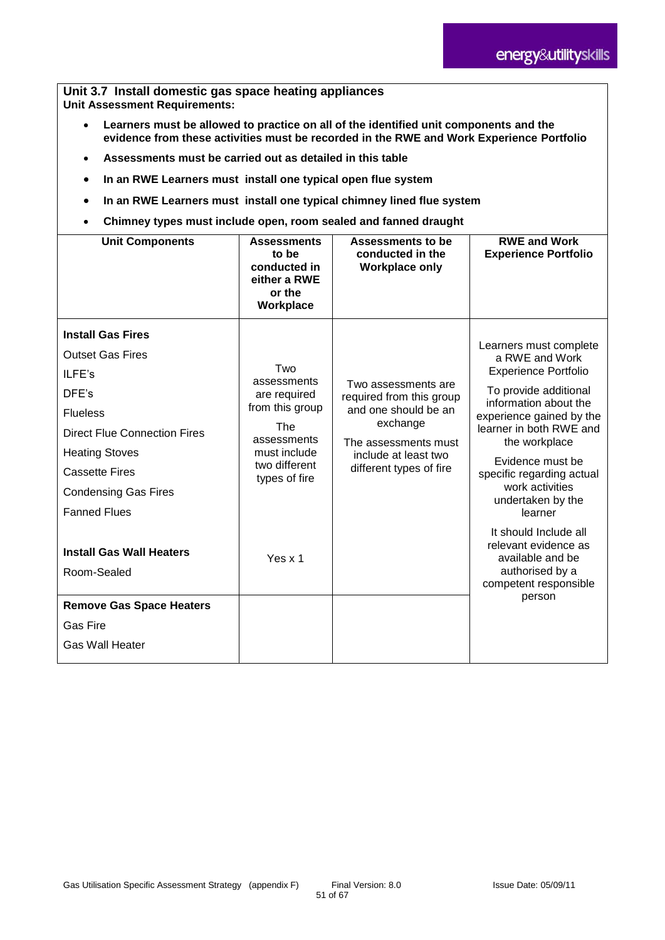**Unit 3.7 Install domestic gas space heating appliances Unit Assessment Requirements:**

- **Learners must be allowed to practice on all of the identified unit components and the evidence from these activities must be recorded in the RWE and Work Experience Portfolio**
- **Assessments must be carried out as detailed in this table**
- **In an RWE Learners must install one typical open flue system**
- **In an RWE Learners must install one typical chimney lined flue system**
- **Chimney types must include open, room sealed and fanned draught**

| <b>Unit Components</b>                                                                                                                                                                                                                   | <b>Assessments</b><br>to be<br>conducted in<br>either a RWE<br>or the<br>Workplace                                                   | Assessments to be<br>conducted in the<br><b>Workplace only</b>                                                                                                 | <b>RWE and Work</b><br><b>Experience Portfolio</b>                                                                                                                                                                                                                                                    |
|------------------------------------------------------------------------------------------------------------------------------------------------------------------------------------------------------------------------------------------|--------------------------------------------------------------------------------------------------------------------------------------|----------------------------------------------------------------------------------------------------------------------------------------------------------------|-------------------------------------------------------------------------------------------------------------------------------------------------------------------------------------------------------------------------------------------------------------------------------------------------------|
| <b>Install Gas Fires</b><br><b>Outset Gas Fires</b><br>ILFE's<br>DFE's<br><b>Flueless</b><br><b>Direct Flue Connection Fires</b><br><b>Heating Stoves</b><br><b>Cassette Fires</b><br><b>Condensing Gas Fires</b><br><b>Fanned Flues</b> | Two<br>assessments<br>are required<br>from this group<br><b>The</b><br>assessments<br>must include<br>two different<br>types of fire | Two assessments are<br>required from this group<br>and one should be an<br>exchange<br>The assessments must<br>include at least two<br>different types of fire | Learners must complete<br>a RWE and Work<br><b>Experience Portfolio</b><br>To provide additional<br>information about the<br>experience gained by the<br>learner in both RWE and<br>the workplace<br>Evidence must be<br>specific regarding actual<br>work activities<br>undertaken by the<br>learner |
| <b>Install Gas Wall Heaters</b><br>Room-Sealed<br><b>Remove Gas Space Heaters</b><br><b>Gas Fire</b><br><b>Gas Wall Heater</b>                                                                                                           | Yes x 1                                                                                                                              |                                                                                                                                                                | It should Include all<br>relevant evidence as<br>available and be<br>authorised by a<br>competent responsible<br>person                                                                                                                                                                               |
|                                                                                                                                                                                                                                          |                                                                                                                                      |                                                                                                                                                                |                                                                                                                                                                                                                                                                                                       |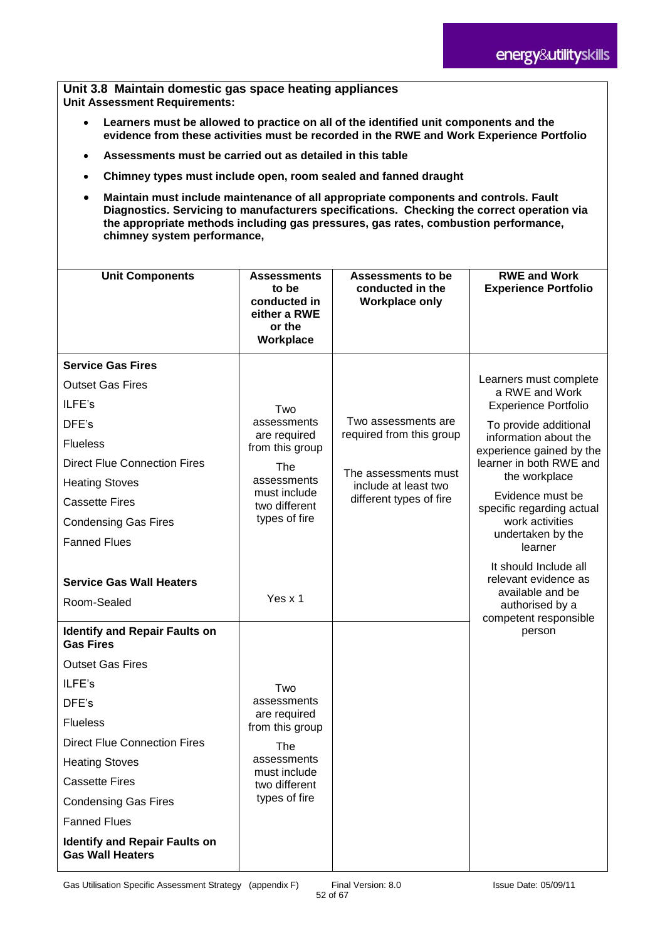**Unit 3.8 Maintain domestic gas space heating appliances Unit Assessment Requirements:**

- **Learners must be allowed to practice on all of the identified unit components and the evidence from these activities must be recorded in the RWE and Work Experience Portfolio**
- **Assessments must be carried out as detailed in this table**
- **Chimney types must include open, room sealed and fanned draught**
- **Maintain must include maintenance of all appropriate components and controls. Fault Diagnostics. Servicing to manufacturers specifications. Checking the correct operation via the appropriate methods including gas pressures, gas rates, combustion performance, chimney system performance,**

| <b>Unit Components</b>                                          | <b>Assessments</b>                                           | <b>Assessments to be</b>                        | <b>RWE and Work</b>                                                                                           |
|-----------------------------------------------------------------|--------------------------------------------------------------|-------------------------------------------------|---------------------------------------------------------------------------------------------------------------|
|                                                                 | to be<br>conducted in<br>either a RWE<br>or the<br>Workplace | conducted in the<br><b>Workplace only</b>       | <b>Experience Portfolio</b>                                                                                   |
| <b>Service Gas Fires</b>                                        |                                                              |                                                 |                                                                                                               |
| <b>Outset Gas Fires</b>                                         |                                                              |                                                 | Learners must complete<br>a RWE and Work                                                                      |
| ILFE's                                                          | Two                                                          |                                                 | <b>Experience Portfolio</b>                                                                                   |
| DFE's                                                           | assessments<br>are required                                  | Two assessments are<br>required from this group | To provide additional                                                                                         |
| <b>Flueless</b>                                                 | from this group                                              |                                                 | information about the<br>experience gained by the                                                             |
| <b>Direct Flue Connection Fires</b>                             | The                                                          | The assessments must                            | learner in both RWE and                                                                                       |
| <b>Heating Stoves</b>                                           | assessments<br>must include                                  | include at least two                            | the workplace                                                                                                 |
| <b>Cassette Fires</b>                                           | two different                                                | different types of fire                         | Evidence must be<br>specific regarding actual                                                                 |
| <b>Condensing Gas Fires</b>                                     | types of fire                                                |                                                 | work activities                                                                                               |
| <b>Fanned Flues</b>                                             |                                                              |                                                 | undertaken by the<br>learner                                                                                  |
| <b>Service Gas Wall Heaters</b><br>Room-Sealed                  | Yes x 1                                                      |                                                 | It should Include all<br>relevant evidence as<br>available and be<br>authorised by a<br>competent responsible |
| <b>Identify and Repair Faults on</b><br><b>Gas Fires</b>        |                                                              |                                                 | person                                                                                                        |
| <b>Outset Gas Fires</b>                                         |                                                              |                                                 |                                                                                                               |
| ILFE's                                                          | Two                                                          |                                                 |                                                                                                               |
| DFE's                                                           | assessments<br>are required                                  |                                                 |                                                                                                               |
| <b>Flueless</b>                                                 | from this group                                              |                                                 |                                                                                                               |
| <b>Direct Flue Connection Fires</b>                             | <b>The</b>                                                   |                                                 |                                                                                                               |
| <b>Heating Stoves</b>                                           | assessments<br>must include                                  |                                                 |                                                                                                               |
| <b>Cassette Fires</b>                                           | two different                                                |                                                 |                                                                                                               |
| <b>Condensing Gas Fires</b>                                     | types of fire                                                |                                                 |                                                                                                               |
| <b>Fanned Flues</b>                                             |                                                              |                                                 |                                                                                                               |
| <b>Identify and Repair Faults on</b><br><b>Gas Wall Heaters</b> |                                                              |                                                 |                                                                                                               |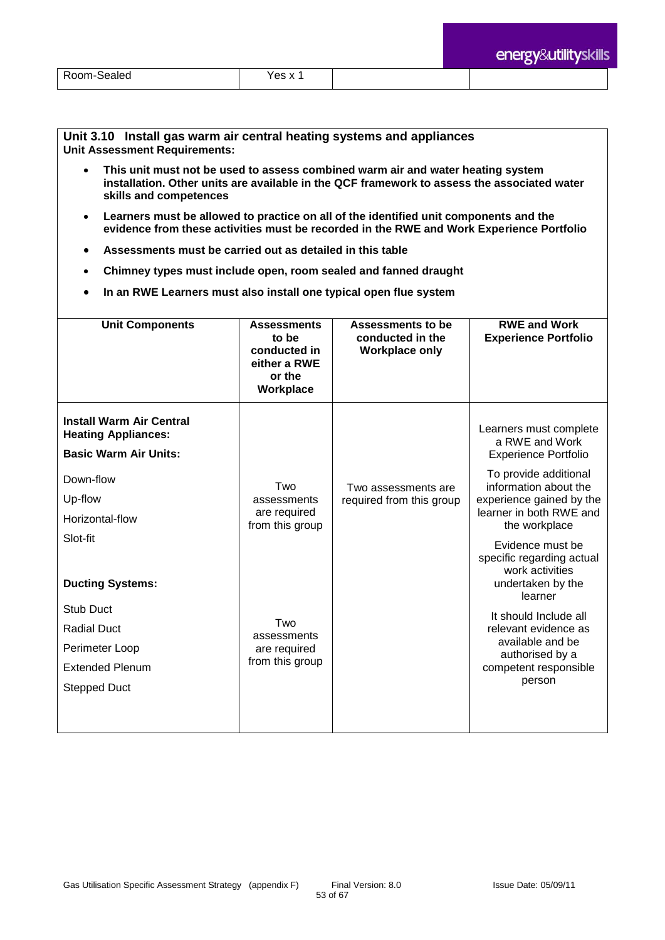**Unit 3.10 Install gas warm air central heating systems and appliances Unit Assessment Requirements:**

- **This unit must not be used to assess combined warm air and water heating system installation. Other units are available in the QCF framework to assess the associated water skills and competences**
- **Learners must be allowed to practice on all of the identified unit components and the evidence from these activities must be recorded in the RWE and Work Experience Portfolio**
- **Assessments must be carried out as detailed in this table**
- **Chimney types must include open, room sealed and fanned draught**
- **In an RWE Learners must also install one typical open flue system**

| <b>Unit Components</b>                                                                                                                   | <b>Assessments</b><br>to be<br>conducted in<br>either a RWE<br>or the<br>Workplace | Assessments to be<br>conducted in the<br><b>Workplace only</b> | <b>RWE and Work</b><br><b>Experience Portfolio</b>                                                                                                                                                |
|------------------------------------------------------------------------------------------------------------------------------------------|------------------------------------------------------------------------------------|----------------------------------------------------------------|---------------------------------------------------------------------------------------------------------------------------------------------------------------------------------------------------|
| <b>Install Warm Air Central</b><br><b>Heating Appliances:</b><br><b>Basic Warm Air Units:</b><br>Down-flow<br>Up-flow<br>Horizontal-flow | Two<br>assessments<br>are required<br>from this group                              | Two assessments are<br>required from this group                | Learners must complete<br>a RWE and Work<br><b>Experience Portfolio</b><br>To provide additional<br>information about the<br>experience gained by the<br>learner in both RWE and<br>the workplace |
| Slot-fit<br><b>Ducting Systems:</b><br>Stub Duct                                                                                         |                                                                                    |                                                                | Evidence must be<br>specific regarding actual<br>work activities<br>undertaken by the<br>learner<br>It should Include all                                                                         |
| <b>Radial Duct</b><br>Perimeter Loop<br><b>Extended Plenum</b><br><b>Stepped Duct</b>                                                    | Two<br>assessments<br>are required<br>from this group                              |                                                                | relevant evidence as<br>available and be<br>authorised by a<br>competent responsible<br>person                                                                                                    |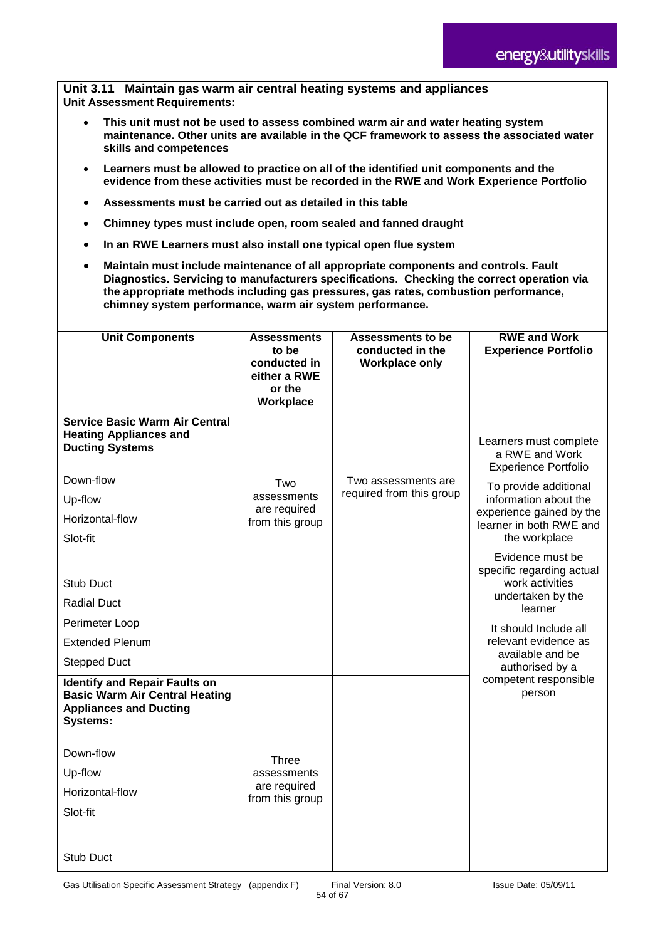**Unit 3.11 Maintain gas warm air central heating systems and appliances Unit Assessment Requirements:**

- **This unit must not be used to assess combined warm air and water heating system maintenance. Other units are available in the QCF framework to assess the associated water skills and competences**
- **Learners must be allowed to practice on all of the identified unit components and the evidence from these activities must be recorded in the RWE and Work Experience Portfolio**
- **Assessments must be carried out as detailed in this table**
- **Chimney types must include open, room sealed and fanned draught**
- **In an RWE Learners must also install one typical open flue system**
- **Maintain must include maintenance of all appropriate components and controls. Fault Diagnostics. Servicing to manufacturers specifications. Checking the correct operation via the appropriate methods including gas pressures, gas rates, combustion performance, chimney system performance, warm air system performance.**

| <b>Unit Components</b>                                                                                                            | <b>Assessments</b><br>to be<br>conducted in<br>either a RWE<br>or the<br>Workplace | <b>Assessments to be</b><br>conducted in the<br><b>Workplace only</b> | <b>RWE and Work</b><br><b>Experience Portfolio</b>                                               |
|-----------------------------------------------------------------------------------------------------------------------------------|------------------------------------------------------------------------------------|-----------------------------------------------------------------------|--------------------------------------------------------------------------------------------------|
| <b>Service Basic Warm Air Central</b><br><b>Heating Appliances and</b><br><b>Ducting Systems</b>                                  |                                                                                    |                                                                       | Learners must complete<br>a RWE and Work<br><b>Experience Portfolio</b>                          |
| Down-flow                                                                                                                         | Two                                                                                | Two assessments are                                                   | To provide additional                                                                            |
| Up-flow                                                                                                                           | assessments                                                                        | required from this group                                              | information about the                                                                            |
| Horizontal-flow                                                                                                                   | are required<br>from this group                                                    |                                                                       | experience gained by the<br>learner in both RWE and                                              |
| Slot-fit                                                                                                                          |                                                                                    |                                                                       | the workplace                                                                                    |
| Stub Duct<br><b>Radial Duct</b>                                                                                                   |                                                                                    |                                                                       | Evidence must be<br>specific regarding actual<br>work activities<br>undertaken by the<br>learner |
| Perimeter Loop                                                                                                                    |                                                                                    |                                                                       | It should Include all                                                                            |
| <b>Extended Plenum</b>                                                                                                            |                                                                                    |                                                                       | relevant evidence as<br>available and be                                                         |
| <b>Stepped Duct</b>                                                                                                               |                                                                                    |                                                                       | authorised by a                                                                                  |
| <b>Identify and Repair Faults on</b><br><b>Basic Warm Air Central Heating</b><br><b>Appliances and Ducting</b><br><b>Systems:</b> |                                                                                    |                                                                       | competent responsible<br>person                                                                  |
| Down-flow                                                                                                                         | <b>Three</b>                                                                       |                                                                       |                                                                                                  |
| Up-flow                                                                                                                           | assessments                                                                        |                                                                       |                                                                                                  |
| Horizontal-flow                                                                                                                   | are required<br>from this group                                                    |                                                                       |                                                                                                  |
| Slot-fit                                                                                                                          |                                                                                    |                                                                       |                                                                                                  |
|                                                                                                                                   |                                                                                    |                                                                       |                                                                                                  |
| Stub Duct                                                                                                                         |                                                                                    |                                                                       |                                                                                                  |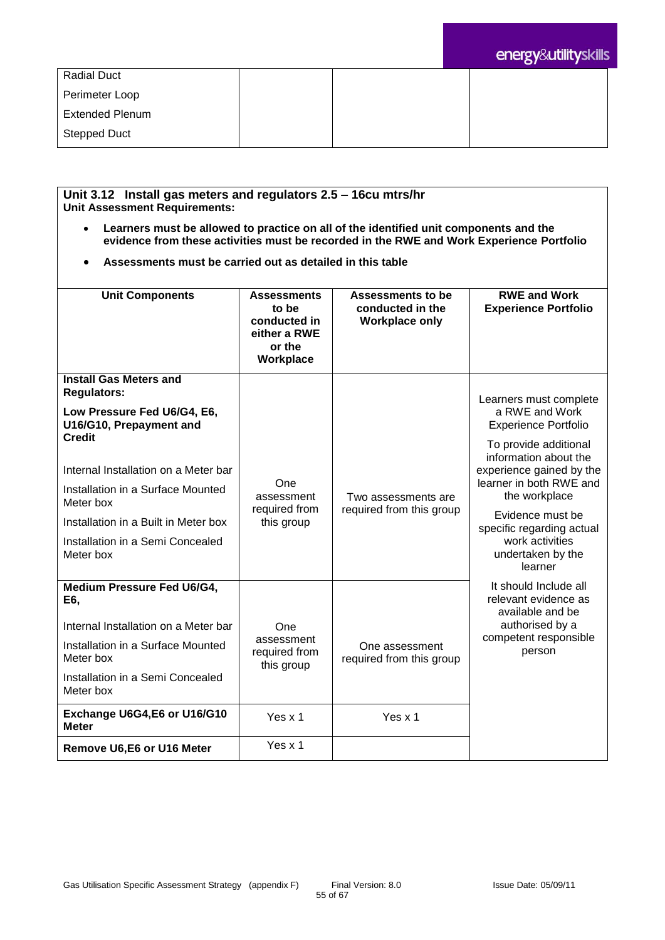| <b>Radial Duct</b>     |  |  |  |
|------------------------|--|--|--|
|                        |  |  |  |
| Perimeter Loop         |  |  |  |
|                        |  |  |  |
|                        |  |  |  |
| <b>Extended Plenum</b> |  |  |  |
|                        |  |  |  |
| Stepped Duct           |  |  |  |
|                        |  |  |  |

#### **Unit 3.12 Install gas meters and regulators 2.5 – 16cu mtrs/hr Unit Assessment Requirements:**

- **Learners must be allowed to practice on all of the identified unit components and the evidence from these activities must be recorded in the RWE and Work Experience Portfolio**
- **Assessments must be carried out as detailed in this table**

| <b>Unit Components</b>                                                                                  | <b>Assessments</b><br>to be<br>conducted in<br>either a RWE<br>or the<br>Workplace | <b>Assessments to be</b><br>conducted in the<br><b>Workplace only</b> | <b>RWE and Work</b><br><b>Experience Portfolio</b>                                                                     |
|---------------------------------------------------------------------------------------------------------|------------------------------------------------------------------------------------|-----------------------------------------------------------------------|------------------------------------------------------------------------------------------------------------------------|
| <b>Install Gas Meters and</b><br><b>Regulators:</b>                                                     |                                                                                    |                                                                       | Learners must complete                                                                                                 |
| Low Pressure Fed U6/G4, E6,<br>U16/G10, Prepayment and                                                  |                                                                                    |                                                                       | a RWE and Work<br><b>Experience Portfolio</b>                                                                          |
| <b>Credit</b><br>Internal Installation on a Meter bar<br>Installation in a Surface Mounted<br>Meter box | One<br>assessment                                                                  | Two assessments are                                                   | To provide additional<br>information about the<br>experience gained by the<br>learner in both RWE and<br>the workplace |
| Installation in a Built in Meter box                                                                    | required from<br>this group                                                        | required from this group                                              | Evidence must be<br>specific regarding actual                                                                          |
| Installation in a Semi Concealed<br>Meter box                                                           |                                                                                    |                                                                       | work activities<br>undertaken by the<br>learner                                                                        |
| Medium Pressure Fed U6/G4,<br>E6,                                                                       |                                                                                    |                                                                       | It should Include all<br>relevant evidence as<br>available and be                                                      |
| Internal Installation on a Meter bar                                                                    | One                                                                                |                                                                       | authorised by a<br>competent responsible                                                                               |
| Installation in a Surface Mounted<br>Meter box                                                          | assessment<br>required from<br>this group                                          | One assessment<br>required from this group                            | person                                                                                                                 |
| Installation in a Semi Concealed<br>Meter box                                                           |                                                                                    |                                                                       |                                                                                                                        |
| Exchange U6G4, E6 or U16/G10<br><b>Meter</b>                                                            | Yes $x$ 1                                                                          | Yes $x$ 1                                                             |                                                                                                                        |
| Remove U6,E6 or U16 Meter                                                                               | Yes x 1                                                                            |                                                                       |                                                                                                                        |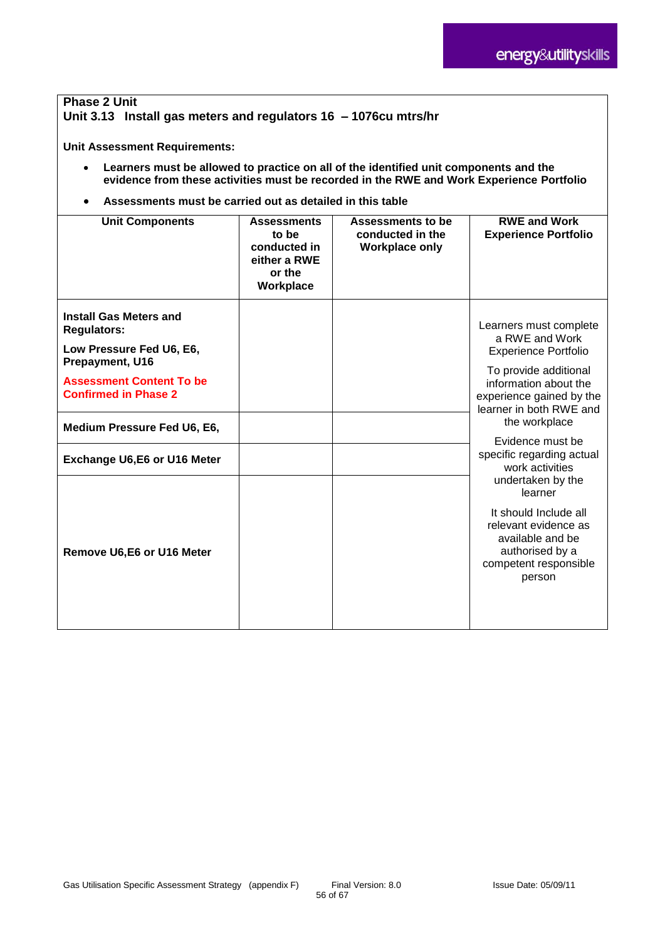#### **Phase 2 Unit Unit 3.13 Install gas meters and regulators 16 – 1076cu mtrs/hr**

**Unit Assessment Requirements:**

- **Learners must be allowed to practice on all of the identified unit components and the evidence from these activities must be recorded in the RWE and Work Experience Portfolio**
- **Assessments must be carried out as detailed in this table**

| <b>Unit Components</b>                                                                             | <b>Assessments</b><br>to be<br>conducted in<br>either a RWE<br>or the<br>Workplace | Assessments to be<br>conducted in the<br><b>Workplace only</b> | <b>RWE and Work</b><br><b>Experience Portfolio</b>                                                                      |
|----------------------------------------------------------------------------------------------------|------------------------------------------------------------------------------------|----------------------------------------------------------------|-------------------------------------------------------------------------------------------------------------------------|
| <b>Install Gas Meters and</b><br><b>Regulators:</b><br>Low Pressure Fed U6, E6,<br>Prepayment, U16 |                                                                                    |                                                                | Learners must complete<br>a RWE and Work<br><b>Experience Portfolio</b><br>To provide additional                        |
| <b>Assessment Content To be</b><br><b>Confirmed in Phase 2</b>                                     |                                                                                    |                                                                | information about the<br>experience gained by the<br>learner in both RWE and                                            |
| Medium Pressure Fed U6, E6,                                                                        |                                                                                    |                                                                | the workplace                                                                                                           |
| Exchange U6,E6 or U16 Meter                                                                        |                                                                                    |                                                                | Evidence must be<br>specific regarding actual<br>work activities<br>undertaken by the<br>learner                        |
| Remove U6,E6 or U16 Meter                                                                          |                                                                                    |                                                                | It should Include all<br>relevant evidence as<br>available and be<br>authorised by a<br>competent responsible<br>person |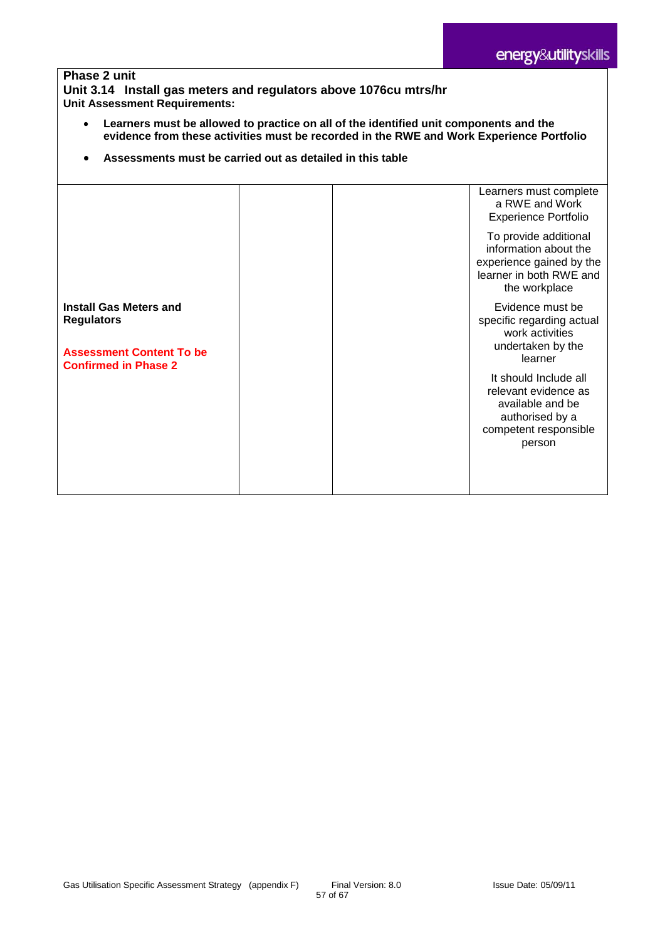#### **Phase 2 unit Unit 3.14 Install gas meters and regulators above 1076cu mtrs/hr Unit Assessment Requirements:**

- **Learners must be allowed to practice on all of the identified unit components and the evidence from these activities must be recorded in the RWE and Work Experience Portfolio**
- **Assessments must be carried out as detailed in this table**

|                                                                                                                      |  | Learners must complete                                                                                                  |
|----------------------------------------------------------------------------------------------------------------------|--|-------------------------------------------------------------------------------------------------------------------------|
|                                                                                                                      |  | a RWE and Work<br><b>Experience Portfolio</b>                                                                           |
|                                                                                                                      |  | To provide additional<br>information about the<br>experience gained by the<br>learner in both RWE and<br>the workplace  |
| <b>Install Gas Meters and</b><br><b>Regulators</b><br><b>Assessment Content To be</b><br><b>Confirmed in Phase 2</b> |  | Evidence must be<br>specific regarding actual<br>work activities<br>undertaken by the<br>learner                        |
|                                                                                                                      |  | It should Include all<br>relevant evidence as<br>available and be<br>authorised by a<br>competent responsible<br>person |
|                                                                                                                      |  |                                                                                                                         |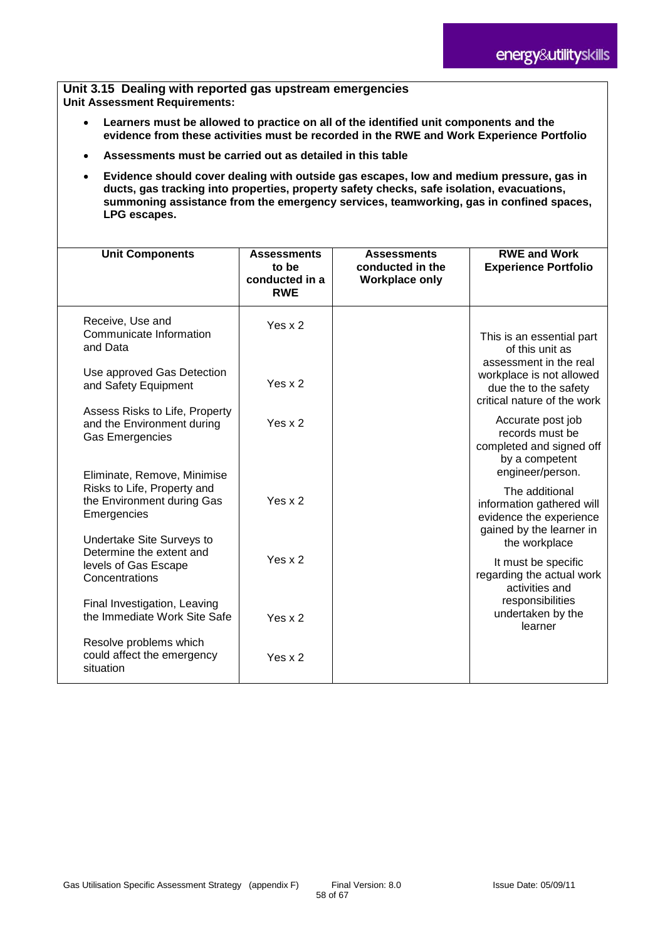**Unit 3.15 Dealing with reported gas upstream emergencies Unit Assessment Requirements:**

- **Learners must be allowed to practice on all of the identified unit components and the evidence from these activities must be recorded in the RWE and Work Experience Portfolio**
- **Assessments must be carried out as detailed in this table**
- **Evidence should cover dealing with outside gas escapes, low and medium pressure, gas in ducts, gas tracking into properties, property safety checks, safe isolation, evacuations, summoning assistance from the emergency services, teamworking, gas in confined spaces, LPG escapes.**

| <b>Unit Components</b>                                                                                                               | <b>Assessments</b><br>to be<br>conducted in a<br><b>RWE</b> | <b>Assessments</b><br>conducted in the<br><b>Workplace only</b> | <b>RWE and Work</b><br><b>Experience Portfolio</b>                                                     |
|--------------------------------------------------------------------------------------------------------------------------------------|-------------------------------------------------------------|-----------------------------------------------------------------|--------------------------------------------------------------------------------------------------------|
| Receive, Use and<br>Communicate Information<br>and Data                                                                              | Yes $x$ 2                                                   |                                                                 | This is an essential part<br>of this unit as<br>assessment in the real                                 |
| Use approved Gas Detection<br>and Safety Equipment                                                                                   | Yes $x$ 2                                                   |                                                                 | workplace is not allowed<br>due the to the safety<br>critical nature of the work                       |
| Assess Risks to Life, Property<br>and the Environment during<br><b>Gas Emergencies</b>                                               | Yes $x$ 2                                                   |                                                                 | Accurate post job<br>records must be<br>completed and signed off<br>by a competent<br>engineer/person. |
| Eliminate, Remove, Minimise<br>Risks to Life, Property and<br>the Environment during Gas<br>Emergencies<br>Undertake Site Surveys to | Yes $x$ 2                                                   |                                                                 | The additional<br>information gathered will<br>evidence the experience<br>gained by the learner in     |
| Determine the extent and<br>levels of Gas Escape<br>Concentrations                                                                   | Yes $x$ 2                                                   |                                                                 | the workplace<br>It must be specific<br>regarding the actual work<br>activities and                    |
| Final Investigation, Leaving<br>the Immediate Work Site Safe                                                                         | Yes $x$ 2                                                   |                                                                 | responsibilities<br>undertaken by the<br>learner                                                       |
| Resolve problems which<br>could affect the emergency<br>situation                                                                    | Yes $x$ 2                                                   |                                                                 |                                                                                                        |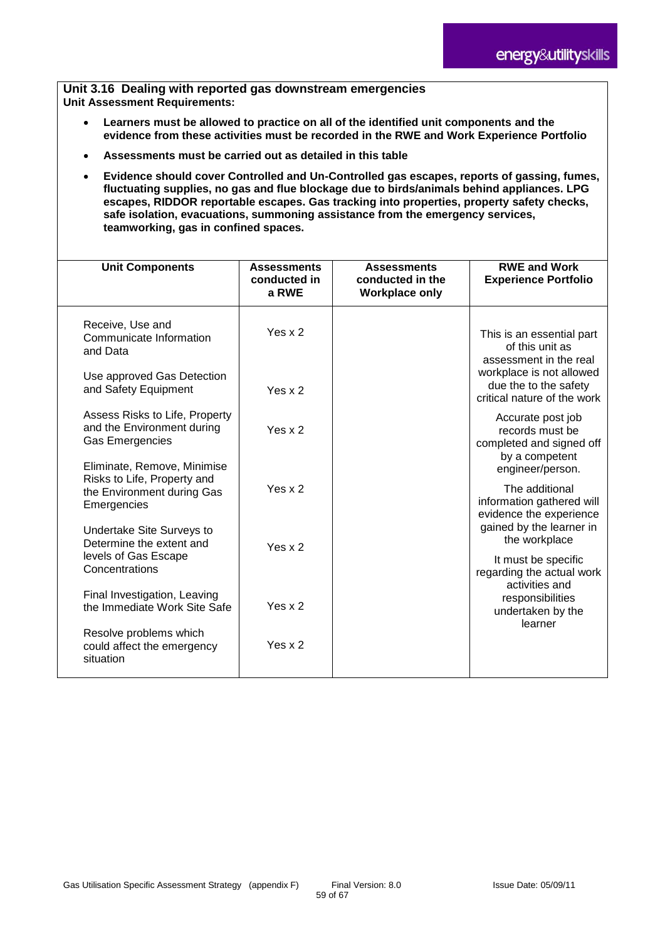**Unit 3.16 Dealing with reported gas downstream emergencies Unit Assessment Requirements:**

- **Learners must be allowed to practice on all of the identified unit components and the evidence from these activities must be recorded in the RWE and Work Experience Portfolio**
- **Assessments must be carried out as detailed in this table**
- **Evidence should cover Controlled and Un-Controlled gas escapes, reports of gassing, fumes, fluctuating supplies, no gas and flue blockage due to birds/animals behind appliances. LPG escapes, RIDDOR reportable escapes. Gas tracking into properties, property safety checks, safe isolation, evacuations, summoning assistance from the emergency services, teamworking, gas in confined spaces.**

| <b>Unit Components</b>                                                                                         | <b>Assessments</b><br>conducted in<br>a RWE | <b>Assessments</b><br>conducted in the<br><b>Workplace only</b> | <b>RWE and Work</b><br><b>Experience Portfolio</b>                                                     |
|----------------------------------------------------------------------------------------------------------------|---------------------------------------------|-----------------------------------------------------------------|--------------------------------------------------------------------------------------------------------|
| Receive, Use and<br>Communicate Information<br>and Data                                                        | Yes $x$ 2                                   |                                                                 | This is an essential part<br>of this unit as<br>assessment in the real                                 |
| Use approved Gas Detection<br>and Safety Equipment                                                             | Yes $x$ 2                                   |                                                                 | workplace is not allowed<br>due the to the safety<br>critical nature of the work                       |
| Assess Risks to Life, Property<br>and the Environment during<br>Gas Emergencies<br>Eliminate, Remove, Minimise | Yes $x$ 2                                   |                                                                 | Accurate post job<br>records must be<br>completed and signed off<br>by a competent<br>engineer/person. |
| Risks to Life, Property and<br>the Environment during Gas<br>Emergencies                                       | Yes $x$ 2                                   |                                                                 | The additional<br>information gathered will<br>evidence the experience<br>gained by the learner in     |
| Undertake Site Surveys to<br>Determine the extent and<br>levels of Gas Escape<br>Concentrations                | Yes $x$ 2                                   |                                                                 | the workplace<br>It must be specific<br>regarding the actual work                                      |
| Final Investigation, Leaving<br>the Immediate Work Site Safe                                                   | Yes $x$ 2                                   |                                                                 | activities and<br>responsibilities<br>undertaken by the<br>learner                                     |
| Resolve problems which<br>could affect the emergency<br>situation                                              | Yes $x$ 2                                   |                                                                 |                                                                                                        |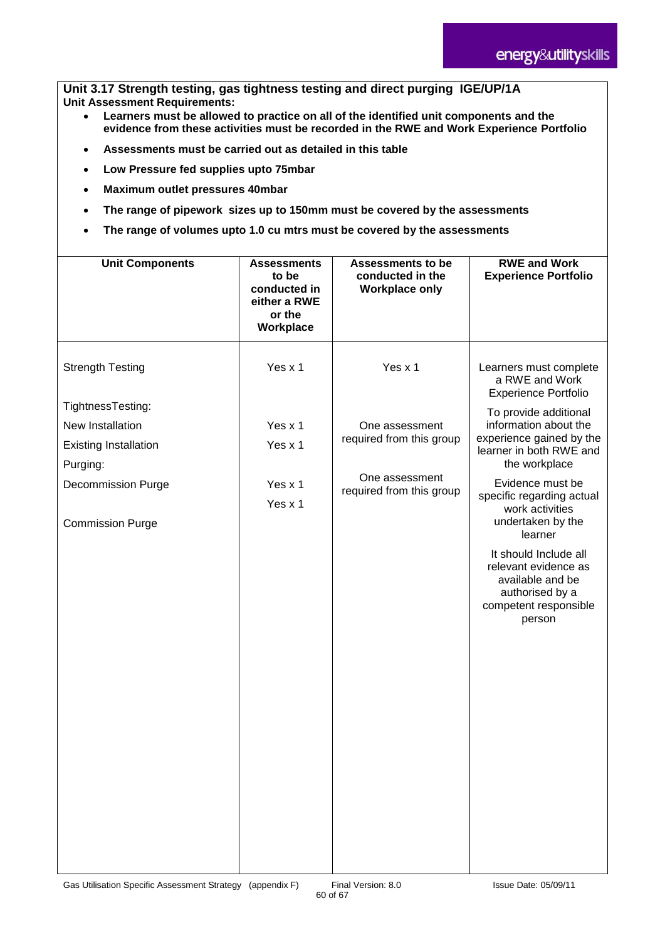**Unit 3.17 Strength testing, gas tightness testing and direct purging IGE/UP/1A Unit Assessment Requirements:**

- **Learners must be allowed to practice on all of the identified unit components and the evidence from these activities must be recorded in the RWE and Work Experience Portfolio**
- **Assessments must be carried out as detailed in this table**
- **Low Pressure fed supplies upto 75mbar**
- **Maximum outlet pressures 40mbar**
- **The range of pipework sizes up to 150mm must be covered by the assessments**
- **The range of volumes upto 1.0 cu mtrs must be covered by the assessments**

| <b>Unit Components</b>                                                                                                                                               | <b>Assessments</b><br>to be<br>conducted in<br>either a RWE<br>or the<br>Workplace | <b>Assessments to be</b><br>conducted in the<br><b>Workplace only</b>                               | <b>RWE and Work</b><br><b>Experience Portfolio</b>                                                                                                                                                                                                                                                                                                                                                                               |
|----------------------------------------------------------------------------------------------------------------------------------------------------------------------|------------------------------------------------------------------------------------|-----------------------------------------------------------------------------------------------------|----------------------------------------------------------------------------------------------------------------------------------------------------------------------------------------------------------------------------------------------------------------------------------------------------------------------------------------------------------------------------------------------------------------------------------|
| <b>Strength Testing</b><br>TightnessTesting:<br>New Installation<br><b>Existing Installation</b><br>Purging:<br><b>Decommission Purge</b><br><b>Commission Purge</b> | Yes x 1<br>Yes x 1<br>Yes x 1<br>Yes x 1<br>Yes x 1                                | Yes x 1<br>One assessment<br>required from this group<br>One assessment<br>required from this group | Learners must complete<br>a RWE and Work<br><b>Experience Portfolio</b><br>To provide additional<br>information about the<br>experience gained by the<br>learner in both RWE and<br>the workplace<br>Evidence must be<br>specific regarding actual<br>work activities<br>undertaken by the<br>learner<br>It should Include all<br>relevant evidence as<br>available and be<br>authorised by a<br>competent responsible<br>person |
|                                                                                                                                                                      |                                                                                    |                                                                                                     |                                                                                                                                                                                                                                                                                                                                                                                                                                  |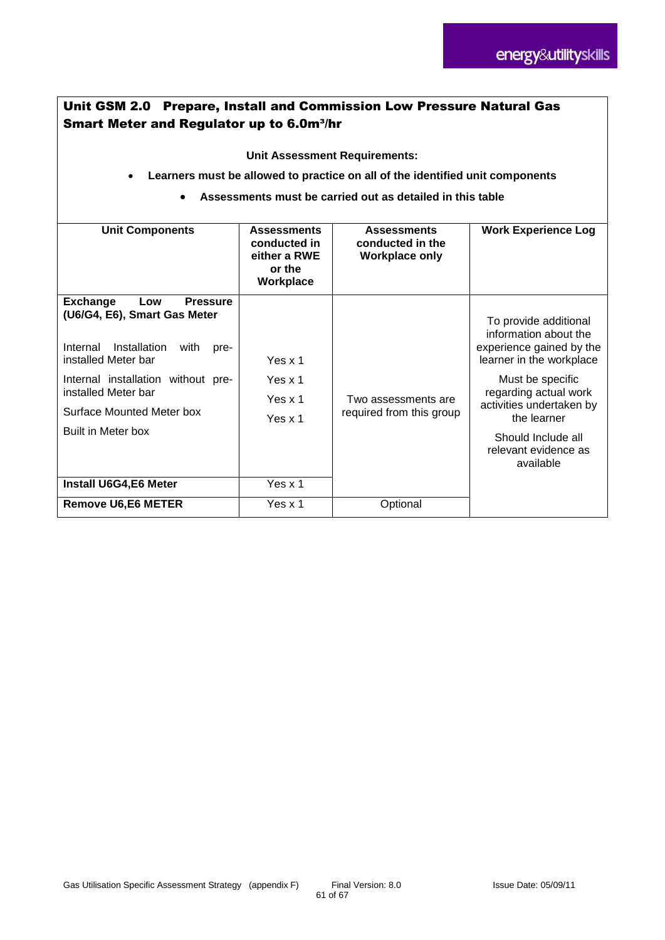# Unit GSM 2.0 Prepare, Install and Commission Low Pressure Natural Gas **Smart Meter and Regulator up to 6.0m3/hr**

**Unit Assessment Requirements:**

- **Learners must be allowed to practice on all of the identified unit components**
	- **Assessments must be carried out as detailed in this table**

| <b>Unit Components</b>                                                                                                                                                                                                                                                                        | <b>Assessments</b><br>conducted in<br>either a RWE<br>or the<br>Workplace | <b>Assessments</b><br>conducted in the<br><b>Workplace only</b> | <b>Work Experience Log</b>                                                                                                                                                                                                                                |
|-----------------------------------------------------------------------------------------------------------------------------------------------------------------------------------------------------------------------------------------------------------------------------------------------|---------------------------------------------------------------------------|-----------------------------------------------------------------|-----------------------------------------------------------------------------------------------------------------------------------------------------------------------------------------------------------------------------------------------------------|
| <b>Pressure</b><br><b>Exchange</b><br>Low<br>(U6/G4, E6), Smart Gas Meter<br>Internal<br>Installation<br>with<br>pre-<br>installed Meter bar<br>Internal installation without pre-<br>installed Meter bar<br>Surface Mounted Meter box<br>Built in Meter box<br><b>Install U6G4, E6 Meter</b> | Yes x 1<br>Yes x 1<br>Yes $x$ 1<br>Yes x 1<br>Yes x 1                     | Two assessments are<br>required from this group                 | To provide additional<br>information about the<br>experience gained by the<br>learner in the workplace<br>Must be specific<br>regarding actual work<br>activities undertaken by<br>the learner<br>Should Include all<br>relevant evidence as<br>available |
| <b>Remove U6,E6 METER</b>                                                                                                                                                                                                                                                                     | Yes x 1                                                                   | Optional                                                        |                                                                                                                                                                                                                                                           |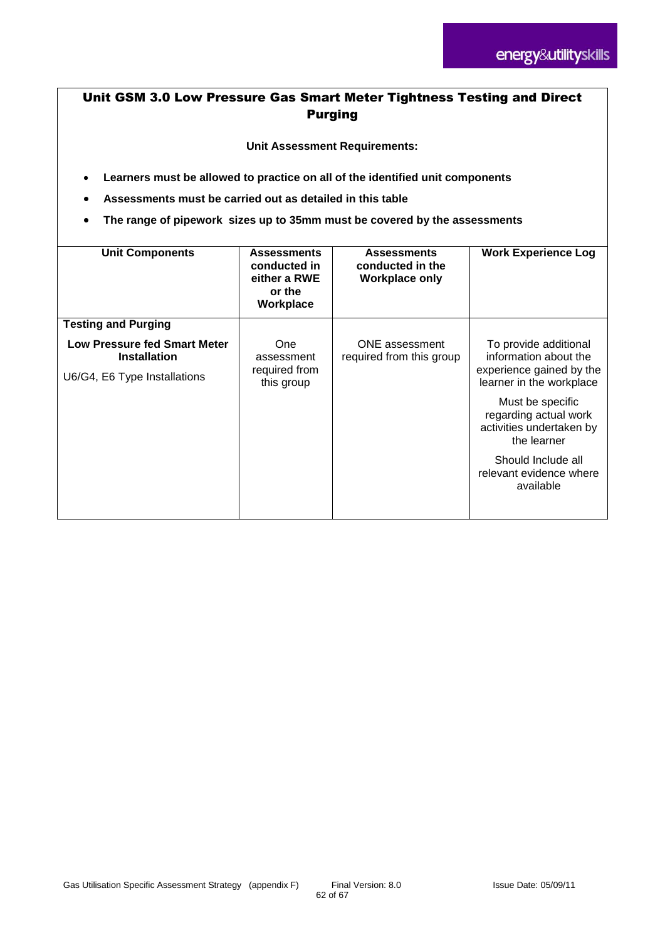# Unit GSM 3.0 Low Pressure Gas Smart Meter Tightness Testing and Direct Purging

**Unit Assessment Requirements:**

- **Learners must be allowed to practice on all of the identified unit components**
- **Assessments must be carried out as detailed in this table**
- **The range of pipework sizes up to 35mm must be covered by the assessments**

| <b>Unit Components</b>                                                                     | <b>Assessments</b><br>conducted in<br>either a RWE<br>or the<br>Workplace | <b>Assessments</b><br>conducted in the<br><b>Workplace only</b> | <b>Work Experience Log</b>                                                                                                 |
|--------------------------------------------------------------------------------------------|---------------------------------------------------------------------------|-----------------------------------------------------------------|----------------------------------------------------------------------------------------------------------------------------|
| <b>Testing and Purging</b>                                                                 |                                                                           |                                                                 |                                                                                                                            |
| <b>Low Pressure fed Smart Meter</b><br><b>Installation</b><br>U6/G4, E6 Type Installations | <b>One</b><br>assessment<br>required from<br>this group                   | <b>ONE</b> assessment<br>required from this group               | To provide additional<br>information about the<br>experience gained by the<br>learner in the workplace<br>Must be specific |
|                                                                                            |                                                                           |                                                                 | regarding actual work<br>activities undertaken by<br>the learner                                                           |
|                                                                                            |                                                                           |                                                                 | Should Include all<br>relevant evidence where<br>available                                                                 |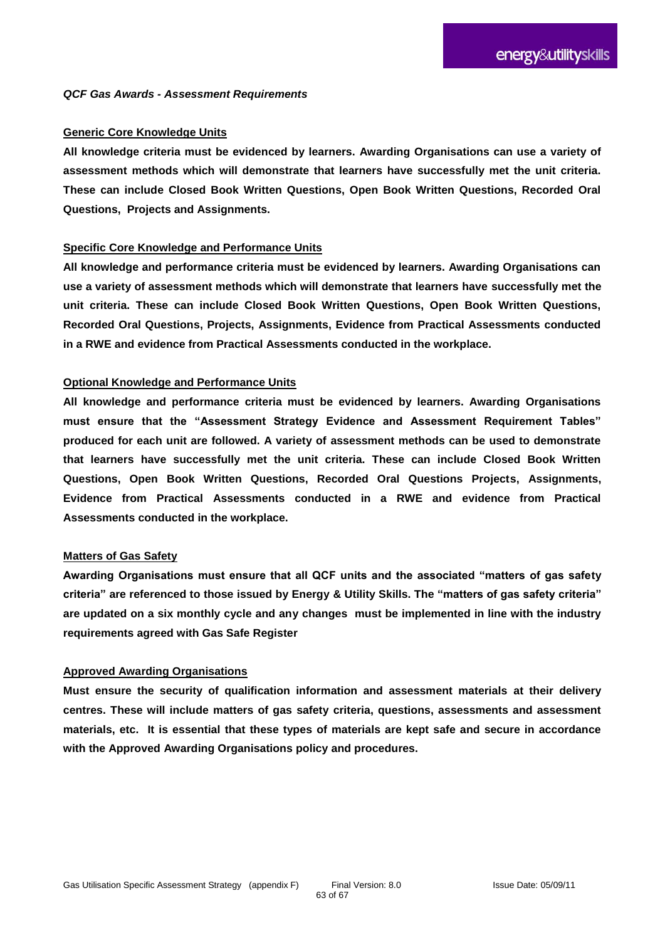#### **Generic Core Knowledge Units**

**All knowledge criteria must be evidenced by learners. Awarding Organisations can use a variety of assessment methods which will demonstrate that learners have successfully met the unit criteria. These can include Closed Book Written Questions, Open Book Written Questions, Recorded Oral Questions, Projects and Assignments.** 

#### **Specific Core Knowledge and Performance Units**

**All knowledge and performance criteria must be evidenced by learners. Awarding Organisations can use a variety of assessment methods which will demonstrate that learners have successfully met the unit criteria. These can include Closed Book Written Questions, Open Book Written Questions, Recorded Oral Questions, Projects, Assignments, Evidence from Practical Assessments conducted in a RWE and evidence from Practical Assessments conducted in the workplace.** 

#### **Optional Knowledge and Performance Units**

**All knowledge and performance criteria must be evidenced by learners. Awarding Organisations must ensure that the "Assessment Strategy Evidence and Assessment Requirement Tables" produced for each unit are followed. A variety of assessment methods can be used to demonstrate that learners have successfully met the unit criteria. These can include Closed Book Written Questions, Open Book Written Questions, Recorded Oral Questions Projects, Assignments, Evidence from Practical Assessments conducted in a RWE and evidence from Practical Assessments conducted in the workplace.** 

#### **Matters of Gas Safety**

**Awarding Organisations must ensure that all QCF units and the associated "matters of gas safety criteria" are referenced to those issued by Energy & Utility Skills. The "matters of gas safety criteria" are updated on a six monthly cycle and any changes must be implemented in line with the industry requirements agreed with Gas Safe Register**

#### **Approved Awarding Organisations**

**Must ensure the security of qualification information and assessment materials at their delivery centres. These will include matters of gas safety criteria, questions, assessments and assessment materials, etc. It is essential that these types of materials are kept safe and secure in accordance with the Approved Awarding Organisations policy and procedures.**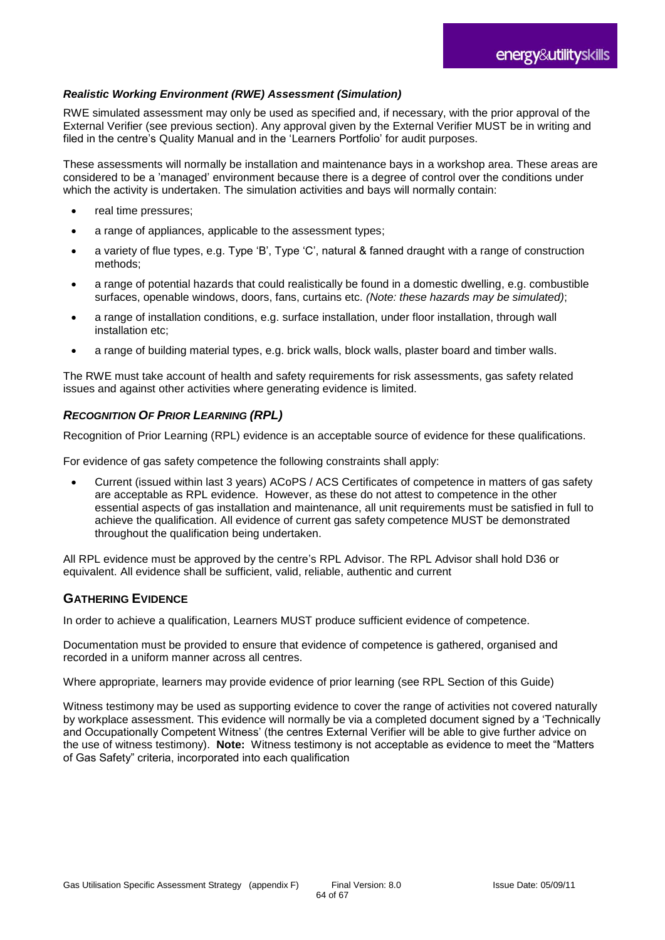#### *Realistic Working Environment (RWE) Assessment (Simulation)*

RWE simulated assessment may only be used as specified and, if necessary, with the prior approval of the External Verifier (see previous section). Any approval given by the External Verifier MUST be in writing and filed in the centre's Quality Manual and in the 'Learners Portfolio' for audit purposes.

These assessments will normally be installation and maintenance bays in a workshop area. These areas are considered to be a 'managed' environment because there is a degree of control over the conditions under which the activity is undertaken. The simulation activities and bays will normally contain:

- real time pressures;
- a range of appliances, applicable to the assessment types;
- a variety of flue types, e.g. Type 'B', Type 'C', natural & fanned draught with a range of construction methods;
- a range of potential hazards that could realistically be found in a domestic dwelling, e.g. combustible surfaces, openable windows, doors, fans, curtains etc. *(Note: these hazards may be simulated)*;
- a range of installation conditions, e.g. surface installation, under floor installation, through wall installation etc;
- a range of building material types, e.g. brick walls, block walls, plaster board and timber walls.

The RWE must take account of health and safety requirements for risk assessments, gas safety related issues and against other activities where generating evidence is limited.

#### *RECOGNITION OF PRIOR LEARNING (RPL)*

Recognition of Prior Learning (RPL) evidence is an acceptable source of evidence for these qualifications.

For evidence of gas safety competence the following constraints shall apply:

 Current (issued within last 3 years) ACoPS / ACS Certificates of competence in matters of gas safety are acceptable as RPL evidence. However, as these do not attest to competence in the other essential aspects of gas installation and maintenance, all unit requirements must be satisfied in full to achieve the qualification. All evidence of current gas safety competence MUST be demonstrated throughout the qualification being undertaken.

All RPL evidence must be approved by the centre's RPL Advisor. The RPL Advisor shall hold D36 or equivalent. All evidence shall be sufficient, valid, reliable, authentic and current

#### **GATHERING EVIDENCE**

In order to achieve a qualification, Learners MUST produce sufficient evidence of competence.

Documentation must be provided to ensure that evidence of competence is gathered, organised and recorded in a uniform manner across all centres.

Where appropriate, learners may provide evidence of prior learning (see RPL Section of this Guide)

Witness testimony may be used as supporting evidence to cover the range of activities not covered naturally by workplace assessment. This evidence will normally be via a completed document signed by a 'Technically and Occupationally Competent Witness' (the centres External Verifier will be able to give further advice on the use of witness testimony). **Note:** Witness testimony is not acceptable as evidence to meet the "Matters of Gas Safety" criteria, incorporated into each qualification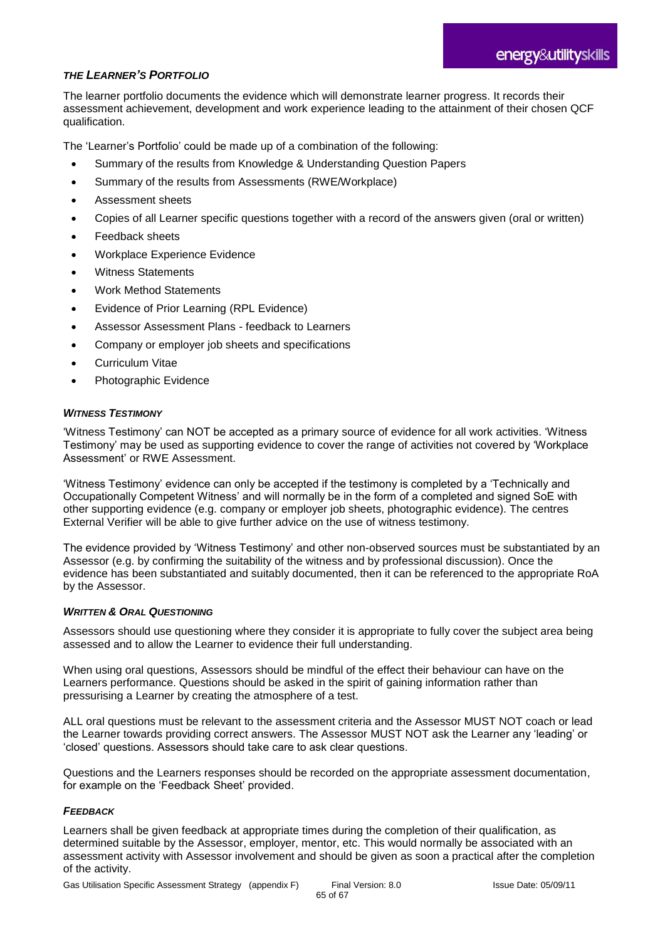#### *THE LEARNER'S PORTFOLIO*

The learner portfolio documents the evidence which will demonstrate learner progress. It records their assessment achievement, development and work experience leading to the attainment of their chosen QCF qualification.

The 'Learner's Portfolio' could be made up of a combination of the following:

- Summary of the results from Knowledge & Understanding Question Papers
- Summary of the results from Assessments (RWE/Workplace)
- Assessment sheets
- Copies of all Learner specific questions together with a record of the answers given (oral or written)
- Feedback sheets
- Workplace Experience Evidence
- Witness Statements
- Work Method Statements
- Evidence of Prior Learning (RPL Evidence)
- Assessor Assessment Plans feedback to Learners
- Company or employer job sheets and specifications
- Curriculum Vitae
- Photographic Evidence

#### *WITNESS TESTIMONY*

'Witness Testimony' can NOT be accepted as a primary source of evidence for all work activities. 'Witness Testimony' may be used as supporting evidence to cover the range of activities not covered by 'Workplace Assessment' or RWE Assessment.

'Witness Testimony' evidence can only be accepted if the testimony is completed by a 'Technically and Occupationally Competent Witness' and will normally be in the form of a completed and signed SoE with other supporting evidence (e.g. company or employer job sheets, photographic evidence). The centres External Verifier will be able to give further advice on the use of witness testimony.

The evidence provided by 'Witness Testimony' and other non-observed sources must be substantiated by an Assessor (e.g. by confirming the suitability of the witness and by professional discussion). Once the evidence has been substantiated and suitably documented, then it can be referenced to the appropriate RoA by the Assessor.

#### *WRITTEN & ORAL QUESTIONING*

Assessors should use questioning where they consider it is appropriate to fully cover the subject area being assessed and to allow the Learner to evidence their full understanding.

When using oral questions, Assessors should be mindful of the effect their behaviour can have on the Learners performance. Questions should be asked in the spirit of gaining information rather than pressurising a Learner by creating the atmosphere of a test.

ALL oral questions must be relevant to the assessment criteria and the Assessor MUST NOT coach or lead the Learner towards providing correct answers. The Assessor MUST NOT ask the Learner any 'leading' or 'closed' questions. Assessors should take care to ask clear questions.

Questions and the Learners responses should be recorded on the appropriate assessment documentation, for example on the 'Feedback Sheet' provided.

#### *FEEDBACK*

Learners shall be given feedback at appropriate times during the completion of their qualification, as determined suitable by the Assessor, employer, mentor, etc. This would normally be associated with an assessment activity with Assessor involvement and should be given as soon a practical after the completion of the activity.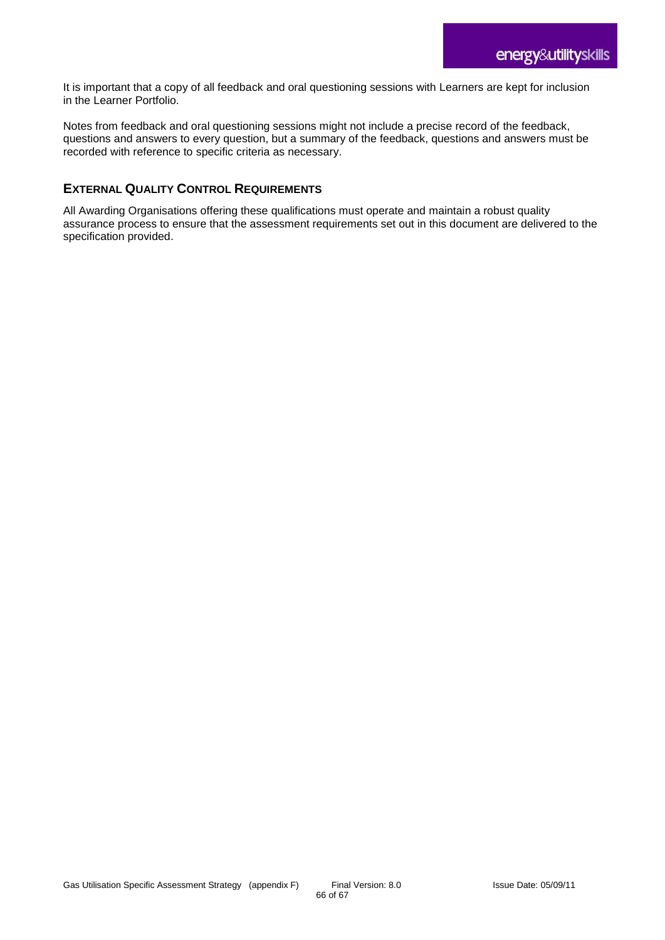It is important that a copy of all feedback and oral questioning sessions with Learners are kept for inclusion in the Learner Portfolio.

Notes from feedback and oral questioning sessions might not include a precise record of the feedback, questions and answers to every question, but a summary of the feedback, questions and answers must be recorded with reference to specific criteria as necessary.

### **EXTERNAL QUALITY CONTROL REQUIREMENTS**

All Awarding Organisations offering these qualifications must operate and maintain a robust quality assurance process to ensure that the assessment requirements set out in this document are delivered to the specification provided.